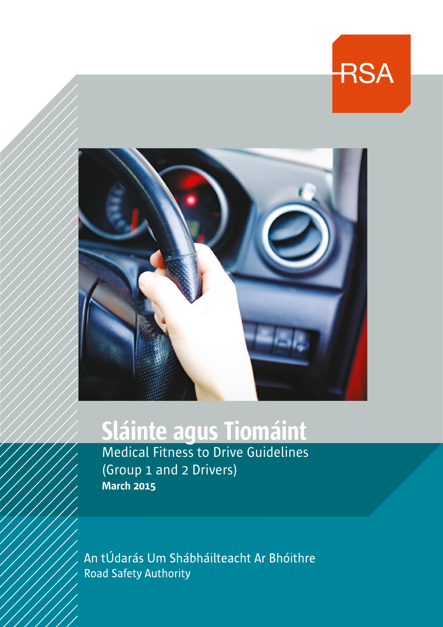

**RSA** 

# Sláinte agus Tiomáint

Medical Fitness to Drive Guidelines (Group 1 and 2 Drivers) March 2015

An tÚdarás Um Shábháilteacht Ar Bhóithre **Road Safety Authority**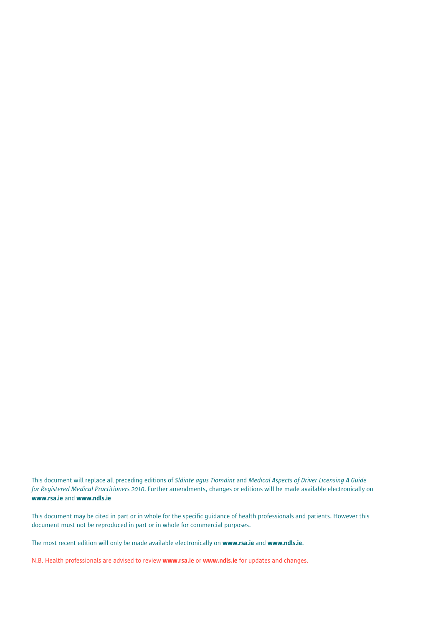This document will replace all preceding editions of *Sláinte agus Tiomáint* and *Medical Aspects of Driver Licensing A Guide for Registered Medical Practitioners 2010*. Further amendments, changes or editions will be made available electronically on www.rsa.ie and www.ndls.ie

This document may be cited in part or in whole for the specific guidance of health professionals and patients. However this document must not be reproduced in part or in whole for commercial purposes.

The most recent edition will only be made available electronically on www.rsa.ie and www.ndls.ie.

N.B. Health professionals are advised to review www.rsa.ie or www.ndls.ie for updates and changes.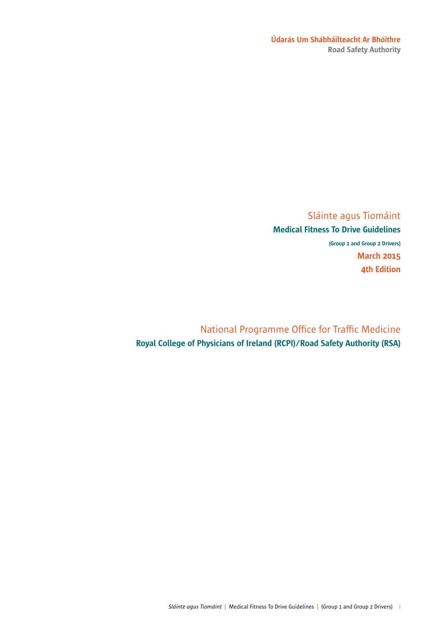### Údarás Um Shábháilteacht Ar Bhóithre Road Safety Authority

# Sláinte agus Tiomáint

# Medical Fitness To Drive Guidelines

(Group 1 and Group 2 Drivers) March 2015 4th Edition

National Programme Office for Traffic Medicine Royal College of Physicians of Ireland (RCPI)/Road Safety Authority (RSA)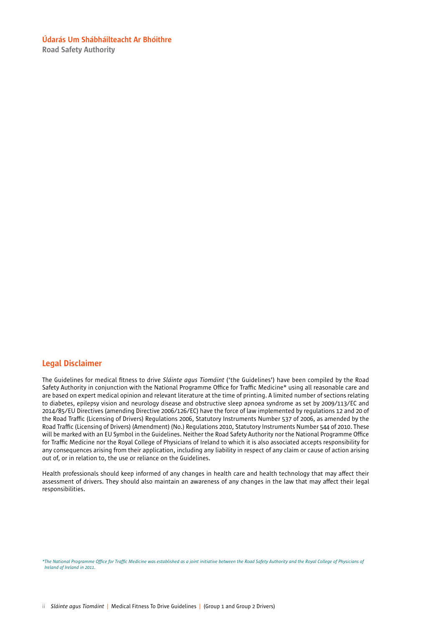Road Safety Authority

### Legal Disclaimer

The Guidelines for medical fitness to drive *Sláinte agus Tiomáint* ('the Guidelines') have been compiled by the Road Safety Authority in conjunction with the National Programme Office for Traffic Medicine\* using all reasonable care and are based on expert medical opinion and relevant literature at the time of printing. A limited number of sections relating to diabetes, epilepsy vision and neurology disease and obstructive sleep apnoea syndrome as set by 2009/113/EC and 2014/85/EU Directives (amending Directive 2006/126/EC) have the force of law implemented by regulations 12 and 20 of the Road Traffic (Licensing of Drivers) Regulations 2006, Statutory Instruments Number 537 of 2006, as amended by the Road Traffic (Licensing of Drivers) (Amendment) (No.) Regulations 2010, Statutory Instruments Number 544 of 2010. These will be marked with an EU Symbol in the Guidelines. Neither the Road Safety Authority nor the National Programme Office for Traffic Medicine nor the Royal College of Physicians of Ireland to which it is also associated accepts responsibility for any consequences arising from their application, including any liability in respect of any claim or cause of action arising out of, or in relation to, the use or reliance on the Guidelines.

Health professionals should keep informed of any changes in health care and health technology that may affect their assessment of drivers. They should also maintain an awareness of any changes in the law that may affect their legal responsibilities.

*\*The National Programme Office for Traffic Medicine was established as a joint initiative between the Road Safety Authority and the Royal College of Physicians of Ireland of Ireland in 2011.*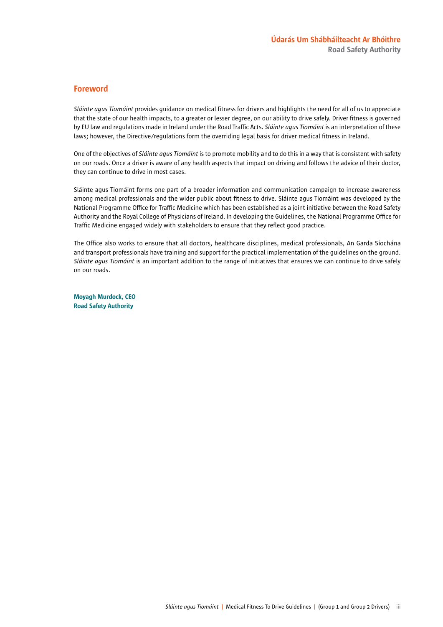### Foreword

*Sláinte agus Tiomáint* provides guidance on medical fitness for drivers and highlights the need for all of us to appreciate that the state of our health impacts, to a greater or lesser degree, on our ability to drive safely. Driver fitness is governed by EU law and regulations made in Ireland under the Road Traffic Acts. *Sláinte agus Tiomáint* is an interpretation of these laws; however, the Directive/regulations form the overriding legal basis for driver medical fitness in Ireland.

One of the objectives of *Sláinte agus Tiomáint* is to promote mobility and to do this in a way that is consistent with safety on our roads. Once a driver is aware of any health aspects that impact on driving and follows the advice of their doctor, they can continue to drive in most cases.

Sláinte agus Tiomáint forms one part of a broader information and communication campaign to increase awareness among medical professionals and the wider public about fitness to drive. Sláinte agus Tiomáint was developed by the National Programme Office for Traffic Medicine which has been established as a joint initiative between the Road Safety Authority and the Royal College of Physicians of Ireland. In developing the Guidelines, the National Programme Office for Traffic Medicine engaged widely with stakeholders to ensure that they reflect good practice.

The Office also works to ensure that all doctors, healthcare disciplines, medical professionals, An Garda Síochána and transport professionals have training and support for the practical implementation of the guidelines on the ground. *Sláinte agus Tiomáint* is an important addition to the range of initiatives that ensures we can continue to drive safely on our roads.

Moyagh Murdock, CEO Road Safety Authority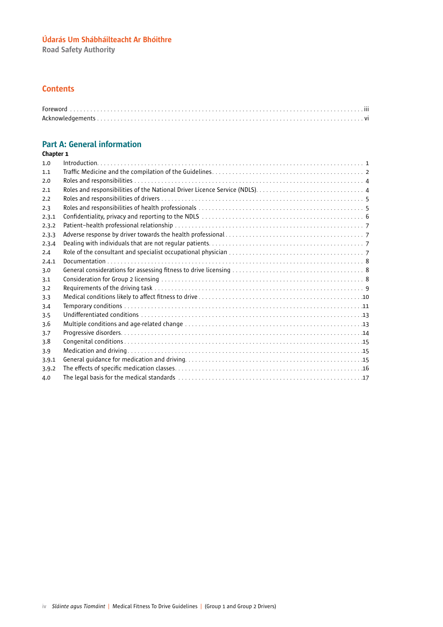Road Safety Authority

### **Contents**

# Part A: General information

| 1.0   |  |
|-------|--|
| 1.1   |  |
| 2.0   |  |
| 2.1   |  |
| 2.2   |  |
| 2.3   |  |
| 2.3.1 |  |
| 2.3.2 |  |
| 2.3.3 |  |
| 2.3.4 |  |
| 2.4   |  |
| 2.4.1 |  |
| 3.0   |  |
| 3.1   |  |
| 3.2   |  |
| 3.3   |  |
| 3.4   |  |
| 3.5   |  |
| 3.6   |  |
| 3.7   |  |
| 3.8   |  |
| 3.9   |  |
| 3.9.1 |  |
| 3.9.2 |  |
| 4.0   |  |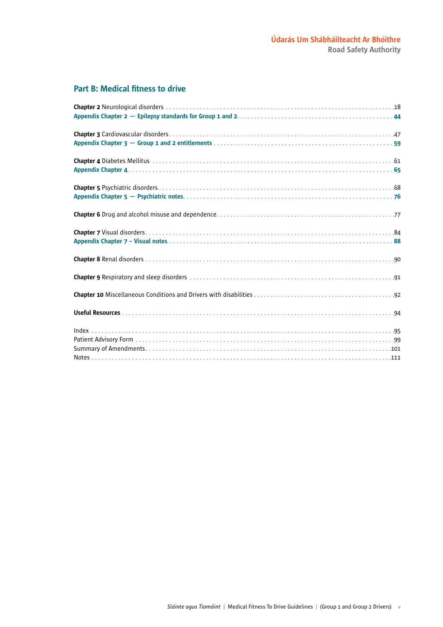# Part B: Medical fitness to drive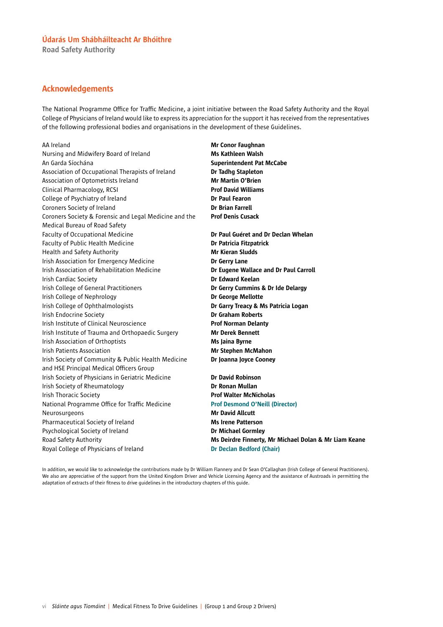Road Safety Authority

### Acknowledgements

The National Programme Office for Traffic Medicine, a joint initiative between the Road Safety Authority and the Royal College of Physicians of Ireland would like to express its appreciation for the support it has received from the representatives of the following professional bodies and organisations in the development of these Guidelines.

AA Ireland **Mr Conor Faughnan** Nursing and Midwifery Board of Ireland Muscom Ms Kathleen Walsh An Garda Síochána **Superintendent Pat McCabe** Association of Occupational Therapists of Ireland **Dr Tadhg Stapleton** Association of Optometrists Ireland Mr Martin O'Brien Clinical Pharmacology, RCSI Prof David Williams College of Psychiatry of Ireland Dr Paul Fearon Coroners Society of Ireland **Dr Brian Farrell** Coroners Society & Forensic and Legal Medicine and the Prof Denis Cusack Medical Bureau of Road Safety Faculty of Occupational Medicine **Dr Paul Guéret and Dr Declan Whelan** Faculty of Public Health Medicine **Dr Patricia Fitzpatrick** Health and Safety Authority Mr Kieran Sludds Irish Association for Emergency Medicine **Dr Gerry Lane** Irish Association of Rehabilitation Medicine **Dr Eugene Wallace and Dr Paul Carroll Irish Cardiac Society Dr Edward Keelan** Irish College of General Practitioners **Dr Gerry Cummins & Dr Ide Delargy** Irish College of Nephrology **Dr George Mellotte** Irish College of Ophthalmologists **Dr Garry Treacy & Ms Patricia Logan Irish Endocrine Society Dr Graham Roberts** Irish Institute of Clinical Neuroscience **Prof Norman Delanty** Irish Institute of Trauma and Orthopaedic Surgery Mr Derek Bennett Irish Association of Orthoptists **Ms Jaina Byrne** Irish Patients Association **Mr Stephen McMahon** Irish Society of Community & Public Health Medicine **Dr Joanna Joyce Cooney** and HSE Principal Medical Officers Group Irish Society of Physicians in Geriatric Medicine **Dr David Robinson** Irish Society of Rheumatology **Dr Ronan Mullan** Irish Thoracic Society **Prof Walter McNicholas** National Programme Office for Traffic Medicine Prof Desmond O'Neill (Director) Neurosurgeons **Mr David Allcutt** Pharmaceutical Society of Ireland Ms Irene Patterson Psychological Society of Ireland **Dr Michael Gormley** Royal College of Physicians of Ireland Dr Declan Bedford (Chair)

Road Safety Authority **Mr. Authority** Ms Deirdre Finnerty, Mr Michael Dolan & Mr Liam Keane

In addition, we would like to acknowledge the contributions made by Dr William Flannery and Dr Sean O'Callaghan (Irish College of General Practitioners). We also are appreciative of the support from the United Kingdom Driver and Vehicle Licensing Agency and the assistance of Austroads in permitting the adaptation of extracts of their fitness to drive guidelines in the introductory chapters of this guide.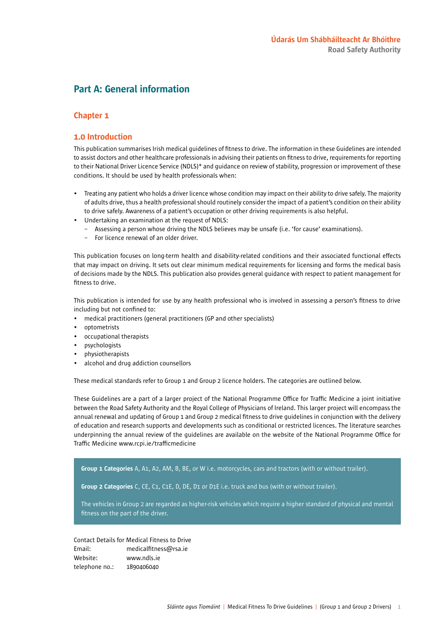# Part A: General information

### Chapter 1

### 1.0 Introduction

This publication summarises Irish medical guidelines of fitness to drive. The information in these Guidelines are intended to assist doctors and other healthcare professionals in advising their patients on fitness to drive, requirements for reporting to their National Driver Licence Service (NDLS)\* and guidance on review of stability, progression or improvement of these conditions. It should be used by health professionals when:

- Treating any patient who holds a driver licence whose condition may impact on their ability to drive safely. The majority of adults drive, thus a health professional should routinely consider the impact of a patient's condition on their ability to drive safely. Awareness of a patient's occupation or other driving requirements is also helpful.
- Undertaking an examination at the request of NDLS:
	- Assessing a person whose driving the NDLS believes may be unsafe (i.e. 'for cause' examinations).
	- For licence renewal of an older driver.

This publication focuses on long-term health and disability-related conditions and their associated functional effects that may impact on driving. It sets out clear minimum medical requirements for licensing and forms the medical basis of decisions made by the NDLS. This publication also provides general guidance with respect to patient management for fitness to drive.

This publication is intended for use by any health professional who is involved in assessing a person's fitness to drive including but not confined to:

- medical practitioners (general practitioners (GP and other specialists)
- optometrists
- occupational therapists
- psychologists
- physiotherapists
- alcohol and drug addiction counsellors

These medical standards refer to Group 1 and Group 2 licence holders. The categories are outlined below.

These Guidelines are a part of a larger project of the National Programme Office for Traffic Medicine a joint initiative between the Road Safety Authority and the Royal College of Physicians of Ireland. This larger project will encompass the annual renewal and updating of Group 1 and Group 2 medical fitness to drive guidelines in conjunction with the delivery of education and research supports and developments such as conditional or restricted licences. The literature searches underpinning the annual review of the guidelines are available on the website of the National Programme Office for Traffic Medicine www.rcpi.ie/trafficmedicine

Group 1 Categories A, A1, A2, AM, B, BE, or W i.e. motorcycles, cars and tractors (with or without trailer).

Group 2 Categories C, CE, C1, C1E, D, DE, D1 or D1E i.e. truck and bus (with or without trailer).

The vehicles in Group 2 are regarded as higher-risk vehicles which require a higher standard of physical and mental fitness on the part of the driver.

Contact Details for Medical Fitness to Drive Email: medicalfitness@rsa.ie Website: www.ndls.ie telephone no.: 1890406040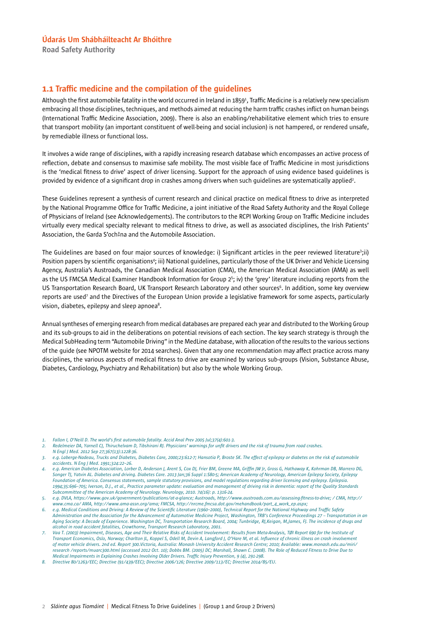Road Safety Authority

### 1.1 Traffic medicine and the compilation of the guidelines

Although the first automobile fatality in the world occurred in Ireland in 18591 , Traffic Medicine is a relatively new specialism embracing all those disciplines, techniques, and methods aimed at reducing the harm traffic crashes inflict on human beings (International Traffic Medicine Association, 2009). There is also an enabling/rehabilitative element which tries to ensure that transport mobility (an important constituent of well-being and social inclusion) is not hampered, or rendered unsafe, by remediable illness or functional loss.

It involves a wide range of disciplines, with a rapidly increasing research database which encompasses an active process of reflection, debate and consensus to maximise safe mobility. The most visible face of Traffic Medicine in most jurisdictions is the 'medical fitness to drive' aspect of driver licensing. Support for the approach of using evidence based guidelines is provided by evidence of a significant drop in crashes among drivers when such guidelines are systematically applied<sup>2</sup>.

These Guidelines represent a synthesis of current research and clinical practice on medical fitness to drive as interpreted by the National Programme Office for Traffic Medicine, a joint initiative of the Road Safety Authority and the Royal College of Physicians of Ireland (see Acknowledgements). The contributors to the RCPI Working Group on Traffic Medicine includes virtually every medical specialty relevant to medical fitness to drive, as well as associated disciplines, the Irish Patients' Association, the Garda S'och‡na and the Automobile Association.

The Guidelines are based on four major sources of knowledge: i) Significant articles in the peer reviewed literature<sup>3</sup>;ii) Position papers by scientific organisations<sup>4</sup>; iii) National guidelines, particularly those of the UK Driver and Vehicle Licensing Agency, Australia's Austroads, the Canadian Medical Association (CMA), the American Medical Association (AMA) as well as the US FMCSA Medical Examiner Handbook Information for Group 2<sup>5</sup>; iv) the 'grey' literature including reports from the US Transportation Research Board, UK Transport Research Laboratory and other sources<sup>6</sup>. In addition, some key overview reports are used<sup>7</sup> and the Directives of the European Union provide a legislative framework for some aspects, particularly vision, diabetes, epilepsy and sleep apnoea<sup>8</sup>.

Annual syntheses of emerging research from medical databases are prepared each year and distributed to the Working Group and its sub-groups to aid in the deliberations on potential revisions of each section. The key search strategy is through the Medical SubHeading term "Automobile Driving" in the MedLine database, with allocation of the results to the various sections of the guide (see NPOTM website for 2014 searches). Given that any one recommendation may affect practice across many disciplines, the various aspects of medical fitness to drive are examined by various sub-groups (Vision, Substance Abuse, Diabetes, Cardiology, Psychiatry and Rehabilitation) but also by the whole Working Group.

*<sup>1.</sup> Fallon I, O'Neill D. The world's first automobile fatality. Accid Anal Prev 2005 Jul;37(4):601-3.*

*<sup>2.</sup> Redelmeier DA, Yarnell CJ, Thiruchelvam D, Tibshirani RJ. Physicians' warnings for unfit drivers and the risk of trauma from road crashes. N Engl J Med. 2012 Sep 27;367(13):1228-36.*

*<sup>3.</sup> e.g. Laberge-Nadeau, Trucks and Diabetes, Diabetes Care, 2000;23:612-7; Hansotia P, Broste SK. The effect of epilepsy or diabetes on the risk of automobile accidents. N Eng J Med. 1991;324:22–26.*

*<sup>4.</sup> e.g. American Diabetes Association, Lorber D, Anderson J, Arent S, Cox DJ, Frier BM, Greene MA, Griffin JW Jr, Gross G, Hathaway K, Kohrman DB, Marrero DG, Songer TJ, Yatvin AL. Diabetes and driving. Diabetes Care. 2013 Jan;36 Suppl 1:S80-5; American Academy of Neurology, American Epilepsy Society, Epilepsy Foundation of America. Consensus statements, sample statutory provisions, and model regulations regarding driver licensing and epilepsy. Epilepsia. 1994;35:696–705; Iverson, D.J., et al., Practice parameter update: evaluation and management of driving risk in dementia: report of the Quality Standards Subcommittee of the American Academy of Neurology. Neurology, 2010. 74(16): p. 1316-24.* 

*<sup>5.</sup> e.g. DVLA, https://www.gov.uk/government/publications/at-a-glance; Austroads, http://www.austroads.com.au/assessing-fitness-to-drive; / CMA, http:// www.cma.ca/ AMA, http://www.ama-assn.org/ama; FMCSA, http://nrcme.fmcsa.dot.gov/mehandbook/part\_4\_work\_ep.aspx;*

*<sup>6.</sup> e.g. Medical Conditions and Driving: A Review of the Scientific Literature (1960–2000), Technical Report for the National Highway and Traffic Safety*  Administration and the Association for the Advancement of Automotive Medicine Project, Washington, TRB's Conference Proceedings 27 - Transportation in an *Aging Society: A Decade of Experience. Washington DC, Transportation Research Board, 2004; Tunbridge, RJ,Keigan, M,James, FJ. The incidence of drugs and alcohol in road accident fatalities, Crowthorne, Transport Research Laboratory, 2001.*

*<sup>7.</sup> Vaa T. (2003) Impairment, Diseases, Age and Their Relative Risks of Accident Involvement: Results from Meta-Analysis, TØI Report 690 for the Institute of Transport Economics, Oslo, Norway; Charlton JL, Koppel S, Odell M, Devin A, Langford J, O'Hare M, et al. Influence of chronic illness on crash involvement of motor vehicle drivers. 2nd ed. Report 300.Victoria, Australia: Monash University Accident Research Centre; 2010; Available: www.monash.edu.au/miri/ research /reports/muarc300.html (accessed 2012 Oct. 10); Dobbs BM. (2005) DC; Marshall, Shawn C. (2008). The Role of Reduced Fitness to Drive Due to Medical Impairments in Explaining Crashes Involving Older Drivers. Traffic Injury Prevention, 9 (4), 291-298.*

*<sup>8.</sup> Directive 80/1263/EEC; Directive (91/439/EEC); Directive 2006/126; Directive 2009/113/EC; Directive 2014/85/EU.*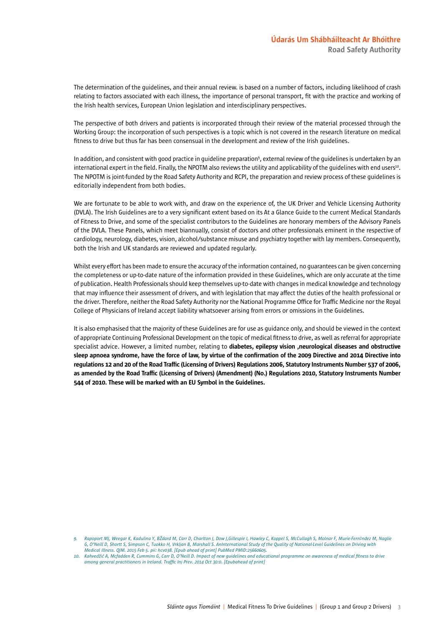The determination of the guidelines, and their annual review. is based on a number of factors, including likelihood of crash relating to factors associated with each illness, the importance of personal transport, fit with the practice and working of the Irish health services, European Union legislation and interdisciplinary perspectives.

The perspective of both drivers and patients is incorporated through their review of the material processed through the Working Group: the incorporation of such perspectives is a topic which is not covered in the research literature on medical fitness to drive but thus far has been consensual in the development and review of the Irish guidelines.

In addition, and consistent with good practice in guideline preparation<sup>9</sup>, external review of the guidelines is undertaken by an international expert in the field. Finally, the NPOTM also reviews the utility and applicability of the guidelines with end users<sup>10</sup>. The NPOTM is joint-funded by the Road Safety Authority and RCPI, the preparation and review process of these guidelines is editorially independent from both bodies.

We are fortunate to be able to work with, and draw on the experience of, the UK Driver and Vehicle Licensing Authority (DVLA). The Irish Guidelines are to a very significant extent based on its At a Glance Guide to the current Medical Standards of Fitness to Drive, and some of the specialist contributors to the Guidelines are honorary members of the Advisory Panels of the DVLA. These Panels, which meet biannually, consist of doctors and other professionals eminent in the respective of cardiology, neurology, diabetes, vision, alcohol/substance misuse and psychiatry together with lay members. Consequently, both the Irish and UK standards are reviewed and updated regularly.

Whilst every effort has been made to ensure the accuracy of the information contained, no guarantees can be given concerning the completeness or up-to-date nature of the information provided in these Guidelines, which are only accurate at the time of publication. Health Professionals should keep themselves up-to-date with changes in medical knowledge and technology that may influence their assessment of drivers, and with legislation that may affect the duties of the health professional or the driver. Therefore, neither the Road Safety Authority nor the National Programme Office for Traffic Medicine nor the Royal College of Physicians of Ireland accept liability whatsoever arising from errors or omissions in the Guidelines.

It is also emphasised that the majority of these Guidelines are for use as guidance only, and should be viewed in the context of appropriate Continuing Professional Development on the topic of medical fitness to drive, as well as referral for appropriate specialist advice. However, a limited number, relating to diabetes, epilepsy vision ,neurological diseases and obstructive sleep apnoea syndrome, have the force of law, by virtue of the confirmation of the 2009 Directive and 2014 Directive into regulations 12 and 20 of the Road Traffic (Licensing of Drivers) Regulations 2006, Statutory Instruments Number 537 of 2006, as amended by the Road Traffic (Licensing of Drivers) (Amendment) (No.) Regulations 2010, Statutory Instruments Number 544 of 2010. These will be marked with an EU Symbol in the Guidelines.

*<sup>9.</sup> Rapoport MJ, Weegar K, Kadulina Y, BŽdard M, Carr D, Charlton J, Dow J,Gillespie I, Hawley C, Koppel S, McCullagh S, Molnar F, Murie-Fern‡ndez M, Naglie G, O'Neill D, Shortt S, Simpson C, Tuokko H, Vrkljan B, Marshall S. AnInternational Study of the Quality of National-Level Guidelines on Driving with Medical Illness. QJM. 2015 Feb 5. pii: hcv038. [Epub ahead of print] PubMed PMID:25660605.*

*<sup>10.</sup> Kahvedžic A, Mcfadden R, Cummins G, Carr D, O'Neill D. Impact of new guidelines and educational programme on awareness of medical fitness to drive among general practitioners in Ireland. Traffic Inj Prev. 2014 Oct 30:0. [Epubahead of print]*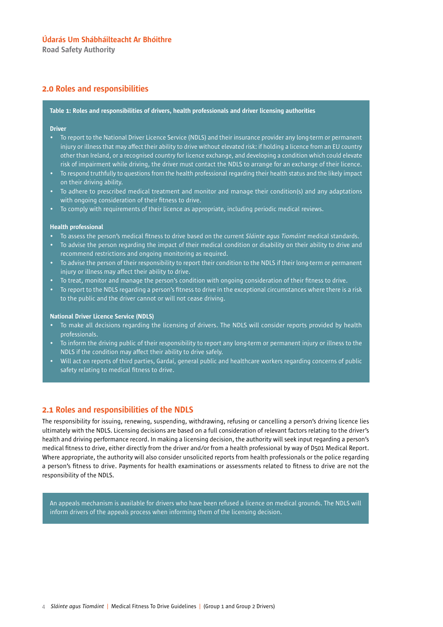Road Safety Authority

### 2.0 Roles and responsibilities

#### Table 1: Roles and responsibilities of drivers, health professionals and driver licensing authorities

#### Driver

- To report to the National Driver Licence Service (NDLS) and their insurance provider any long-term or permanent injury or illness that may affect their ability to drive without elevated risk: if holding a licence from an EU country other than Ireland, or a recognised country for licence exchange, and developing a condition which could elevate risk of impairment while driving, the driver must contact the NDLS to arrange for an exchange of their licence.
- To respond truthfully to questions from the health professional regarding their health status and the likely impact on their driving ability.
- To adhere to prescribed medical treatment and monitor and manage their condition(s) and any adaptations with ongoing consideration of their fitness to drive.
- To comply with requirements of their licence as appropriate, including periodic medical reviews.

#### Health professional

- To assess the person's medical fitness to drive based on the current *Sláinte agus Tiomáint* medical standards.
- To advise the person regarding the impact of their medical condition or disability on their ability to drive and recommend restrictions and ongoing monitoring as required.
- To advise the person of their responsibility to report their condition to the NDLS if their long-term or permanent injury or illness may affect their ability to drive.
- To treat, monitor and manage the person's condition with ongoing consideration of their fitness to drive.
- To report to the NDLS regarding a person's fitness to drive in the exceptional circumstances where there is a risk to the public and the driver cannot or will not cease driving.

#### National Driver Licence Service (NDLS)

- To make all decisions regarding the licensing of drivers. The NDLS will consider reports provided by health professionals.
- To inform the driving public of their responsibility to report any long-term or permanent injury or illness to the NDLS if the condition may affect their ability to drive safely.
- Will act on reports of third parties, Gardaí, general public and healthcare workers regarding concerns of public safety relating to medical fitness to drive.

### 2.1 Roles and responsibilities of the NDLS

The responsibility for issuing, renewing, suspending, withdrawing, refusing or cancelling a person's driving licence lies ultimately with the NDLS. Licensing decisions are based on a full consideration of relevant factors relating to the driver's health and driving performance record. In making a licensing decision, the authority will seek input regarding a person's medical fitness to drive, either directly from the driver and/or from a health professional by way of D501 Medical Report. Where appropriate, the authority will also consider unsolicited reports from health professionals or the police regarding a person's fitness to drive. Payments for health examinations or assessments related to fitness to drive are not the responsibility of the NDLS.

An appeals mechanism is available for drivers who have been refused a licence on medical grounds. The NDLS will inform drivers of the appeals process when informing them of the licensing decision.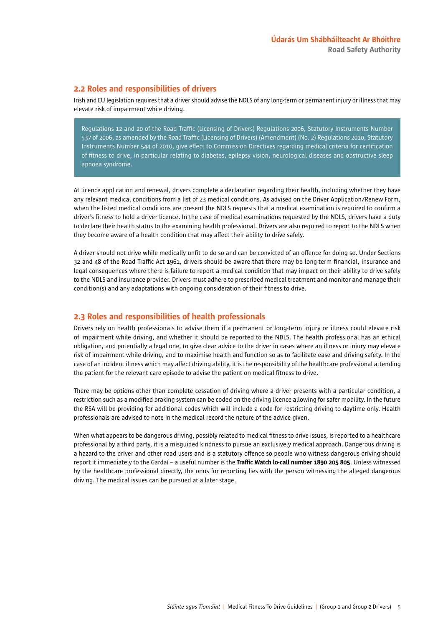### 2.2 Roles and responsibilities of drivers

Irish and EU legislation requires that a driver should advise the NDLS of any long-term or permanent injury or illness that may elevate risk of impairment while driving.

Regulations 12 and 20 of the Road Traffic (Licensing of Drivers) Regulations 2006, Statutory Instruments Number 537 of 2006, as amended by the Road Traffic (Licensing of Drivers) (Amendment) (No. 2) Regulations 2010, Statutory Instruments Number 544 of 2010, give effect to Commission Directives regarding medical criteria for certification of fitness to drive, in particular relating to diabetes, epilepsy vision, neurological diseases and obstructive sleep apnoea syndrome.

At licence application and renewal, drivers complete a declaration regarding their health, including whether they have any relevant medical conditions from a list of 23 medical conditions. As advised on the Driver Application/Renew Form, when the listed medical conditions are present the NDLS requests that a medical examination is required to confirm a driver's fitness to hold a driver licence. In the case of medical examinations requested by the NDLS, drivers have a duty to declare their health status to the examining health professional. Drivers are also required to report to the NDLS when they become aware of a health condition that may affect their ability to drive safely.

A driver should not drive while medically unfit to do so and can be convicted of an offence for doing so. Under Sections 32 and 48 of the Road Traffic Act 1961, drivers should be aware that there may be long-term financial, insurance and legal consequences where there is failure to report a medical condition that may impact on their ability to drive safely to the NDLS and insurance provider. Drivers must adhere to prescribed medical treatment and monitor and manage their condition(s) and any adaptations with ongoing consideration of their fitness to drive.

### 2.3 Roles and responsibilities of health professionals

Drivers rely on health professionals to advise them if a permanent or long-term injury or illness could elevate risk of impairment while driving, and whether it should be reported to the NDLS. The health professional has an ethical obligation, and potentially a legal one, to give clear advice to the driver in cases where an illness or injury may elevate risk of impairment while driving, and to maximise health and function so as to facilitate ease and driving safety. In the case of an incident illness which may affect driving ability, it is the responsibility of the healthcare professional attending the patient for the relevant care episode to advise the patient on medical fitness to drive.

There may be options other than complete cessation of driving where a driver presents with a particular condition, a restriction such as a modified braking system can be coded on the driving licence allowing for safer mobility. In the future the RSA will be providing for additional codes which will include a code for restricting driving to daytime only. Health professionals are advised to note in the medical record the nature of the advice given.

When what appears to be dangerous driving, possibly related to medical fitness to drive issues, is reported to a healthcare professional by a third party, it is a misguided kindness to pursue an exclusively medical approach. Dangerous driving is a hazard to the driver and other road users and is a statutory offence so people who witness dangerous driving should report it immediately to the Gardaí - a useful number is the Traffic Watch lo-call number 1890 205 805. Unless witnessed by the healthcare professional directly, the onus for reporting lies with the person witnessing the alleged dangerous driving. The medical issues can be pursued at a later stage.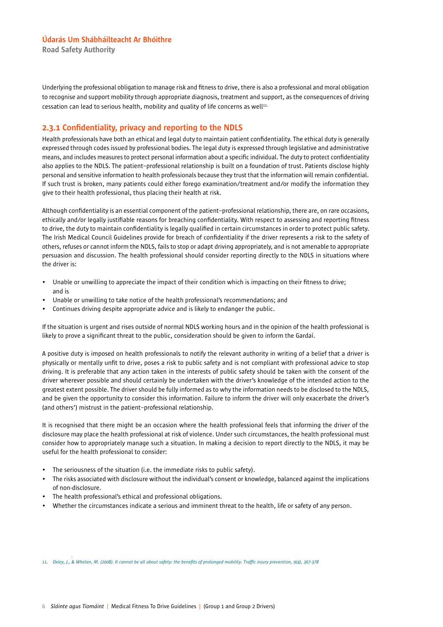Road Safety Authority

Underlying the professional obligation to manage risk and fitness to drive, there is also a professional and moral obligation to recognise and support mobility through appropriate diagnosis, treatment and support, as the consequences of driving cessation can lead to serious health, mobility and quality of life concerns as well $111$ .

### 2.3.1 Confidentiality, privacy and reporting to the NDLS

Health professionals have both an ethical and legal duty to maintain patient confidentiality. The ethical duty is generally expressed through codes issued by professional bodies. The legal duty is expressed through legislative and administrative means, and includes measures to protect personal information about a specific individual. The duty to protect confidentiality also applies to the NDLS. The patient–professional relationship is built on a foundation of trust. Patients disclose highly personal and sensitive information to health professionals because they trust that the information will remain confidential. If such trust is broken, many patients could either forego examination/treatment and/or modify the information they give to their health professional, thus placing their health at risk.

Although confidentiality is an essential component of the patient–professional relationship, there are, on rare occasions, ethically and/or legally justifiable reasons for breaching confidentiality. With respect to assessing and reporting fitness to drive, the duty to maintain confidentiality is legally qualified in certain circumstances in order to protect public safety. The Irish Medical Council Guidelines provide for breach of confidentiality if the driver represents a risk to the safety of others, refuses or cannot inform the NDLS, fails to stop or adapt driving appropriately, and is not amenable to appropriate persuasion and discussion. The health professional should consider reporting directly to the NDLS in situations where the driver is:

- Unable or unwilling to appreciate the impact of their condition which is impacting on their fitness to drive; and is
- Unable or unwilling to take notice of the health professional's recommendations; and
- Continues driving despite appropriate advice and is likely to endanger the public.

If the situation is urgent and rises outside of normal NDLS working hours and in the opinion of the health professional is likely to prove a significant threat to the public, consideration should be given to inform the Gardaí.

A positive duty is imposed on health professionals to notify the relevant authority in writing of a belief that a driver is physically or mentally unfit to drive, poses a risk to public safety and is not compliant with professional advice to stop driving. It is preferable that any action taken in the interests of public safety should be taken with the consent of the driver wherever possible and should certainly be undertaken with the driver's knowledge of the intended action to the greatest extent possible. The driver should be fully informed as to why the information needs to be disclosed to the NDLS, and be given the opportunity to consider this information. Failure to inform the driver will only exacerbate the driver's (and others') mistrust in the patient–professional relationship.

It is recognised that there might be an occasion where the health professional feels that informing the driver of the disclosure may place the health professional at risk of violence. Under such circumstances, the health professional must consider how to appropriately manage such a situation. In making a decision to report directly to the NDLS, it may be useful for the health professional to consider:

- The seriousness of the situation (i.e. the immediate risks to public safety).
- The risks associated with disclosure without the individual's consent or knowledge, balanced against the implications of non-disclosure.
- The health professional's ethical and professional obligations.
- Whether the circumstances indicate a serious and imminent threat to the health, life or safety of any person.

*11. Oxley, J., & Whelan, M. (2008). It cannot be all about safety: the benefits of prolonged mobility. Traffic injury prevention, 9(4), 367-378*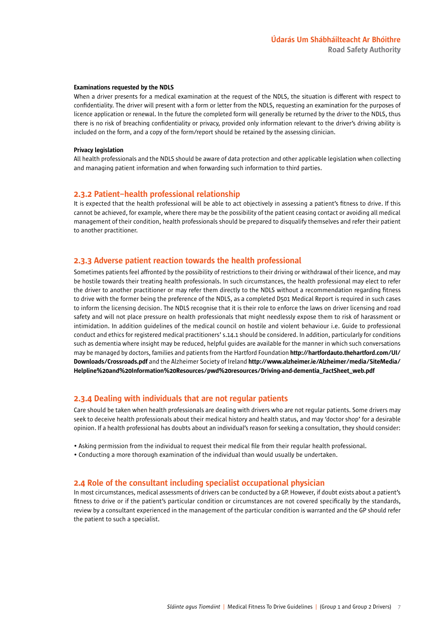#### Examinations requested by the NDLS

When a driver presents for a medical examination at the request of the NDLS, the situation is different with respect to confidentiality. The driver will present with a form or letter from the NDLS, requesting an examination for the purposes of licence application or renewal. In the future the completed form will generally be returned by the driver to the NDLS, thus there is no risk of breaching confidentiality or privacy, provided only information relevant to the driver's driving ability is included on the form, and a copy of the form/report should be retained by the assessing clinician.

#### Privacy legislation

All health professionals and the NDLS should be aware of data protection and other applicable legislation when collecting and managing patient information and when forwarding such information to third parties.

#### 2.3.2 Patient–health professional relationship

It is expected that the health professional will be able to act objectively in assessing a patient's fitness to drive. If this cannot be achieved, for example, where there may be the possibility of the patient ceasing contact or avoiding all medical management of their condition, health professionals should be prepared to disqualify themselves and refer their patient to another practitioner.

### 2.3.3 Adverse patient reaction towards the health professional

Sometimes patients feel affronted by the possibility of restrictions to their driving or withdrawal of their licence, and may be hostile towards their treating health professionals. In such circumstances, the health professional may elect to refer the driver to another practitioner or may refer them directly to the NDLS without a recommendation regarding fitness to drive with the former being the preference of the NDLS, as a completed D501 Medical Report is required in such cases to inform the licensing decision. The NDLS recognise that it is their role to enforce the laws on driver licensing and road safety and will not place pressure on health professionals that might needlessly expose them to risk of harassment or intimidation. In addition guidelines of the medical council on hostile and violent behaviour i.e. Guide to professional conduct and ethics for registered medical practitioners' s.14.1 should be considered. In addition, particularly for conditions such as dementia where insight may be reduced, helpful guides are available for the manner in which such conversations may be managed by doctors, families and patients from the Hartford Foundation http://hartfordauto.thehartford.com/UI/ Downloads/Crossroads.pdf and the Alzheimer Society of Ireland http://www.alzheimer.ie/Alzheimer/media/SiteMedia/ Helpline%20and%20Information%20Resources/pwd%20resources/Driving-and-dementia\_FactSheet\_web.pdf

### 2.3.4 Dealing with individuals that are not regular patients

Care should be taken when health professionals are dealing with drivers who are not regular patients. Some drivers may seek to deceive health professionals about their medical history and health status, and may 'doctor shop' for a desirable opinion. If a health professional has doubts about an individual's reason for seeking a consultation, they should consider:

- Asking permission from the individual to request their medical file from their regular health professional.
- Conducting a more thorough examination of the individual than would usually be undertaken.

#### 2.4 Role of the consultant including specialist occupational physician

In most circumstances, medical assessments of drivers can be conducted by a GP. However, if doubt exists about a patient's fitness to drive or if the patient's particular condition or circumstances are not covered specifically by the standards, review by a consultant experienced in the management of the particular condition is warranted and the GP should refer the patient to such a specialist.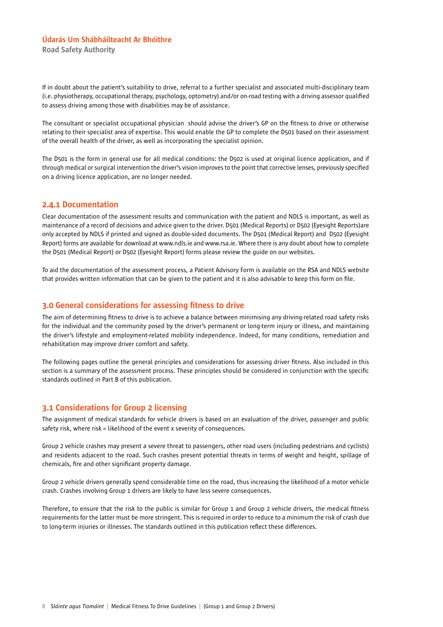Road Safety Authority

If in doubt about the patient's suitability to drive, referral to a further specialist and associated multi-disciplinary team (i.e. physiotherapy, occupational therapy, psychology, optometry) and/or on-road testing with a driving assessor qualified to assess driving among those with disabilities may be of assistance.

The consultant or specialist occupational physician should advise the driver's GP on the fitness to drive or otherwise relating to their specialist area of expertise. This would enable the GP to complete the D501 based on their assessment of the overall health of the driver, as well as incorporating the specialist opinion.

The D501 is the form in general use for all medical conditions: the D502 is used at original licence application, and if through medical or surgical intervention the driver's vision improves to the point that corrective lenses, previously specified on a driving licence application, are no longer needed.

### 2.4.1 Documentation

Clear documentation of the assessment results and communication with the patient and NDLS is important, as well as maintenance of a record of decisions and advice given to the driver. D501 (Medical Reports) or D502 (Eyesight Reports)are only accepted by NDLS if printed and signed as double-sided documents. The D501 (Medical Report) and D502 (Eyesight Report) forms are available for download at www.ndls.ie and www.rsa.ie. Where there is any doubt about how to complete the D501 (Medical Report) or D502 (Eyesight Report) forms please review the guide on our websites.

To aid the documentation of the assessment process, a Patient Advisory Form is available on the RSA and NDLS website that provides written information that can be given to the patient and it is also advisable to keep this form on file.

### 3.0 General considerations for assessing fitness to drive

The aim of determining fitness to drive is to achieve a balance between minimising any driving-related road safety risks for the individual and the community posed by the driver's permanent or long-term injury or illness, and maintaining the driver's lifestyle and employment-related mobility independence. Indeed, for many conditions, remediation and rehabilitation may improve driver comfort and safety.

The following pages outline the general principles and considerations for assessing driver fitness. Also included in this section is a summary of the assessment process. These principles should be considered in conjunction with the specific standards outlined in Part B of this publication.

### 3.1 Considerations for Group 2 licensing

The assignment of medical standards for vehicle drivers is based on an evaluation of the driver, passenger and public safety risk, where risk = likelihood of the event x severity of consequences.

Group 2 vehicle crashes may present a severe threat to passengers, other road users (including pedestrians and cyclists) and residents adjacent to the road. Such crashes present potential threats in terms of weight and height, spillage of chemicals, fire and other significant property damage.

Group 2 vehicle drivers generally spend considerable time on the road, thus increasing the likelihood of a motor vehicle crash. Crashes involving Group 1 drivers are likely to have less severe consequences.

Therefore, to ensure that the risk to the public is similar for Group 1 and Group 2 vehicle drivers, the medical fitness requirements for the latter must be more stringent. This is required in order to reduce to a minimum the risk of crash due to long-term injuries or illnesses. The standards outlined in this publication reflect these differences.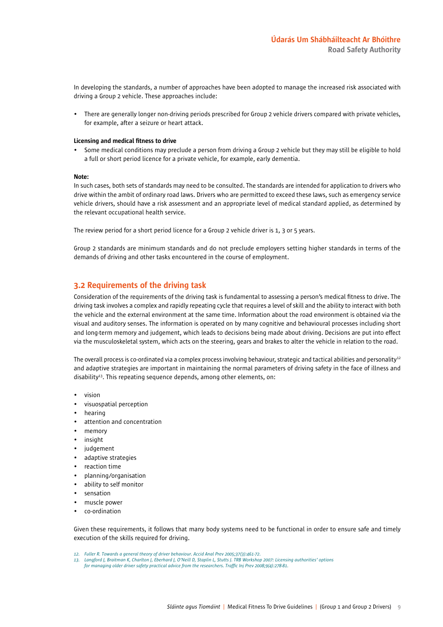In developing the standards, a number of approaches have been adopted to manage the increased risk associated with driving a Group 2 vehicle. These approaches include:

• There are generally longer non-driving periods prescribed for Group 2 vehicle drivers compared with private vehicles, for example, after a seizure or heart attack.

#### Licensing and medical fitness to drive

• Some medical conditions may preclude a person from driving a Group 2 vehicle but they may still be eligible to hold a full or short period licence for a private vehicle, for example, early dementia.

#### Note:

In such cases, both sets of standards may need to be consulted. The standards are intended for application to drivers who drive within the ambit of ordinary road laws. Drivers who are permitted to exceed these laws, such as emergency service vehicle drivers, should have a risk assessment and an appropriate level of medical standard applied, as determined by the relevant occupational health service.

The review period for a short period licence for a Group 2 vehicle driver is 1, 3 or 5 years.

Group 2 standards are minimum standards and do not preclude employers setting higher standards in terms of the demands of driving and other tasks encountered in the course of employment.

### 3.2 Requirements of the driving task

Consideration of the requirements of the driving task is fundamental to assessing a person's medical fitness to drive. The driving task involves a complex and rapidly repeating cycle that requires a level of skill and the ability to interact with both the vehicle and the external environment at the same time. Information about the road environment is obtained via the visual and auditory senses. The information is operated on by many cognitive and behavioural processes including short and long-term memory and judgement, which leads to decisions being made about driving. Decisions are put into effect via the musculoskeletal system, which acts on the steering, gears and brakes to alter the vehicle in relation to the road.

The overall process is co-ordinated via a complex process involving behaviour, strategic and tactical abilities and personality<sup>12</sup> and adaptive strategies are important in maintaining the normal parameters of driving safety in the face of illness and disability<sup>13</sup>. This repeating sequence depends, among other elements, on:

- vision
- visuospatial perception
- hearing
- attention and concentration
- memory
- insight
- judgement
- adaptive strategies
- reaction time
- planning/organisation
- ability to self monitor
- sensation
- muscle power
- co-ordination

Given these requirements, it follows that many body systems need to be functional in order to ensure safe and timely execution of the skills required for driving.

- *12. Fuller R. Towards a general theory of driver behaviour. Accid Anal Prev 2005;37(3):461-72.*
- *13. Langford J, Braitman K, Charlton J, Eberhard J, O'Neill D, Staplin L, Stutts J. TRB Workshop 2007: Licensing authorities' options for managing older driver safety practical advice from the researchers. Traffic Inj Prev 2008;9(4):278-81.*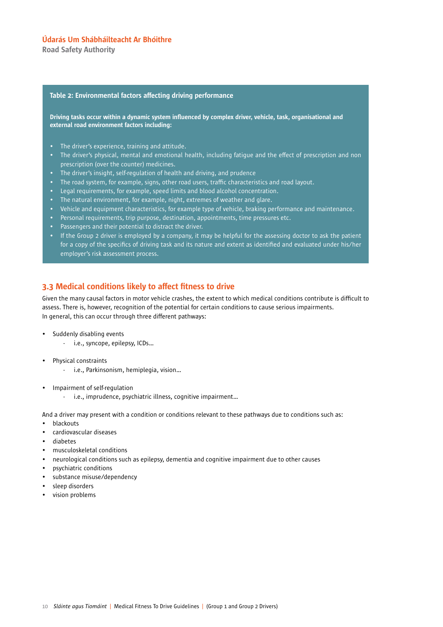Road Safety Authority

#### Table 2: Environmental factors affecting driving performance

Driving tasks occur within a dynamic system influenced by complex driver, vehicle, task, organisational and external road environment factors including:

- The driver's experience, training and attitude.
- The driver's physical, mental and emotional health, including fatigue and the effect of prescription and non prescription (over the counter) medicines.
- The driver's insight, self-regulation of health and driving, and prudence
- The road system, for example, signs, other road users, traffic characteristics and road layout.
- Legal requirements, for example, speed limits and blood alcohol concentration.
- The natural environment, for example, night, extremes of weather and glare.
- Vehicle and equipment characteristics, for example type of vehicle, braking performance and maintenance.
- Personal requirements, trip purpose, destination, appointments, time pressures etc.
- Passengers and their potential to distract the driver.
- If the Group 2 driver is employed by a company, it may be helpful for the assessing doctor to ask the patient for a copy of the specifics of driving task and its nature and extent as identified and evaluated under his/her employer's risk assessment process.

### 3.3 Medical conditions likely to affect fitness to drive

Given the many causal factors in motor vehicle crashes, the extent to which medical conditions contribute is difficult to assess. There is, however, recognition of the potential for certain conditions to cause serious impairments. In general, this can occur through three different pathways:

- Suddenly disabling events
	- i.e., syncope, epilepsy, ICDs…
- Physical constraints
	- i.e., Parkinsonism, hemiplegia, vision…
- Impairment of self-regulation
	- i.e., imprudence, psychiatric illness, cognitive impairment…

And a driver may present with a condition or conditions relevant to these pathways due to conditions such as:

- blackouts
- cardiovascular diseases
- diabetes
- musculoskeletal conditions
- neurological conditions such as epilepsy, dementia and cognitive impairment due to other causes
- psychiatric conditions
- substance misuse/dependency
- sleep disorders
- vision problems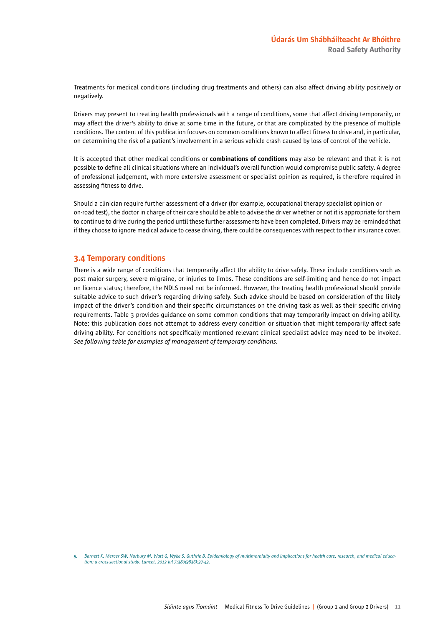Treatments for medical conditions (including drug treatments and others) can also affect driving ability positively or negatively.

Drivers may present to treating health professionals with a range of conditions, some that affect driving temporarily, or may affect the driver's ability to drive at some time in the future, or that are complicated by the presence of multiple conditions. The content of this publication focuses on common conditions known to affect fitness to drive and, in particular, on determining the risk of a patient's involvement in a serious vehicle crash caused by loss of control of the vehicle.

It is accepted that other medical conditions or combinations of conditions may also be relevant and that it is not possible to define all clinical situations where an individual's overall function would compromise public safety. A degree of professional judgement, with more extensive assessment or specialist opinion as required, is therefore required in assessing fitness to drive.

Should a clinician require further assessment of a driver (for example, occupational therapy specialist opinion or on-road test), the doctor in charge of their care should be able to advise the driver whether or not it is appropriate for them to continue to drive during the period until these further assessments have been completed. Drivers may be reminded that if they choose to ignore medical advice to cease driving, there could be consequences with respect to their insurance cover.

### 3.4 Temporary conditions

There is a wide range of conditions that temporarily affect the ability to drive safely. These include conditions such as post major surgery, severe migraine, or injuries to limbs. These conditions are self-limiting and hence do not impact on licence status; therefore, the NDLS need not be informed. However, the treating health professional should provide suitable advice to such driver's regarding driving safely. Such advice should be based on consideration of the likely impact of the driver's condition and their specific circumstances on the driving task as well as their specific driving requirements. Table 3 provides guidance on some common conditions that may temporarily impact on driving ability. Note: this publication does not attempt to address every condition or situation that might temporarily affect safe driving ability. For conditions not specifically mentioned relevant clinical specialist advice may need to be invoked. *See following table for examples of management of temporary conditions.*

*9. Barnett K, Mercer SW, Norbury M, Watt G, Wyke S, Guthrie B. Epidemiology of multimorbidity and implications for health care, research, and medical education: a cross-sectional study. Lancet. 2012 Jul 7;380(9836):37-43.*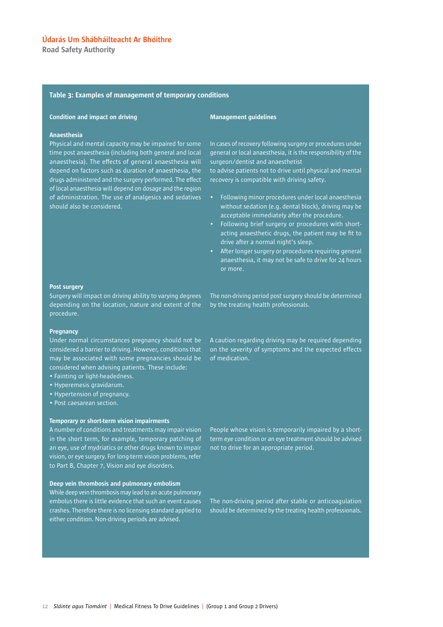Road Safety Authority

#### Table 3: Examples of management of temporary conditions

#### Condition and impact on driving

#### Management guidelines

#### Anaesthesia

Physical and mental capacity may be impaired for some time post anaesthesia (including both general and local anaesthesia). The effects of general anaesthesia will depend on factors such as duration of anaesthesia, the drugs administered and the surgery performed. The effect of local anaesthesia will depend on dosage and the region of administration. The use of analgesics and sedatives should also be considered.

In cases of recovery following surgery or procedures under general or local anaesthesia, it is the responsibility of the surgeon/dentist and anaesthetist

to advise patients not to drive until physical and mental recovery is compatible with driving safety.

- Following minor procedures under local anaesthesia without sedation (e.g. dental block), driving may be acceptable immediately after the procedure.
- Following brief surgery or procedures with shortacting anaesthetic drugs, the patient may be fit to drive after a normal night's sleep.
- After longer surgery or procedures requiring general anaesthesia, it may not be safe to drive for 24 hours or more.

#### Post surgery

Surgery will impact on driving ability to varying degrees depending on the location, nature and extent of the procedure.

#### **Pregnancy**

Under normal circumstances pregnancy should not be considered a barrier to driving. However, conditions that may be associated with some pregnancies should be considered when advising patients. These include:

- Fainting or light-headedness.
- Hyperemesis gravidarum.
- Hypertension of pregnancy.
- Post caesarean section.

#### Temporary or short-term vision impairments

A number of conditions and treatments may impair vision in the short term, for example, temporary patching of an eye, use of mydriatics or other drugs known to impair vision, or eye surgery. For long-term vision problems, refer to Part B, Chapter 7, Vision and eye disorders.

#### Deep vein thrombosis and pulmonary embolism

While deep vein thrombosis may lead to an acute pulmonary embolus there is little evidence that such an event causes crashes. Therefore there is no licensing standard applied to either condition. Non-driving periods are advised.

The non-driving period post surgery should be determined by the treating health professionals.

A caution regarding driving may be required depending on the severity of symptoms and the expected effects of medication.

People whose vision is temporarily impaired by a shortterm eye condition or an eye treatment should be advised not to drive for an appropriate period.

The non-driving period after stable or anticoagulation should be determined by the treating health professionals.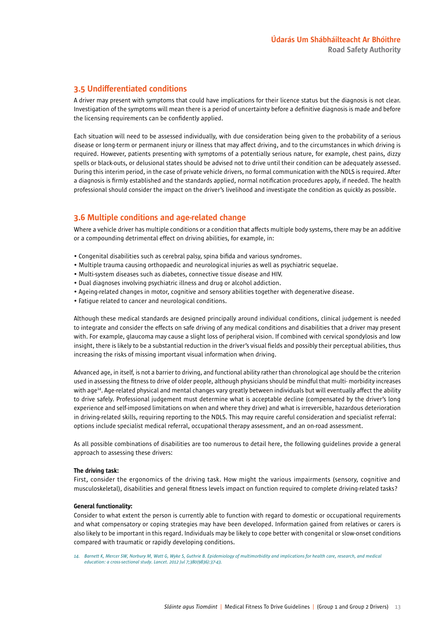### 3.5 Undifferentiated conditions

A driver may present with symptoms that could have implications for their licence status but the diagnosis is not clear. Investigation of the symptoms will mean there is a period of uncertainty before a definitive diagnosis is made and before the licensing requirements can be confidently applied.

Each situation will need to be assessed individually, with due consideration being given to the probability of a serious disease or long-term or permanent injury or illness that may affect driving, and to the circumstances in which driving is required. However, patients presenting with symptoms of a potentially serious nature, for example, chest pains, dizzy spells or black-outs, or delusional states should be advised not to drive until their condition can be adequately assessed. During this interim period, in the case of private vehicle drivers, no formal communication with the NDLS is required. After a diagnosis is firmly established and the standards applied, normal notification procedures apply, if needed. The health professional should consider the impact on the driver's livelihood and investigate the condition as quickly as possible.

### 3.6 Multiple conditions and age-related change

Where a vehicle driver has multiple conditions or a condition that affects multiple body systems, there may be an additive or a compounding detrimental effect on driving abilities, for example, in:

- Congenital disabilities such as cerebral palsy, spina bifida and various syndromes.
- Multiple trauma causing orthopaedic and neurological injuries as well as psychiatric sequelae.
- Multi-system diseases such as diabetes, connective tissue disease and HIV.
- Dual diagnoses involving psychiatric illness and drug or alcohol addiction.
- Ageing-related changes in motor, cognitive and sensory abilities together with degenerative disease.
- Fatigue related to cancer and neurological conditions.

Although these medical standards are designed principally around individual conditions, clinical judgement is needed to integrate and consider the effects on safe driving of any medical conditions and disabilities that a driver may present with. For example, glaucoma may cause a slight loss of peripheral vision. If combined with cervical spondylosis and low insight, there is likely to be a substantial reduction in the driver's visual fields and possibly their perceptual abilities, thus increasing the risks of missing important visual information when driving.

Advanced age, in itself, is not a barrier to driving, and functional ability rather than chronological age should be the criterion used in assessing the fitness to drive of older people, although physicians should be mindful that multi- morbidity increases with age<sup>14</sup>. Age-related physical and mental changes vary greatly between individuals but will eventually affect the ability to drive safely. Professional judgement must determine what is acceptable decline (compensated by the driver's long experience and self-imposed limitations on when and where they drive) and what is irreversible, hazardous deterioration in driving-related skills, requiring reporting to the NDLS. This may require careful consideration and specialist referral: options include specialist medical referral, occupational therapy assessment, and an on-road assessment.

As all possible combinations of disabilities are too numerous to detail here, the following guidelines provide a general approach to assessing these drivers:

#### The driving task:

First, consider the ergonomics of the driving task. How might the various impairments (sensory, cognitive and musculoskeletal), disabilities and general fitness levels impact on function required to complete driving-related tasks?

#### General functionality:

Consider to what extent the person is currently able to function with regard to domestic or occupational requirements and what compensatory or coping strategies may have been developed. Information gained from relatives or carers is also likely to be important in this regard. Individuals may be likely to cope better with congenital or slow-onset conditions compared with traumatic or rapidly developing conditions.

*14. Barnett K, Mercer SW, Norbury M, Watt G, Wyke S, Guthrie B. Epidemiology of multimorbidity and implications for health care, research, and medical education: a cross-sectional study. Lancet. 2012 Jul 7;380(9836):37-43.*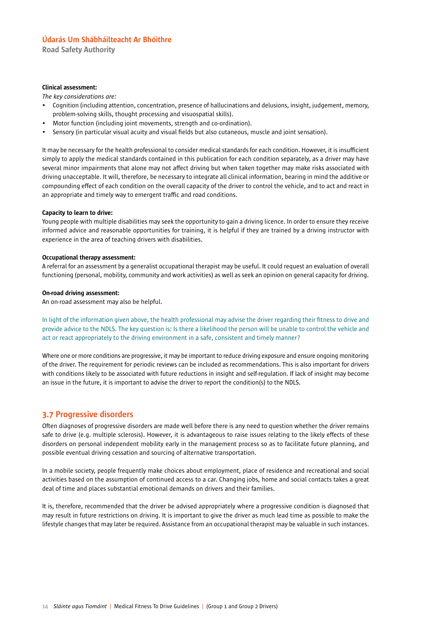Road Safety Authority

#### Clinical assessment:

*The key considerations are:*

- Cognition (including attention, concentration, presence of hallucinations and delusions, insight, judgement, memory, problem-solving skills, thought processing and visuospatial skills).
- Motor function (including joint movements, strength and co-ordination).
- Sensory (in particular visual acuity and visual fields but also cutaneous, muscle and joint sensation).

It may be necessary for the health professional to consider medical standards for each condition. However, it is insufficient simply to apply the medical standards contained in this publication for each condition separately, as a driver may have several minor impairments that alone may not affect driving but when taken together may make risks associated with driving unacceptable. It will, therefore, be necessary to integrate all clinical information, bearing in mind the additive or compounding effect of each condition on the overall capacity of the driver to control the vehicle, and to act and react in an appropriate and timely way to emergent traffic and road conditions.

#### Capacity to learn to drive:

Young people with multiple disabilities may seek the opportunity to gain a driving licence. In order to ensure they receive informed advice and reasonable opportunities for training, it is helpful if they are trained by a driving instructor with experience in the area of teaching drivers with disabilities.

#### Occupational therapy assessment:

A referral for an assessment by a generalist occupational therapist may be useful. It could request an evaluation of overall functioning (personal, mobility, community and work activities) as well as seek an opinion on general capacity for driving.

#### On-road driving assessment:

An on-road assessment may also be helpful.

In light of the information given above, the health professional may advise the driver regarding their fitness to drive and provide advice to the NDLS. The key question is: Is there a likelihood the person will be unable to control the vehicle and act or react appropriately to the driving environment in a safe, consistent and timely manner?

Where one or more conditions are progressive, it may be important to reduce driving exposure and ensure ongoing monitoring of the driver. The requirement for periodic reviews can be included as recommendations. This is also important for drivers with conditions likely to be associated with future reductions in insight and self-regulation. If lack of insight may become an issue in the future, it is important to advise the driver to report the condition(s) to the NDLS.

### 3.7 Progressive disorders

Often diagnoses of progressive disorders are made well before there is any need to question whether the driver remains safe to drive (e.g. multiple sclerosis). However, it is advantageous to raise issues relating to the likely effects of these disorders on personal independent mobility early in the management process so as to facilitate future planning, and possible eventual driving cessation and sourcing of alternative transportation.

In a mobile society, people frequently make choices about employment, place of residence and recreational and social activities based on the assumption of continued access to a car. Changing jobs, home and social contacts takes a great deal of time and places substantial emotional demands on drivers and their families.

It is, therefore, recommended that the driver be advised appropriately where a progressive condition is diagnosed that may result in future restrictions on driving. It is important to give the driver as much lead time as possible to make the lifestyle changes that may later be required. Assistance from an occupational therapist may be valuable in such instances.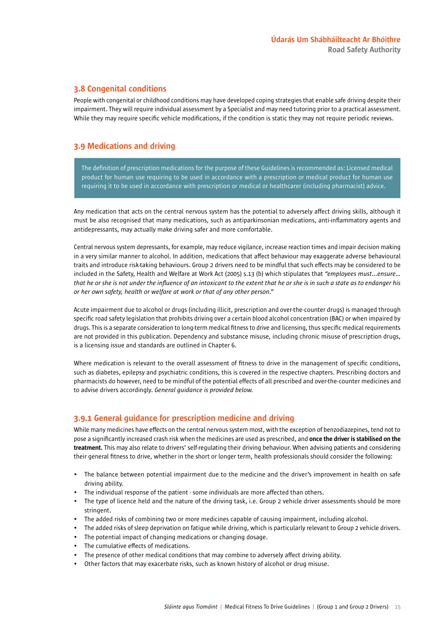### 3.8 Congenital conditions

People with congenital or childhood conditions may have developed coping strategies that enable safe driving despite their impairment. They will require individual assessment by a Specialist and may need tutoring prior to a practical assessment. While they may require specific vehicle modifications, if the condition is static they may not require periodic reviews.

### 3.9 Medications and driving

The definition of prescription medications for the purpose of these Guidelines is recommended as: Licensed medical product for human use requiring to be used in accordance with a prescription or medical product for human use requiring it to be used in accordance with prescription or medical or healthcarer (including pharmacist) advice.

Any medication that acts on the central nervous system has the potential to adversely affect driving skills, although it must be also recognised that many medications, such as antiparkinsonian medications, anti-inflammatory agents and antidepressants, may actually make driving safer and more comfortable.

Central nervous system depressants, for example, may reduce vigilance, increase reaction times and impair decision making in a very similar manner to alcohol. In addition, medications that affect behaviour may exaggerate adverse behavioural traits and introduce risk-taking behaviours. Group 2 drivers need to be mindful that such effects may be considered to be included in the Safety, Health and Welfare at Work Act (2005) s.13 (b) which stipulates that *"employees must...ensure… that he or she is not under the influence of an intoxicant to the extent that he or she is in such a state as to endanger his or her own safety, health or welfare at work or that of any other person."*

Acute impairment due to alcohol or drugs (including illicit, prescription and over-the-counter drugs) is managed through specific road safety legislation that prohibits driving over a certain blood alcohol concentration (BAC) or when impaired by drugs. This is a separate consideration to long-term medical fitness to drive and licensing, thus specific medical requirements are not provided in this publication. Dependency and substance misuse, including chronic misuse of prescription drugs, is a licensing issue and standards are outlined in Chapter 6.

Where medication is relevant to the overall assessment of fitness to drive in the management of specific conditions, such as diabetes, epilepsy and psychiatric conditions, this is covered in the respective chapters. Prescribing doctors and pharmacists do however, need to be mindful of the potential effects of all prescribed and over-the-counter medicines and to advise drivers accordingly. *General guidance is provided below.*

### 3.9.1 General guidance for prescription medicine and driving

While many medicines have effects on the central nervous system most, with the exception of benzodiazepines, tend not to pose a significantly increased crash risk when the medicines are used as prescribed, and once the driver is stabilised on the treatment. This may also relate to drivers' self-regulating their driving behaviour. When advising patients and considering their general fitness to drive, whether in the short or longer term, health professionals should consider the following:

- The balance between potential impairment due to the medicine and the driver's improvement in health on safe driving ability.
- The individual response of the patient some individuals are more affected than others.
- The type of licence held and the nature of the driving task, i.e. Group 2 vehicle driver assessments should be more stringent.
- The added risks of combining two or more medicines capable of causing impairment, including alcohol.
- The added risks of sleep deprivation on fatigue while driving, which is particularly relevant to Group 2 vehicle drivers.
- The potential impact of changing medications or changing dosage.
- The cumulative effects of medications.
- The presence of other medical conditions that may combine to adversely affect driving ability.
- Other factors that may exacerbate risks, such as known history of alcohol or drug misuse.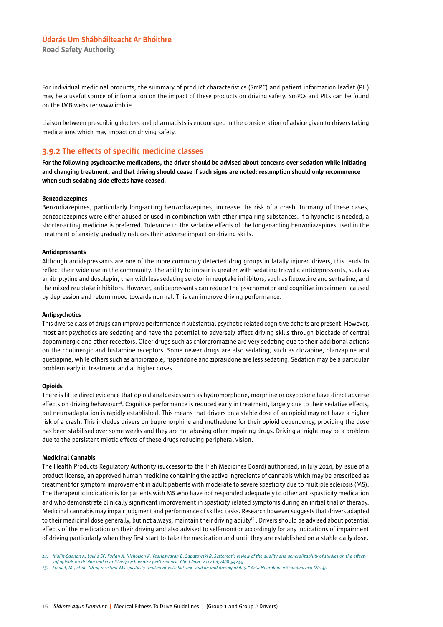Road Safety Authority

For individual medicinal products, the summary of product characteristics (SmPC) and patient information leaflet (PIL) may be a useful source of information on the impact of these products on driving safety. SmPCs and PILs can be found on the IMB website: www.imb.ie.

Liaison between prescribing doctors and pharmacists is encouraged in the consideration of advice given to drivers taking medications which may impact on driving safety.

### 3.9.2 The effects of specific medicine classes

For the following psychoactive medications, the driver should be advised about concerns over sedation while initiating and changing treatment, and that driving should cease if such signs are noted: resumption should only recommence when such sedating side-effects have ceased.

#### Benzodiazepines

Benzodiazepines, particularly long-acting benzodiazepines, increase the risk of a crash. In many of these cases, benzodiazepines were either abused or used in combination with other impairing substances. If a hypnotic is needed, a shorter-acting medicine is preferred. Tolerance to the sedative effects of the longer-acting benzodiazepines used in the treatment of anxiety gradually reduces their adverse impact on driving skills.

#### Antidepressants

Although antidepressants are one of the more commonly detected drug groups in fatally injured drivers, this tends to reflect their wide use in the community. The ability to impair is greater with sedating tricyclic antidepressants, such as amitriptyline and dosulepin, than with less sedating serotonin reuptake inhibitors, such as fluoxetine and sertraline, and the mixed reuptake inhibitors. However, antidepressants can reduce the psychomotor and cognitive impairment caused by depression and return mood towards normal. This can improve driving performance.

#### Antipsychotics

This diverse class of drugs can improve performance if substantial psychotic-related cognitive deficits are present. However, most antipsychotics are sedating and have the potential to adversely affect driving skills through blockade of central dopaminergic and other receptors. Older drugs such as chlorpromazine are very sedating due to their additional actions on the cholinergic and histamine receptors. Some newer drugs are also sedating, such as clozapine, olanzapine and quetiapine, while others such as aripiprazole, risperidone and ziprasidone are less sedating. Sedation may be a particular problem early in treatment and at higher doses.

#### **Opioids**

There is little direct evidence that opioid analgesics such as hydromorphone, morphine or oxycodone have direct adverse effects on driving behaviour<sup>14</sup>. Cognitive performance is reduced early in treatment, largely due to their sedative effects, but neuroadaptation is rapidly established. This means that drivers on a stable dose of an opioid may not have a higher risk of a crash. This includes drivers on buprenorphine and methadone for their opioid dependency, providing the dose has been stabilised over some weeks and they are not abusing other impairing drugs. Driving at night may be a problem due to the persistent miotic effects of these drugs reducing peripheral vision.

#### Medicinal Cannabis

The Health Products Regulatory Authority (successor to the Irish Medicines Board) authorised, in July 2014, by issue of a product license, an approved human medicine containing the active ingredients of cannabis which may be prescribed as treatment for symptom improvement in adult patients with moderate to severe spasticity due to multiple sclerosis (MS). The therapeutic indication is for patients with MS who have not responded adequately to other anti-spasticity medication and who demonstrate clinically significant improvement in spasticity related symptoms during an initial trial of therapy. Medicinal cannabis may impair judgment and performance of skilled tasks. Research however suggests that drivers adapted to their medicinal dose generally, but not always, maintain their driving ability<sup>15</sup>. Drivers should be advised about potential effects of the medication on their driving and also advised to self-monitor accordingly for any indications of impairment of driving particularly when they first start to take the medication and until they are established on a stable daily dose.

*<sup>14.</sup> Mailis-Gagnon A, Lakha SF, Furlan A, Nicholson K, Yegneswaran B, Sabatowski R. Systematic review of the quality and generalizability of studies on the effectsof opioids on driving and cognitive/psychomotor performance. Clin J Pain. 2012 Jul;28(6):542-55.*

*<sup>15.</sup> Freidel, M., et al. "Drug resistant MS spasticity treatment with Sativex¨ add-on and driving ability." Acta Neurologica Scandinavica (2014).*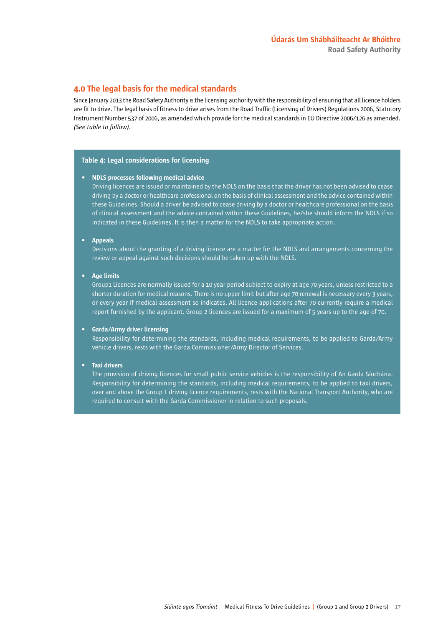### 4.0 The legal basis for the medical standards

Since January 2013 the Road Safety Authority is the licensing authority with the responsibility of ensuring that all licence holders are fit to drive. The legal basis of fitness to drive arises from the Road Traffic (Licensing of Drivers) Regulations 2006, Statutory Instrument Number 537 of 2006, as amended which provide for the medical standards in EU Directive 2006/126 as amended. *(See table to follow)*.

#### Table 4: Legal considerations for licensing

#### • NDLS processes following medical advice

Driving licences are issued or maintained by the NDLS on the basis that the driver has not been advised to cease driving by a doctor or healthcare professional on the basis of clinical assessment and the advice contained within these Guidelines. Should a driver be advised to cease driving by a doctor or healthcare professional on the basis of clinical assessment and the advice contained within these Guidelines, he/she should inform the NDLS if so indicated in these Guidelines. It is then a matter for the NDLS to take appropriate action.

#### • Appeals

Decisions about the granting of a driving licence are a matter for the NDLS and arrangements concerning the review or appeal against such decisions should be taken up with the NDLS.

#### • Age limits

Group1 Licences are normally issued for a 10 year period subject to expiry at age 70 years, unless restricted to a shorter duration for medical reasons. There is no upper limit but after age 70 renewal is necessary every 3 years, or every year if medical assessment so indicates. All licence applications after 70 currently require a medical report furnished by the applicant. Group 2 licences are issued for a maximum of 5 years up to the age of 70.

#### • Garda/Army driver licensing

Responsibility for determining the standards, including medical requirements, to be applied to Garda/Army vehicle drivers, rests with the Garda Commissioner/Army Director of Services.

#### • Taxi drivers

The provision of driving licences for small public service vehicles is the responsibility of An Garda Síochána. Responsibility for determining the standards, including medical requirements, to be applied to taxi drivers, over and above the Group 1 driving licence requirements, rests with the National Transport Authority, who are required to consult with the Garda Commissioner in relation to such proposals.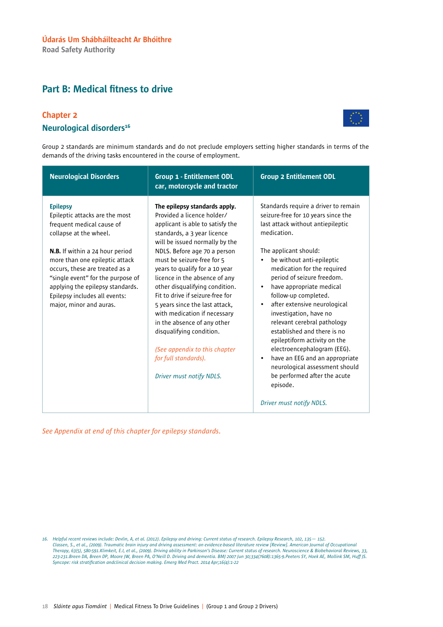# Part B: Medical fitness to drive

### Chapter 2



## Neurological disorders<sup>16</sup>

Group 2 standards are minimum standards and do not preclude employers setting higher standards in terms of the demands of the driving tasks encountered in the course of employment.

| <b>Neurological Disorders</b>                                                                                                                                                                                                                                                                                                                               | <b>Group 1 - Entitlement ODL</b><br>car, motorcycle and tractor                                                                                                                                                                                                                                                                                                                                                                                                                                                                                                                           | <b>Group 2 Entitlement ODL</b>                                                                                                                                                                                                                                                                                                                                                                                                                                                                                                                                                                                                                                                                |
|-------------------------------------------------------------------------------------------------------------------------------------------------------------------------------------------------------------------------------------------------------------------------------------------------------------------------------------------------------------|-------------------------------------------------------------------------------------------------------------------------------------------------------------------------------------------------------------------------------------------------------------------------------------------------------------------------------------------------------------------------------------------------------------------------------------------------------------------------------------------------------------------------------------------------------------------------------------------|-----------------------------------------------------------------------------------------------------------------------------------------------------------------------------------------------------------------------------------------------------------------------------------------------------------------------------------------------------------------------------------------------------------------------------------------------------------------------------------------------------------------------------------------------------------------------------------------------------------------------------------------------------------------------------------------------|
| <b>Epilepsy</b><br>Epileptic attacks are the most<br>frequent medical cause of<br>collapse at the wheel.<br><b>N.B.</b> If within a 24 hour period<br>more than one epileptic attack<br>occurs, these are treated as a<br>"single event" for the purpose of<br>applying the epilepsy standards.<br>Epilepsy includes all events:<br>major, minor and auras. | The epilepsy standards apply.<br>Provided a licence holder/<br>applicant is able to satisfy the<br>standards, a 3 year licence<br>will be issued normally by the<br>NDLS. Before age 70 a person<br>must be seizure-free for 5<br>years to qualify for a 10 year<br>licence in the absence of any<br>other disqualifying condition.<br>Fit to drive if seizure-free for<br>5 years since the last attack,<br>with medication if necessary<br>in the absence of any other<br>disqualifying condition.<br>(See appendix to this chapter<br>for full standards).<br>Driver must notify NDLS. | Standards require a driver to remain<br>seizure-free for 10 years since the<br>last attack without antiepileptic<br>medication.<br>The applicant should:<br>be without anti-epileptic<br>$\bullet$<br>medication for the required<br>period of seizure freedom.<br>have appropriate medical<br>$\bullet$<br>follow-up completed.<br>after extensive neurological<br>$\bullet$<br>investigation, have no<br>relevant cerebral pathology<br>established and there is no<br>epileptiform activity on the<br>electroencephalogram (EEG).<br>have an EEG and an appropriate<br>$\bullet$<br>neurological assessment should<br>be performed after the acute<br>episode.<br>Driver must notify NDLS. |

*<sup>16.</sup> Helpful recent reviews include: Devlin, A, et al. (2012). Epilepsy and driving: Current status of research. Epilepsy Research, 102, 135— 152. Classen, S., et al., (2009). Traumatic brain injury and driving assessment: an evidence-based literature review [Review]. American Journal of Occupational*  Therapy, 63(5), 580-591.Klimkeit, E.I, et al., (2009). Driving ability in Parkinson's Disease: Current status of research. Neuroscience & Biobehavioral Reviews, 33,<br>223-231.Breen DA, Breen DP, Moore JW, Breen PA, O'Neill D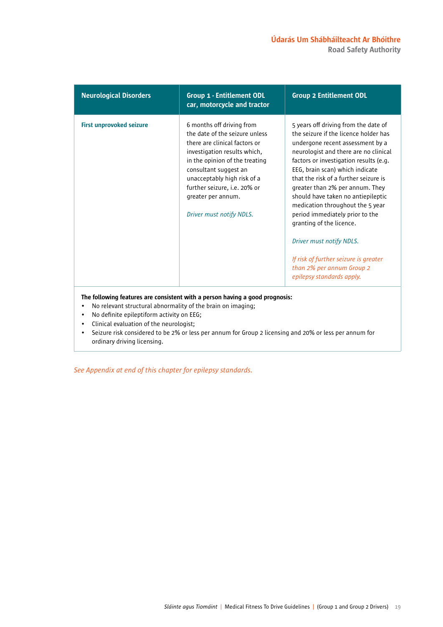### Údarás Um Shábháilteacht Ar Bhóithre Road Safety Authority

| <b>Neurological Disorders</b>   | <b>Group 1 - Entitlement ODL</b><br>car, motorcycle and tractor                                                                                                                                                                                                                                          | <b>Group 2 Entitlement ODL</b>                                                                                                                                                                                                                                                                                                                                                                                                                                                                                                                                                              |
|---------------------------------|----------------------------------------------------------------------------------------------------------------------------------------------------------------------------------------------------------------------------------------------------------------------------------------------------------|---------------------------------------------------------------------------------------------------------------------------------------------------------------------------------------------------------------------------------------------------------------------------------------------------------------------------------------------------------------------------------------------------------------------------------------------------------------------------------------------------------------------------------------------------------------------------------------------|
| <b>First unprovoked seizure</b> | 6 months off driving from<br>the date of the seizure unless<br>there are clinical factors or<br>investigation results which,<br>in the opinion of the treating<br>consultant suggest an<br>unacceptably high risk of a<br>further seizure, i.e. 20% or<br>greater per annum.<br>Driver must notify NDLS. | 5 years off driving from the date of<br>the seizure if the licence holder has<br>undergone recent assessment by a<br>neurologist and there are no clinical<br>factors or investigation results (e.g.<br>EEG, brain scan) which indicate<br>that the risk of a further seizure is<br>greater than 2% per annum. They<br>should have taken no antiepileptic<br>medication throughout the 5 year<br>period immediately prior to the<br>granting of the licence.<br>Driver must notify NDLS.<br>If risk of further seizure is greater<br>than 2% per annum Group 2<br>epilepsy standards apply. |
|                                 | The following features are consistent with a person having a good prognosis:                                                                                                                                                                                                                             |                                                                                                                                                                                                                                                                                                                                                                                                                                                                                                                                                                                             |

- No relevant structural abnormality of the brain on imaging;
- No definite epileptiform activity on EEG;
- Clinical evaluation of the neurologist;
- Seizure risk considered to be 2% or less per annum for Group 2 licensing and 20% or less per annum for ordinary driving licensing.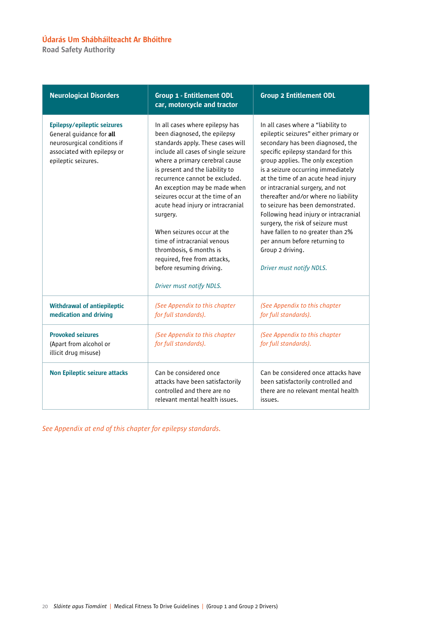Road Safety Authority

| <b>Neurological Disorders</b>                                                                                                                | <b>Group 1 - Entitlement ODL</b><br>car, motorcycle and tractor                                                                                                                                                                                                                                                                                                                                                                                                                                                                                          | <b>Group 2 Entitlement ODL</b>                                                                                                                                                                                                                                                                                                                                                                                                                                                                                                                                                                 |
|----------------------------------------------------------------------------------------------------------------------------------------------|----------------------------------------------------------------------------------------------------------------------------------------------------------------------------------------------------------------------------------------------------------------------------------------------------------------------------------------------------------------------------------------------------------------------------------------------------------------------------------------------------------------------------------------------------------|------------------------------------------------------------------------------------------------------------------------------------------------------------------------------------------------------------------------------------------------------------------------------------------------------------------------------------------------------------------------------------------------------------------------------------------------------------------------------------------------------------------------------------------------------------------------------------------------|
| Epilepsy/epileptic seizures<br>General guidance for all<br>neurosurgical conditions if<br>associated with epilepsy or<br>epileptic seizures. | In all cases where epilepsy has<br>been diagnosed, the epilepsy<br>standards apply. These cases will<br>include all cases of single seizure<br>where a primary cerebral cause<br>is present and the liability to<br>recurrence cannot be excluded.<br>An exception may be made when<br>seizures occur at the time of an<br>acute head injury or intracranial<br>surgery.<br>When seizures occur at the<br>time of intracranial venous<br>thrombosis, 6 months is<br>required, free from attacks,<br>before resuming driving.<br>Driver must notify NDLS. | In all cases where a "liability to<br>epileptic seizures" either primary or<br>secondary has been diagnosed, the<br>specific epilepsy standard for this<br>group applies. The only exception<br>is a seizure occurring immediately<br>at the time of an acute head injury<br>or intracranial surgery, and not<br>thereafter and/or where no liability<br>to seizure has been demonstrated.<br>Following head injury or intracranial<br>surgery, the risk of seizure must<br>have fallen to no greater than 2%<br>per annum before returning to<br>Group 2 driving.<br>Driver must notify NDLS. |
| <b>Withdrawal of antiepileptic</b><br>medication and driving                                                                                 | (See Appendix to this chapter<br>for full standards).                                                                                                                                                                                                                                                                                                                                                                                                                                                                                                    | (See Appendix to this chapter<br>for full standards).                                                                                                                                                                                                                                                                                                                                                                                                                                                                                                                                          |
| <b>Provoked seizures</b><br>(Apart from alcohol or<br>illicit drug misuse)                                                                   | (See Appendix to this chapter<br>for full standards).                                                                                                                                                                                                                                                                                                                                                                                                                                                                                                    | (See Appendix to this chapter<br>for full standards).                                                                                                                                                                                                                                                                                                                                                                                                                                                                                                                                          |
| <b>Non Epileptic seizure attacks</b>                                                                                                         | Can be considered once<br>attacks have been satisfactorily<br>controlled and there are no<br>relevant mental health issues.                                                                                                                                                                                                                                                                                                                                                                                                                              | Can be considered once attacks have<br>been satisfactorily controlled and<br>there are no relevant mental health<br>issues.                                                                                                                                                                                                                                                                                                                                                                                                                                                                    |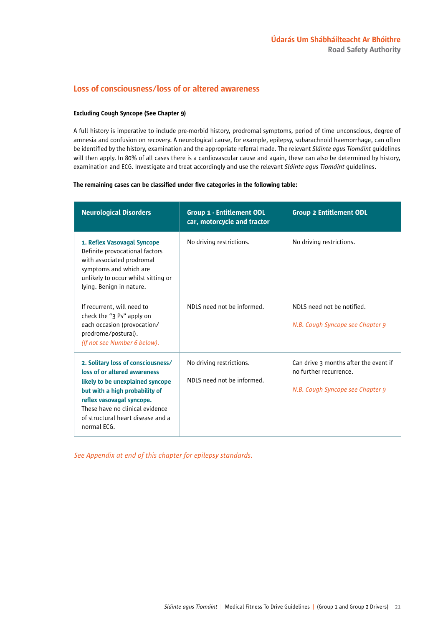### Loss of consciousness/loss of or altered awareness

#### Excluding Cough Syncope (See Chapter 9)

A full history is imperative to include pre-morbid history, prodromal symptoms, period of time unconscious, degree of amnesia and confusion on recovery. A neurological cause, for example, epilepsy, subarachnoid haemorrhage, can often be identified by the history, examination and the appropriate referral made. The relevant *Sláinte agus Tiomáint* guidelines will then apply. In 80% of all cases there is a cardiovascular cause and again, these can also be determined by history, examination and ECG. Investigate and treat accordingly and use the relevant *Sláinte agus Tiomáint* guidelines.

#### The remaining cases can be classified under five categories in the following table:

| <b>Neurological Disorders</b>                                                                                                                                                                                                                                | <b>Group 1 - Entitlement ODL</b><br>car, motorcycle and tractor | <b>Group 2 Entitlement ODL</b>                                                                      |
|--------------------------------------------------------------------------------------------------------------------------------------------------------------------------------------------------------------------------------------------------------------|-----------------------------------------------------------------|-----------------------------------------------------------------------------------------------------|
| 1. Reflex Vasovagal Syncope<br>Definite provocational factors<br>with associated prodromal<br>symptoms and which are<br>unlikely to occur whilst sitting or<br>lying. Benign in nature.                                                                      | No driving restrictions.                                        | No driving restrictions.                                                                            |
| If recurrent, will need to<br>check the "3 Ps" apply on<br>each occasion (provocation/<br>prodrome/postural).<br>(If not see Number 6 below).                                                                                                                | NDLS need not be informed.                                      | NDLS need not be notified.<br>N.B. Cough Syncope see Chapter 9                                      |
| 2. Solitary loss of consciousness/<br>loss of or altered awareness<br>likely to be unexplained syncope<br>but with a high probability of<br>reflex vasovagal syncope.<br>These have no clinical evidence<br>of structural heart disease and a<br>normal ECG. | No driving restrictions.<br>NDLS need not be informed.          | Can drive 3 months after the event if<br>no further recurrence.<br>N.B. Cough Syncope see Chapter 9 |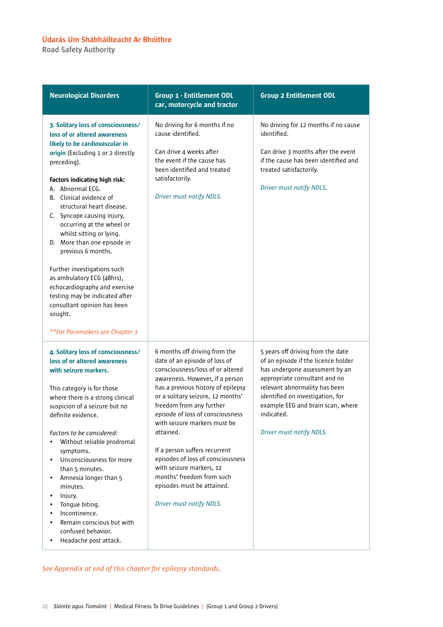Road Safety Authority

| <b>Neurological Disorders</b>                                                                                                                                                                                                                                                                                                                                                                                                                                                                                                                                                               | <b>Group 1 - Entitlement ODL</b><br>car, motorcycle and tractor                                                                                                                                                                                                                                                                                                                                                                                                                                                        | <b>Group 2 Entitlement ODL</b>                                                                                                                                                                                                                                                                  |
|---------------------------------------------------------------------------------------------------------------------------------------------------------------------------------------------------------------------------------------------------------------------------------------------------------------------------------------------------------------------------------------------------------------------------------------------------------------------------------------------------------------------------------------------------------------------------------------------|------------------------------------------------------------------------------------------------------------------------------------------------------------------------------------------------------------------------------------------------------------------------------------------------------------------------------------------------------------------------------------------------------------------------------------------------------------------------------------------------------------------------|-------------------------------------------------------------------------------------------------------------------------------------------------------------------------------------------------------------------------------------------------------------------------------------------------|
| 3. Solitary loss of consciousness/<br>loss of or altered awareness<br>likely to be cardiovascular in<br>origin (Excluding 1 or 2 directly<br>preceding).<br>Factors indicating high risk:<br>A. Abnormal ECG.<br>B. Clinical evidence of<br>structural heart disease.<br>C. Syncope causing injury,<br>occurring at the wheel or<br>whilst sitting or lying.<br>D. More than one episode in<br>previous 6 months.<br>Further investigations such<br>as ambulatory ECG (48hrs),<br>echocardiography and exercise<br>testing may be indicated after<br>consultant opinion has been<br>sought. | No driving for 6 months if no<br>cause identified.<br>Can drive 4 weeks after<br>the event if the cause has<br>been identified and treated<br>satisfactorily.<br>Driver must notify NDLS.                                                                                                                                                                                                                                                                                                                              | No driving for 12 months if no cause<br>identified.<br>Can drive 3 months after the event<br>if the cause has been identified and<br>treated satisfactorily.<br>Driver must notify NDLS.                                                                                                        |
| **For Pacemakers see Chapter 3                                                                                                                                                                                                                                                                                                                                                                                                                                                                                                                                                              |                                                                                                                                                                                                                                                                                                                                                                                                                                                                                                                        |                                                                                                                                                                                                                                                                                                 |
| 4. Solitary loss of consciousness/<br>loss of or altered awareness<br>with seizure markers.<br>This category is for those<br>where there is a strong clinical<br>suspicion of a seizure but no<br>definite evidence.<br>Factors to be considered:<br>Without reliable prodromal<br>symptoms.<br>Unconsciousness for more<br>than 5 minutes.<br>Amnesia longer than 5<br>$\bullet$<br>minutes.<br>Injury.<br>$\bullet$<br>Tongue biting.<br>$\bullet$<br>Incontinence.<br>$\bullet$<br>Remain conscious but with<br>$\bullet$<br>confused behavior.<br>Headache post attack.<br>$\bullet$    | 6 months off driving from the<br>date of an episode of loss of<br>consciousness/loss of or altered<br>awareness. However, if a person<br>has a previous history of epilepsy<br>or a solitary seizure, 12 months'<br>freedom from any further<br>episode of loss of consciousness<br>with seizure markers must be<br>attained.<br>If a person suffers recurrent<br>episodes of loss of consciousness<br>with seizure markers, 12<br>months' freedom from such<br>episodes must be attained.<br>Driver must notify NDLS. | 5 years off driving from the date<br>of an episode if the licence holder<br>has undergone assessment by an<br>appropriate consultant and no<br>relevant abnormality has been<br>identified on investigation, for<br>example EEG and brain scan, where<br>indicated.<br>Driver must notify NDLS. |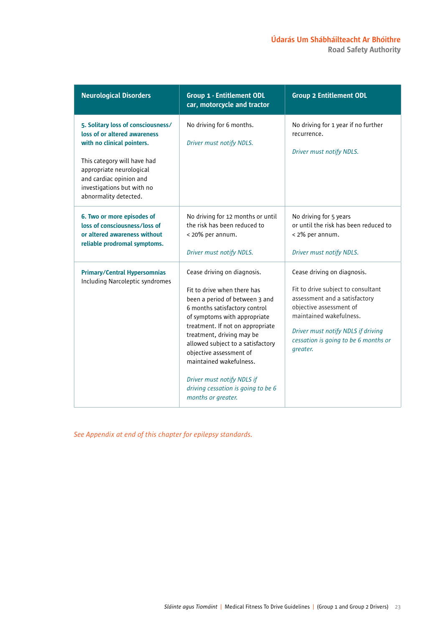| <b>Neurological Disorders</b>                                                                                                                                                                                                                 | <b>Group 1 - Entitlement ODL</b><br>car, motorcycle and tractor                                                                                                                                                                                                                                                                                                                                                     | <b>Group 2 Entitlement ODL</b>                                                                                                                                                                                                                     |
|-----------------------------------------------------------------------------------------------------------------------------------------------------------------------------------------------------------------------------------------------|---------------------------------------------------------------------------------------------------------------------------------------------------------------------------------------------------------------------------------------------------------------------------------------------------------------------------------------------------------------------------------------------------------------------|----------------------------------------------------------------------------------------------------------------------------------------------------------------------------------------------------------------------------------------------------|
| 5. Solitary loss of consciousness/<br>loss of or altered awareness<br>with no clinical pointers.<br>This category will have had<br>appropriate neurological<br>and cardiac opinion and<br>investigations but with no<br>abnormality detected. | No driving for 6 months.<br>Driver must notify NDLS.                                                                                                                                                                                                                                                                                                                                                                | No driving for 1 year if no further<br>recurrence.<br>Driver must notify NDLS.                                                                                                                                                                     |
| 6. Two or more episodes of<br>loss of consciousness/loss of<br>or altered awareness without<br>reliable prodromal symptoms.                                                                                                                   | No driving for 12 months or until<br>the risk has been reduced to<br>< 20% per annum.<br>Driver must notify NDLS.                                                                                                                                                                                                                                                                                                   | No driving for 5 years<br>or until the risk has been reduced to<br>< 2% per annum.<br>Driver must notify NDLS.                                                                                                                                     |
| <b>Primary/Central Hypersomnias</b><br>Including Narcoleptic syndromes                                                                                                                                                                        | Cease driving on diagnosis.<br>Fit to drive when there has<br>been a period of between 3 and<br>6 months satisfactory control<br>of symptoms with appropriate<br>treatment. If not on appropriate<br>treatment, driving may be<br>allowed subject to a satisfactory<br>objective assessment of<br>maintained wakefulness.<br>Driver must notify NDLS if<br>driving cessation is going to be 6<br>months or greater. | Cease driving on diagnosis.<br>Fit to drive subject to consultant<br>assessment and a satisfactory<br>objective assessment of<br>maintained wakefulness.<br>Driver must notify NDLS if driving<br>cessation is going to be 6 months or<br>greater. |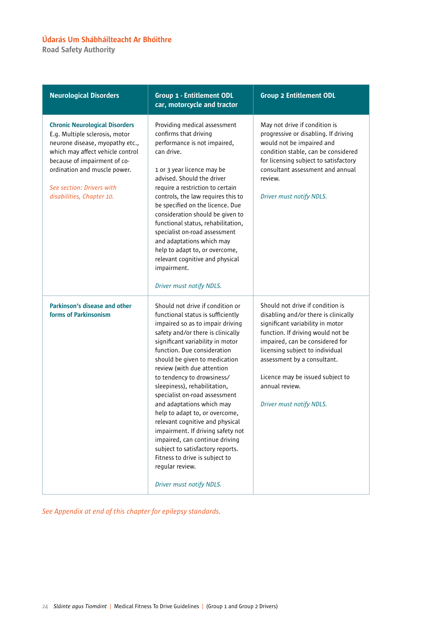Road Safety Authority

| <b>Neurological Disorders</b>                                                                                                                                                                                                                                            | <b>Group 1 - Entitlement ODL</b><br>car, motorcycle and tractor                                                                                                                                                                                                                                                                                                                                                                                                                                                                                                                                                                                                               | <b>Group 2 Entitlement ODL</b>                                                                                                                                                                                                                                                                                                           |
|--------------------------------------------------------------------------------------------------------------------------------------------------------------------------------------------------------------------------------------------------------------------------|-------------------------------------------------------------------------------------------------------------------------------------------------------------------------------------------------------------------------------------------------------------------------------------------------------------------------------------------------------------------------------------------------------------------------------------------------------------------------------------------------------------------------------------------------------------------------------------------------------------------------------------------------------------------------------|------------------------------------------------------------------------------------------------------------------------------------------------------------------------------------------------------------------------------------------------------------------------------------------------------------------------------------------|
| <b>Chronic Neurological Disorders</b><br>E.g. Multiple sclerosis, motor<br>neurone disease, myopathy etc.,<br>which may affect vehicle control<br>because of impairment of co-<br>ordination and muscle power.<br>See section: Drivers with<br>disabilities, Chapter 10. | Providing medical assessment<br>confirms that driving<br>performance is not impaired,<br>can drive.<br>1 or 3 year licence may be<br>advised. Should the driver<br>require a restriction to certain<br>controls, the law requires this to<br>be specified on the licence. Due<br>consideration should be given to<br>functional status, rehabilitation,<br>specialist on-road assessment<br>and adaptations which may<br>help to adapt to, or overcome,<br>relevant cognitive and physical<br>impairment.<br>Driver must notify NDLS.                                                                                                                                         | May not drive if condition is<br>progressive or disabling. If driving<br>would not be impaired and<br>condition stable, can be considered<br>for licensing subject to satisfactory<br>consultant assessment and annual<br>review.<br>Driver must notify NDLS.                                                                            |
| Parkinson's disease and other<br>forms of Parkinsonism                                                                                                                                                                                                                   | Should not drive if condition or<br>functional status is sufficiently<br>impaired so as to impair driving<br>safety and/or there is clinically<br>significant variability in motor<br>function. Due consideration<br>should be given to medication<br>review (with due attention<br>to tendency to drowsiness/<br>sleepiness), rehabilitation,<br>specialist on-road assessment<br>and adaptations which may<br>help to adapt to, or overcome,<br>relevant cognitive and physical<br>impairment. If driving safety not<br>impaired, can continue driving<br>subject to satisfactory reports.<br>Fitness to drive is subject to<br>regular review.<br>Driver must notify NDLS. | Should not drive if condition is<br>disabling and/or there is clinically<br>significant variability in motor<br>function. If driving would not be<br>impaired, can be considered for<br>licensing subject to individual<br>assessment by a consultant.<br>Licence may be issued subject to<br>annual review.<br>Driver must notify NDLS. |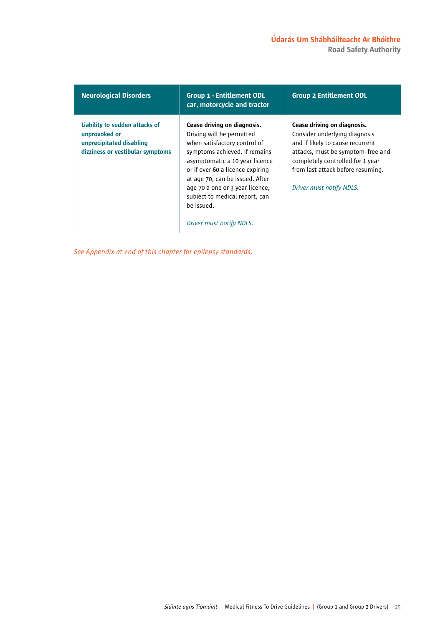### Údarás Um Shábháilteacht Ar Bhóithre Road Safety Authority

| <b>Neurological Disorders</b>                                                                                   | <b>Group 1 - Entitlement ODL</b><br>car, motorcycle and tractor                                                                                                                                                                                                                                                                                   | <b>Group 2 Entitlement ODL</b>                                                                                                                                                                                                             |
|-----------------------------------------------------------------------------------------------------------------|---------------------------------------------------------------------------------------------------------------------------------------------------------------------------------------------------------------------------------------------------------------------------------------------------------------------------------------------------|--------------------------------------------------------------------------------------------------------------------------------------------------------------------------------------------------------------------------------------------|
| Liability to sudden attacks of<br>unprovoked or<br>unprecipitated disabling<br>dizziness or vestibular symptoms | Cease driving on diagnosis.<br>Driving will be permitted<br>when satisfactory control of<br>symptoms achieved. If remains<br>asymptomatic a 10 year licence<br>or if over 60 a licence expiring<br>at age 70, can be issued. After<br>age 70 a one or 3 year licence,<br>subject to medical report, can<br>be issued.<br>Driver must notify NDLS. | Cease driving on diagnosis.<br>Consider underlying diagnosis<br>and if likely to cause recurrent<br>attacks, must be symptom-free and<br>completely controlled for 1 year<br>from last attack before resuming.<br>Driver must notify NDLS. |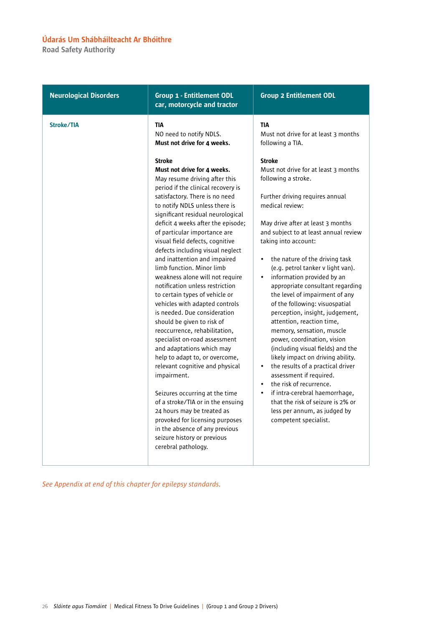Road Safety Authority

| <b>Neurological Disorders</b> | <b>Group 1 - Entitlement ODL</b><br>car, motorcycle and tractor                                                                                                                                                                                                                                                                                                                                                                                                                                                                                                                                                                                                                                                                                                                                                                                                                                                                                                                                                                                                                                                                           | <b>Group 2 Entitlement ODL</b>                                                                                                                                                                                                                                                                                                                                                                                                                                                                                                                                                                                                                                                                                                                                                                                                                                                                                                                                                                                                    |
|-------------------------------|-------------------------------------------------------------------------------------------------------------------------------------------------------------------------------------------------------------------------------------------------------------------------------------------------------------------------------------------------------------------------------------------------------------------------------------------------------------------------------------------------------------------------------------------------------------------------------------------------------------------------------------------------------------------------------------------------------------------------------------------------------------------------------------------------------------------------------------------------------------------------------------------------------------------------------------------------------------------------------------------------------------------------------------------------------------------------------------------------------------------------------------------|-----------------------------------------------------------------------------------------------------------------------------------------------------------------------------------------------------------------------------------------------------------------------------------------------------------------------------------------------------------------------------------------------------------------------------------------------------------------------------------------------------------------------------------------------------------------------------------------------------------------------------------------------------------------------------------------------------------------------------------------------------------------------------------------------------------------------------------------------------------------------------------------------------------------------------------------------------------------------------------------------------------------------------------|
| Stroke/TIA                    | <b>TIA</b><br>NO need to notify NDLS.<br>Must not drive for 4 weeks.<br><b>Stroke</b><br>Must not drive for 4 weeks.<br>May resume driving after this<br>period if the clinical recovery is<br>satisfactory. There is no need<br>to notify NDLS unless there is<br>significant residual neurological<br>deficit 4 weeks after the episode;<br>of particular importance are<br>visual field defects, cognitive<br>defects including visual neglect<br>and inattention and impaired<br>limb function. Minor limb<br>weakness alone will not require<br>notification unless restriction<br>to certain types of vehicle or<br>vehicles with adapted controls<br>is needed. Due consideration<br>should be given to risk of<br>reoccurrence, rehabilitation,<br>specialist on-road assessment<br>and adaptations which may<br>help to adapt to, or overcome,<br>relevant cognitive and physical<br>impairment.<br>Seizures occurring at the time<br>of a stroke/TIA or in the ensuing<br>24 hours may be treated as<br>provoked for licensing purposes<br>in the absence of any previous<br>seizure history or previous<br>cerebral pathology. | <b>TIA</b><br>Must not drive for at least 3 months<br>following a TIA.<br><b>Stroke</b><br>Must not drive for at least 3 months<br>following a stroke.<br>Further driving requires annual<br>medical review:<br>May drive after at least 3 months<br>and subject to at least annual review<br>taking into account:<br>the nature of the driving task<br>$\bullet$<br>(e.g. petrol tanker v light van).<br>information provided by an<br>$\bullet$<br>appropriate consultant regarding<br>the level of impairment of any<br>of the following: visuospatial<br>perception, insight, judgement,<br>attention, reaction time,<br>memory, sensation, muscle<br>power, coordination, vision<br>(including visual fields) and the<br>likely impact on driving ability.<br>the results of a practical driver<br>$\bullet$<br>assessment if required.<br>the risk of recurrence.<br>$\bullet$<br>if intra-cerebral haemorrhage,<br>$\bullet$<br>that the risk of seizure is 2% or<br>less per annum, as judged by<br>competent specialist. |
|                               |                                                                                                                                                                                                                                                                                                                                                                                                                                                                                                                                                                                                                                                                                                                                                                                                                                                                                                                                                                                                                                                                                                                                           |                                                                                                                                                                                                                                                                                                                                                                                                                                                                                                                                                                                                                                                                                                                                                                                                                                                                                                                                                                                                                                   |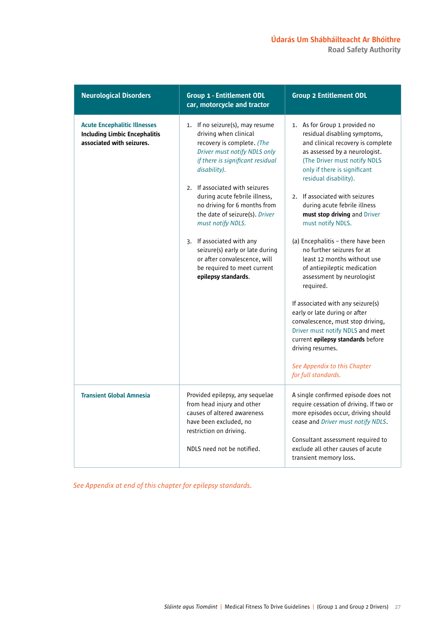### Údarás Um Shábháilteacht Ar Bhóithre Road Safety Authority

| <b>Neurological Disorders</b>                                                                            | <b>Group 1 - Entitlement ODL</b><br>car, motorcycle and tractor                                                                                                                                                                                                                                                                                                                                                                                                                            | <b>Group 2 Entitlement ODL</b>                                                                                                                                                                                                                                                                                                                                                                                                                                                                                                                                                                                                                                                                                                                                                                 |
|----------------------------------------------------------------------------------------------------------|--------------------------------------------------------------------------------------------------------------------------------------------------------------------------------------------------------------------------------------------------------------------------------------------------------------------------------------------------------------------------------------------------------------------------------------------------------------------------------------------|------------------------------------------------------------------------------------------------------------------------------------------------------------------------------------------------------------------------------------------------------------------------------------------------------------------------------------------------------------------------------------------------------------------------------------------------------------------------------------------------------------------------------------------------------------------------------------------------------------------------------------------------------------------------------------------------------------------------------------------------------------------------------------------------|
| <b>Acute Encephalitic Illnesses</b><br><b>Including Limbic Encephalitis</b><br>associated with seizures. | 1. If no seizure(s), may resume<br>driving when clinical<br>recovery is complete. (The<br>Driver must notify NDLS only<br>if there is significant residual<br>disability).<br>2. If associated with seizures<br>during acute febrile illness,<br>no driving for 6 months from<br>the date of seizure(s). Driver<br>must notify NDLS.<br>3. If associated with any<br>seizure(s) early or late during<br>or after convalescence, will<br>be required to meet current<br>epilepsy standards. | 1. As for Group 1 provided no<br>residual disabling symptoms,<br>and clinical recovery is complete<br>as assessed by a neurologist.<br>(The Driver must notify NDLS<br>only if there is significant<br>residual disability).<br>2. If associated with seizures<br>during acute febrile illness<br>must stop driving and Driver<br>must notify NDLS.<br>(a) Encephalitis - there have been<br>no further seizures for at<br>least 12 months without use<br>of antiepileptic medication<br>assessment by neurologist<br>required.<br>If associated with any seizure(s)<br>early or late during or after<br>convalescence, must stop driving,<br>Driver must notify NDLS and meet<br>current epilepsy standards before<br>driving resumes.<br>See Appendix to this Chapter<br>for full standards. |
| <b>Transient Global Amnesia</b>                                                                          | Provided epilepsy, any sequelae<br>from head injury and other<br>causes of altered awareness<br>have been excluded, no<br>restriction on driving.<br>NDLS need not be notified.                                                                                                                                                                                                                                                                                                            | A single confirmed episode does not<br>require cessation of driving. If two or<br>more episodes occur, driving should<br>cease and Driver must notify NDLS.<br>Consultant assessment required to<br>exclude all other causes of acute<br>transient memory loss.                                                                                                                                                                                                                                                                                                                                                                                                                                                                                                                                |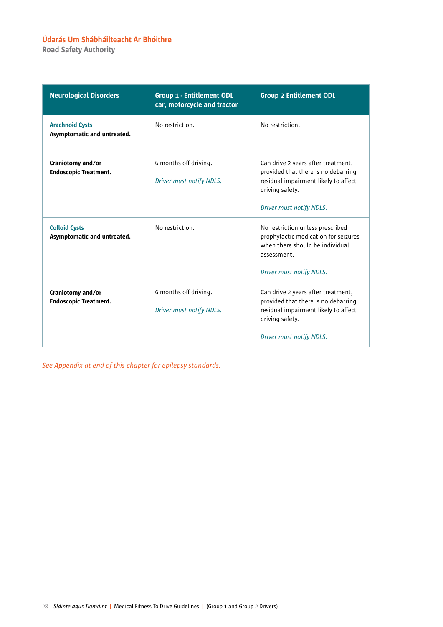Road Safety Authority

| <b>Neurological Disorders</b>                         | <b>Group 1 - Entitlement ODL</b><br>car, motorcycle and tractor | <b>Group 2 Entitlement ODL</b>                                                                                                                                   |
|-------------------------------------------------------|-----------------------------------------------------------------|------------------------------------------------------------------------------------------------------------------------------------------------------------------|
| <b>Arachnoid Cysts</b><br>Asymptomatic and untreated. | No restriction.                                                 | No restriction.                                                                                                                                                  |
| Craniotomy and/or<br><b>Endoscopic Treatment.</b>     | 6 months off driving.<br>Driver must notify NDLS.               | Can drive 2 years after treatment,<br>provided that there is no debarring<br>residual impairment likely to affect<br>driving safety.<br>Driver must notify NDLS. |
| <b>Colloid Cysts</b><br>Asymptomatic and untreated.   | No restriction.                                                 | No restriction unless prescribed<br>prophylactic medication for seizures<br>when there should be individual<br>assessment.<br>Driver must notify NDLS.           |
| Craniotomy and/or<br><b>Endoscopic Treatment.</b>     | 6 months off driving.<br>Driver must notify NDLS.               | Can drive 2 years after treatment,<br>provided that there is no debarring<br>residual impairment likely to affect<br>driving safety.<br>Driver must notify NDLS. |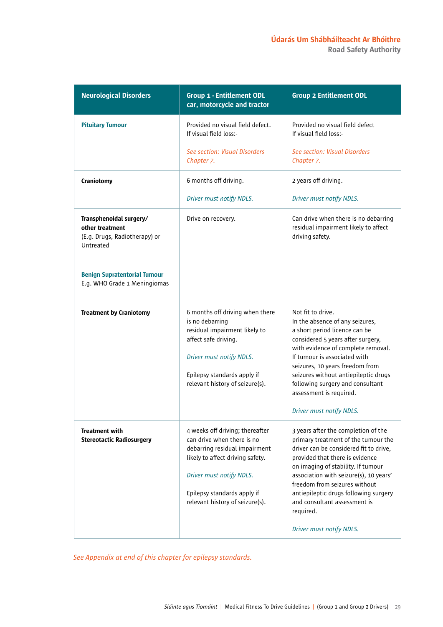Road Safety Authority

| <b>Neurological Disorders</b>                                                            | <b>Group 1 - Entitlement ODL</b><br>car, motorcycle and tractor                                                                                                                                                                  | <b>Group 2 Entitlement ODL</b>                                                                                                                                                                                                                                                                                                                                                             |
|------------------------------------------------------------------------------------------|----------------------------------------------------------------------------------------------------------------------------------------------------------------------------------------------------------------------------------|--------------------------------------------------------------------------------------------------------------------------------------------------------------------------------------------------------------------------------------------------------------------------------------------------------------------------------------------------------------------------------------------|
| <b>Pituitary Tumour</b>                                                                  | Provided no visual field defect.<br>If visual field loss:-                                                                                                                                                                       | Provided no visual field defect<br>If visual field loss:-                                                                                                                                                                                                                                                                                                                                  |
|                                                                                          | See section: Visual Disorders<br>Chapter 7.                                                                                                                                                                                      | See section: Visual Disorders<br>Chapter 7.                                                                                                                                                                                                                                                                                                                                                |
| Craniotomy                                                                               | 6 months off driving.                                                                                                                                                                                                            | 2 years off driving.                                                                                                                                                                                                                                                                                                                                                                       |
|                                                                                          | Driver must notify NDLS.                                                                                                                                                                                                         | Driver must notify NDLS.                                                                                                                                                                                                                                                                                                                                                                   |
| Transphenoidal surgery/<br>other treatment<br>(E.g. Drugs, Radiotherapy) or<br>Untreated | Drive on recovery.                                                                                                                                                                                                               | Can drive when there is no debarring<br>residual impairment likely to affect<br>driving safety.                                                                                                                                                                                                                                                                                            |
| <b>Benign Supratentorial Tumour</b><br>E.g. WHO Grade 1 Meningiomas                      |                                                                                                                                                                                                                                  |                                                                                                                                                                                                                                                                                                                                                                                            |
| <b>Treatment by Craniotomy</b>                                                           | 6 months off driving when there<br>is no debarring<br>residual impairment likely to<br>affect safe driving.<br>Driver must notify NDLS.<br>Epilepsy standards apply if<br>relevant history of seizure(s).                        | Not fit to drive.<br>In the absence of any seizures,<br>a short period licence can be<br>considered 5 years after surgery,<br>with evidence of complete removal.<br>If tumour is associated with<br>seizures, 10 years freedom from<br>seizures without antiepileptic drugs<br>following surgery and consultant<br>assessment is required.<br>Driver must notify NDLS.                     |
| <b>Treatment with</b><br><b>Stereotactic Radiosurgery</b>                                | 4 weeks off driving; thereafter<br>can drive when there is no<br>debarring residual impairment<br>likely to affect driving safety.<br>Driver must notify NDLS.<br>Epilepsy standards apply if<br>relevant history of seizure(s). | 3 years after the completion of the<br>primary treatment of the tumour the<br>driver can be considered fit to drive,<br>provided that there is evidence<br>on imaging of stability. If tumour<br>association with seizure(s), 10 years'<br>freedom from seizures without<br>antiepileptic drugs following surgery<br>and consultant assessment is<br>required.<br>Driver must notify NDLS. |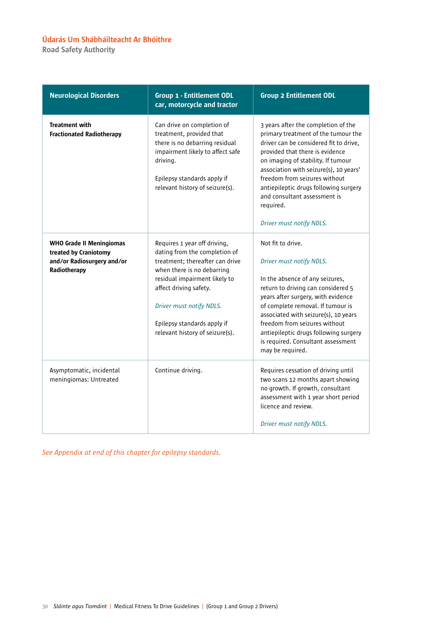Road Safety Authority

| <b>Neurological Disorders</b>                                                                          | <b>Group 1 - Entitlement ODL</b><br>car, motorcycle and tractor                                                                                                                                                                                                                         | <b>Group 2 Entitlement ODL</b>                                                                                                                                                                                                                                                                                                                                                             |
|--------------------------------------------------------------------------------------------------------|-----------------------------------------------------------------------------------------------------------------------------------------------------------------------------------------------------------------------------------------------------------------------------------------|--------------------------------------------------------------------------------------------------------------------------------------------------------------------------------------------------------------------------------------------------------------------------------------------------------------------------------------------------------------------------------------------|
| <b>Treatment with</b><br><b>Fractionated Radiotherapy</b>                                              | Can drive on completion of<br>treatment, provided that<br>there is no debarring residual<br>impairment likely to affect safe<br>driving.<br>Epilepsy standards apply if<br>relevant history of seizure(s).                                                                              | 3 years after the completion of the<br>primary treatment of the tumour the<br>driver can be considered fit to drive,<br>provided that there is evidence<br>on imaging of stability. If tumour<br>association with seizure(s), 10 years'<br>freedom from seizures without<br>antiepileptic drugs following surgery<br>and consultant assessment is<br>required.<br>Driver must notify NDLS. |
| <b>WHO Grade II Meningiomas</b><br>treated by Craniotomy<br>and/or Radiosurgery and/or<br>Radiotherapy | Requires 1 year off driving,<br>dating from the completion of<br>treatment; thereafter can drive<br>when there is no debarring<br>residual impairment likely to<br>affect driving safety.<br>Driver must notify NDLS.<br>Epilepsy standards apply if<br>relevant history of seizure(s). | Not fit to drive.<br>Driver must notify NDLS.<br>In the absence of any seizures,<br>return to driving can considered 5<br>years after surgery, with evidence<br>of complete removal. If tumour is<br>associated with seizure(s), 10 years<br>freedom from seizures without<br>antiepileptic drugs following surgery<br>is required. Consultant assessment<br>may be required.              |
| Asymptomatic, incidental<br>meningiomas: Untreated                                                     | Continue driving.                                                                                                                                                                                                                                                                       | Requires cessation of driving until<br>two scans 12 months apart showing<br>no growth. If growth, consultant<br>assessment with 1 year short period<br>licence and review.<br>Driver must notify NDLS.                                                                                                                                                                                     |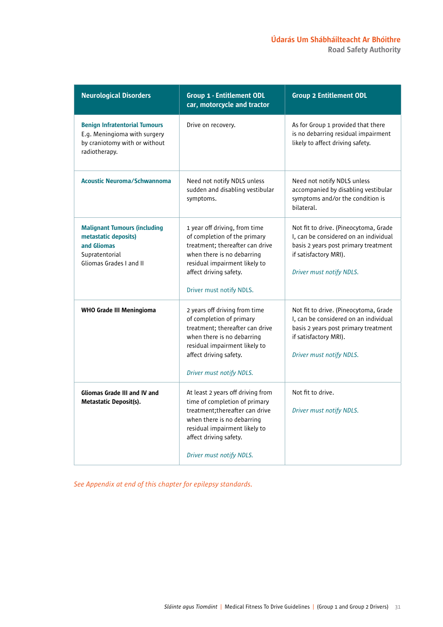Road Safety Authority

| <b>Neurological Disorders</b>                                                                                           | <b>Group 1 - Entitlement ODL</b><br>car, motorcycle and tractor                                                                                                                                                            | <b>Group 2 Entitlement ODL</b>                                                                                                                                              |
|-------------------------------------------------------------------------------------------------------------------------|----------------------------------------------------------------------------------------------------------------------------------------------------------------------------------------------------------------------------|-----------------------------------------------------------------------------------------------------------------------------------------------------------------------------|
| <b>Benign Infratentorial Tumours</b><br>E.g. Meningioma with surgery<br>by craniotomy with or without<br>radiotherapy.  | Drive on recovery.                                                                                                                                                                                                         | As for Group 1 provided that there<br>is no debarring residual impairment<br>likely to affect driving safety.                                                               |
| <b>Acoustic Neuroma/Schwannoma</b>                                                                                      | Need not notify NDLS unless<br>sudden and disabling vestibular<br>symptoms.                                                                                                                                                | Need not notify NDLS unless<br>accompanied by disabling vestibular<br>symptoms and/or the condition is<br>bilateral.                                                        |
| <b>Malignant Tumours (including</b><br>metastatic deposits)<br>and Gliomas<br>Supratentorial<br>Gliomas Grades I and II | 1 year off driving, from time<br>of completion of the primary<br>treatment; thereafter can drive<br>when there is no debarring<br>residual impairment likely to<br>affect driving safety.<br>Driver must notify NDLS.      | Not fit to drive. (Pineocytoma, Grade<br>I, can be considered on an individual<br>basis 2 years post primary treatment<br>if satisfactory MRI).<br>Driver must notify NDLS. |
| <b>WHO Grade III Meningioma</b>                                                                                         | 2 years off driving from time<br>of completion of primary<br>treatment; thereafter can drive<br>when there is no debarring<br>residual impairment likely to<br>affect driving safety.<br>Driver must notify NDLS.          | Not fit to drive. (Pineocytoma, Grade<br>I, can be considered on an individual<br>basis 2 years post primary treatment<br>if satisfactory MRI).<br>Driver must notify NDLS. |
| <b>Gliomas Grade III and IV and</b><br><b>Metastatic Deposit(s).</b>                                                    | At least 2 years off driving from<br>time of completion of primary<br>treatment; thereafter can drive<br>when there is no debarring<br>residual impairment likely to<br>affect driving safety.<br>Driver must notify NDLS. | Not fit to drive.<br>Driver must notify NDLS.                                                                                                                               |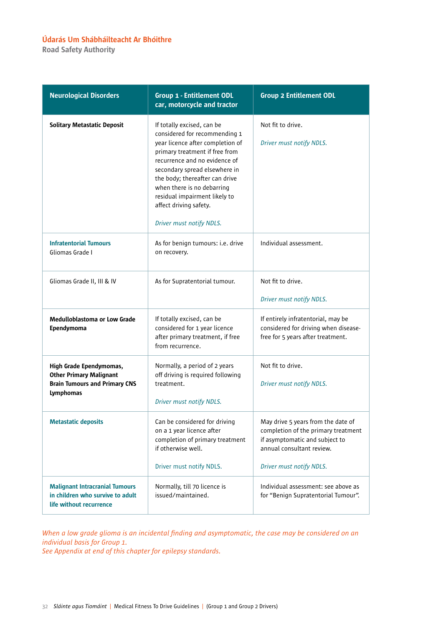Road Safety Authority

| <b>Neurological Disorders</b>                                                                                         | <b>Group 1 - Entitlement ODL</b><br>car, motorcycle and tractor                                                                                                                                                                                                                                                                                            | <b>Group 2 Entitlement ODL</b>                                                                                                                                       |
|-----------------------------------------------------------------------------------------------------------------------|------------------------------------------------------------------------------------------------------------------------------------------------------------------------------------------------------------------------------------------------------------------------------------------------------------------------------------------------------------|----------------------------------------------------------------------------------------------------------------------------------------------------------------------|
| <b>Solitary Metastatic Deposit</b>                                                                                    | If totally excised, can be<br>considered for recommending 1<br>year licence after completion of<br>primary treatment if free from<br>recurrence and no evidence of<br>secondary spread elsewhere in<br>the body; thereafter can drive<br>when there is no debarring<br>residual impairment likely to<br>affect driving safety.<br>Driver must notify NDLS. | Not fit to drive.<br>Driver must notify NDLS.                                                                                                                        |
| <b>Infratentorial Tumours</b><br>Gliomas Grade I                                                                      | As for benign tumours: i.e. drive<br>on recovery.                                                                                                                                                                                                                                                                                                          | Individual assessment.                                                                                                                                               |
| Gliomas Grade II, III & IV                                                                                            | As for Supratentorial tumour.                                                                                                                                                                                                                                                                                                                              | Not fit to drive.<br>Driver must notify NDLS.                                                                                                                        |
| <b>Medulloblastoma or Low Grade</b><br>Ependymoma                                                                     | If totally excised, can be<br>considered for 1 year licence<br>after primary treatment, if free<br>from recurrence.                                                                                                                                                                                                                                        | If entirely infratentorial, may be<br>considered for driving when disease-<br>free for 5 years after treatment.                                                      |
| High Grade Ependymomas,<br><b>Other Primary Malignant</b><br><b>Brain Tumours and Primary CNS</b><br><b>Lymphomas</b> | Normally, a period of 2 years<br>off driving is required following<br>treatment.<br>Driver must notify NDLS.                                                                                                                                                                                                                                               | Not fit to drive.<br>Driver must notify NDLS.                                                                                                                        |
| <b>Metastatic deposits</b>                                                                                            | Can be considered for driving<br>on a 1 year licence after<br>completion of primary treatment<br>if otherwise well.<br>Driver must notify NDLS.                                                                                                                                                                                                            | May drive 5 years from the date of<br>completion of the primary treatment<br>if asymptomatic and subject to<br>annual consultant review.<br>Driver must notify NDLS. |
| <b>Malignant Intracranial Tumours</b><br>in children who survive to adult<br>life without recurrence                  | Normally, till 70 licence is<br>issued/maintained.                                                                                                                                                                                                                                                                                                         | Individual assessment: see above as<br>for "Benign Supratentorial Tumour".                                                                                           |

*When a low grade glioma is an incidental finding and asymptomatic, the case may be considered on an individual basis for Group 1. See Appendix at end of this chapter for epilepsy standards.*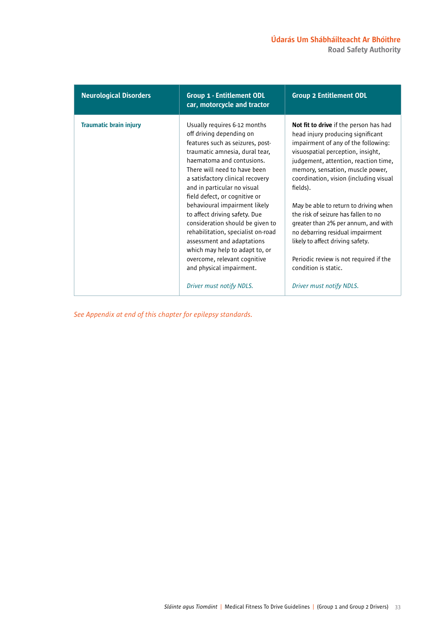| <b>Neurological Disorders</b> | <b>Group 1 - Entitlement ODL</b><br>car, motorcycle and tractor                                                                                                                                                                                                                                                                                                                                                                                                                                                                                                                                     | <b>Group 2 Entitlement ODL</b>                                                                                                                                                                                                                                                                                                                                                                                                                                                                                                                                                                 |
|-------------------------------|-----------------------------------------------------------------------------------------------------------------------------------------------------------------------------------------------------------------------------------------------------------------------------------------------------------------------------------------------------------------------------------------------------------------------------------------------------------------------------------------------------------------------------------------------------------------------------------------------------|------------------------------------------------------------------------------------------------------------------------------------------------------------------------------------------------------------------------------------------------------------------------------------------------------------------------------------------------------------------------------------------------------------------------------------------------------------------------------------------------------------------------------------------------------------------------------------------------|
| <b>Traumatic brain injury</b> | Usually requires 6-12 months<br>off driving depending on<br>features such as seizures, post-<br>traumatic amnesia, dural tear,<br>haematoma and contusions.<br>There will need to have been<br>a satisfactory clinical recovery<br>and in particular no visual<br>field defect, or cognitive or<br>behavioural impairment likely<br>to affect driving safety. Due<br>consideration should be given to<br>rehabilitation, specialist on-road<br>assessment and adaptations<br>which may help to adapt to, or<br>overcome, relevant cognitive<br>and physical impairment.<br>Driver must notify NDLS. | <b>Not fit to drive</b> if the person has had<br>head injury producing significant<br>impairment of any of the following:<br>visuospatial perception, insight,<br>judgement, attention, reaction time,<br>memory, sensation, muscle power,<br>coordination, vision (including visual<br>fields).<br>May be able to return to driving when<br>the risk of seizure has fallen to no<br>greater than 2% per annum, and with<br>no debarring residual impairment<br>likely to affect driving safety.<br>Periodic review is not required if the<br>condition is static.<br>Driver must notify NDLS. |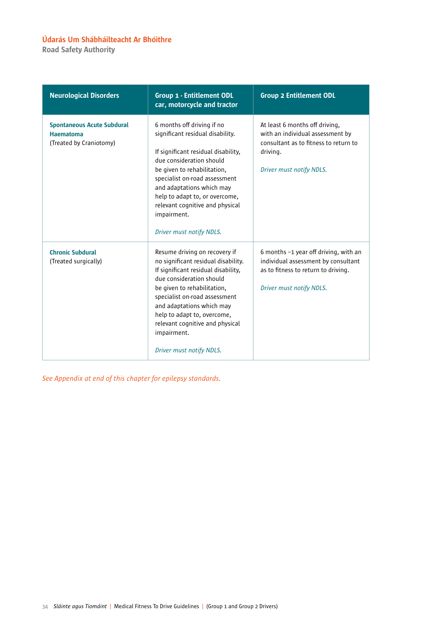Road Safety Authority

| <b>Neurological Disorders</b>                                                    | <b>Group 1 - Entitlement ODL</b><br>car, motorcycle and tractor                                                                                                                                                                                                                                                                                   | <b>Group 2 Entitlement ODL</b>                                                                                                                      |
|----------------------------------------------------------------------------------|---------------------------------------------------------------------------------------------------------------------------------------------------------------------------------------------------------------------------------------------------------------------------------------------------------------------------------------------------|-----------------------------------------------------------------------------------------------------------------------------------------------------|
| <b>Spontaneous Acute Subdural</b><br><b>Haematoma</b><br>(Treated by Craniotomy) | 6 months off driving if no<br>significant residual disability.<br>If significant residual disability,<br>due consideration should<br>be given to rehabilitation,<br>specialist on-road assessment<br>and adaptations which may<br>help to adapt to, or overcome,<br>relevant cognitive and physical<br>impairment.<br>Driver must notify NDLS.    | At least 6 months off driving,<br>with an individual assessment by<br>consultant as to fitness to return to<br>driving.<br>Driver must notify NDLS. |
| <b>Chronic Subdural</b><br>(Treated surgically)                                  | Resume driving on recovery if<br>no significant residual disability.<br>If significant residual disability,<br>due consideration should<br>be given to rehabilitation,<br>specialist on-road assessment<br>and adaptations which may<br>help to adapt to, overcome,<br>relevant cognitive and physical<br>impairment.<br>Driver must notify NDLS. | 6 months -1 year off driving, with an<br>individual assessment by consultant<br>as to fitness to return to driving.<br>Driver must notify NDLS.     |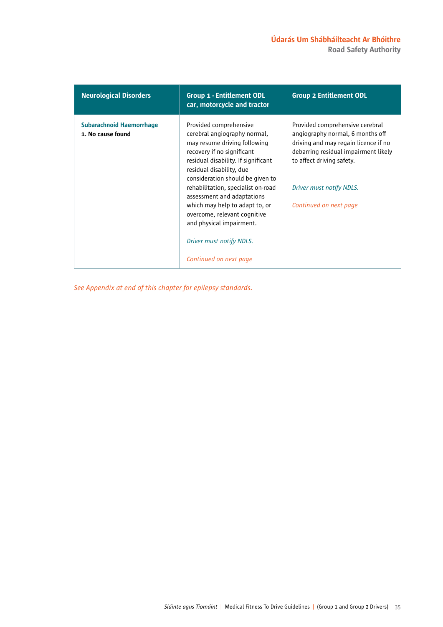| <b>Neurological Disorders</b>                        | <b>Group 1 - Entitlement ODL</b><br>car, motorcycle and tractor                                                                                                                                                                                                                                                                                                                                                                                     | <b>Group 2 Entitlement ODL</b>                                                                                                                                                                                                         |
|------------------------------------------------------|-----------------------------------------------------------------------------------------------------------------------------------------------------------------------------------------------------------------------------------------------------------------------------------------------------------------------------------------------------------------------------------------------------------------------------------------------------|----------------------------------------------------------------------------------------------------------------------------------------------------------------------------------------------------------------------------------------|
| <b>Subarachnoid Haemorrhage</b><br>1. No cause found | Provided comprehensive<br>cerebral angiography normal,<br>may resume driving following<br>recovery if no significant<br>residual disability. If significant<br>residual disability, due<br>consideration should be given to<br>rehabilitation, specialist on-road<br>assessment and adaptations<br>which may help to adapt to, or<br>overcome, relevant cognitive<br>and physical impairment.<br>Driver must notify NDLS.<br>Continued on next page | Provided comprehensive cerebral<br>angiography normal, 6 months off<br>driving and may regain licence if no<br>debarring residual impairment likely<br>to affect driving safety.<br>Driver must notify NDLS.<br>Continued on next page |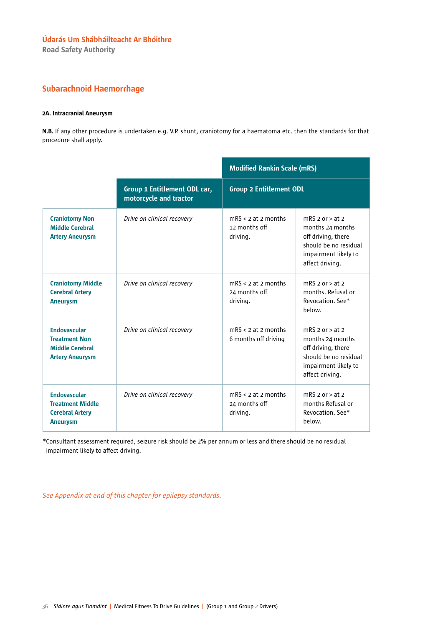Road Safety Authority

## Subarachnoid Haemorrhage

### 2A. Intracranial Aneurysm

N.B. If any other procedure is undertaken e.g. V.P. shunt, craniotomy for a haematoma etc. then the standards for that procedure shall apply.

|                                                                                                 |                                                        | <b>Modified Rankin Scale (mRS)</b>                 |                                                                                                                                     |
|-------------------------------------------------------------------------------------------------|--------------------------------------------------------|----------------------------------------------------|-------------------------------------------------------------------------------------------------------------------------------------|
|                                                                                                 | Group 1 Entitlement ODL car,<br>motorcycle and tractor | <b>Group 2 Entitlement ODL</b>                     |                                                                                                                                     |
| <b>Craniotomy Non</b><br><b>Middle Cerebral</b><br><b>Artery Aneurysm</b>                       | Drive on clinical recovery                             | $mRS < 2$ at 2 months<br>12 months off<br>driving. | mRS $2$ or $>$ at $2$<br>months 24 months<br>off driving, there<br>should be no residual<br>impairment likely to<br>affect driving. |
| <b>Craniotomy Middle</b><br><b>Cerebral Artery</b><br><b>Aneurysm</b>                           | Drive on clinical recovery                             | $mRS < 2$ at 2 months<br>24 months off<br>driving. | $mRS$ 2 or $>$ at 2<br>months. Refusal or<br>Revocation, See*<br>below.                                                             |
| <b>Endovascular</b><br><b>Treatment Non</b><br><b>Middle Cerebral</b><br><b>Artery Aneurysm</b> | Drive on clinical recovery                             | $mRS < 2$ at 2 months<br>6 months off driving      | mRS $2$ or $>$ at $2$<br>months 24 months<br>off driving, there<br>should be no residual<br>impairment likely to<br>affect driving. |
| <b>Endovascular</b><br><b>Treatment Middle</b><br><b>Cerebral Artery</b><br><b>Aneurysm</b>     | Drive on clinical recovery                             | $mRS < 2$ at 2 months<br>24 months off<br>driving. | $mRS$ 2 or $>$ at 2<br>months Refusal or<br>Revocation, See*<br>below.                                                              |

\*Consultant assessment required, seizure risk should be 2% per annum or less and there should be no residual impairment likely to affect driving.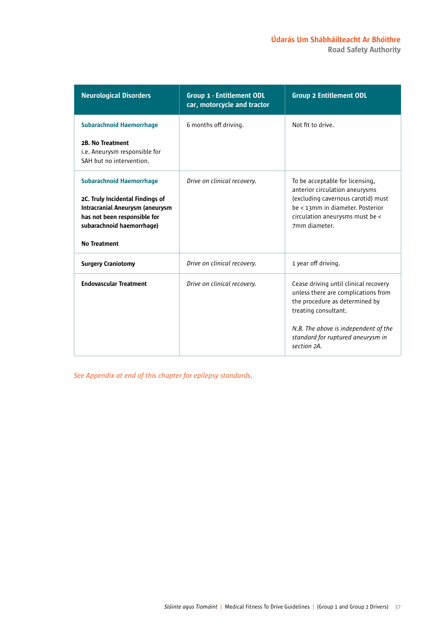| <b>Neurological Disorders</b>                                                                                                           | <b>Group 1 - Entitlement ODL</b><br>car, motorcycle and tractor | <b>Group 2 Entitlement ODL</b>                                                                                                         |
|-----------------------------------------------------------------------------------------------------------------------------------------|-----------------------------------------------------------------|----------------------------------------------------------------------------------------------------------------------------------------|
| <b>Subarachnoid Haemorrhage</b>                                                                                                         | 6 months off driving.                                           | Not fit to drive.                                                                                                                      |
| 2B. No Treatment<br>i.e. Aneurysm responsible for<br>SAH but no intervention.                                                           |                                                                 |                                                                                                                                        |
| <b>Subarachnoid Haemorrhage</b>                                                                                                         | Drive on clinical recovery.                                     | To be acceptable for licensing,<br>anterior circulation aneurysms                                                                      |
| 2C. Truly Incidental Findings of<br><b>Intracranial Aneurysm (aneurysm</b><br>has not been responsible for<br>subarachnoid haemorrhage) |                                                                 | (excluding cavernous carotid) must<br>be < 13mm in diameter. Posterior<br>circulation aneurysms must be <<br>7mm diameter.             |
| <b>No Treatment</b>                                                                                                                     |                                                                 |                                                                                                                                        |
| <b>Surgery Craniotomy</b>                                                                                                               | Drive on clinical recovery.                                     | 1 year off driving.                                                                                                                    |
| <b>Endovascular Treatment</b>                                                                                                           | Drive on clinical recovery.                                     | Cease driving until clinical recovery<br>unless there are complications from<br>the procedure as determined by<br>treating consultant. |
|                                                                                                                                         |                                                                 | N.B. The above is independent of the<br>standard for ruptured aneurysm in<br>section 2A.                                               |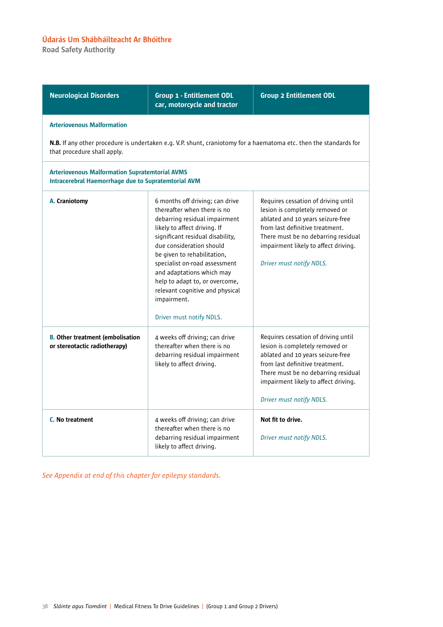Road Safety Authority

| <b>Neurological Disorders</b>                                                                                       | <b>Group 1 - Entitlement ODL</b><br>car, motorcycle and tractor                                                                                                                                                                                                                                                                                                                                              | <b>Group 2 Entitlement ODL</b>                                                                                                                                                                                                                            |
|---------------------------------------------------------------------------------------------------------------------|--------------------------------------------------------------------------------------------------------------------------------------------------------------------------------------------------------------------------------------------------------------------------------------------------------------------------------------------------------------------------------------------------------------|-----------------------------------------------------------------------------------------------------------------------------------------------------------------------------------------------------------------------------------------------------------|
| <b>Arteriovenous Malformation</b>                                                                                   |                                                                                                                                                                                                                                                                                                                                                                                                              |                                                                                                                                                                                                                                                           |
| that procedure shall apply.                                                                                         |                                                                                                                                                                                                                                                                                                                                                                                                              | N.B. If any other procedure is undertaken e.g. V.P. shunt, craniotomy for a haematoma etc. then the standards for                                                                                                                                         |
| <b>Arteriovenous Malformation Supratemtorial AVMS</b><br><b>Intracerebral Haemorrhage due to Supratemtorial AVM</b> |                                                                                                                                                                                                                                                                                                                                                                                                              |                                                                                                                                                                                                                                                           |
| A. Craniotomy                                                                                                       | 6 months off driving; can drive<br>thereafter when there is no<br>debarring residual impairment<br>likely to affect driving. If<br>significant residual disability,<br>due consideration should<br>be given to rehabilitation,<br>specialist on-road assessment<br>and adaptations which may<br>help to adapt to, or overcome,<br>relevant cognitive and physical<br>impairment.<br>Driver must notify NDLS. | Requires cessation of driving until<br>lesion is completely removed or<br>ablated and 10 years seizure-free<br>from last definitive treatment.<br>There must be no debarring residual<br>impairment likely to affect driving.<br>Driver must notify NDLS. |
| <b>B.</b> Other treatment (embolisation<br>or stereotactic radiotherapy)                                            | 4 weeks off driving; can drive<br>thereafter when there is no<br>debarring residual impairment<br>likely to affect driving.                                                                                                                                                                                                                                                                                  | Requires cessation of driving until<br>lesion is completely removed or<br>ablated and 10 years seizure-free<br>from last definitive treatment.<br>There must be no debarring residual<br>impairment likely to affect driving.<br>Driver must notify NDLS. |
| <b>C.</b> No treatment                                                                                              | 4 weeks off driving; can drive<br>thereafter when there is no<br>debarring residual impairment<br>likely to affect driving.                                                                                                                                                                                                                                                                                  | Not fit to drive.<br>Driver must notify NDLS.                                                                                                                                                                                                             |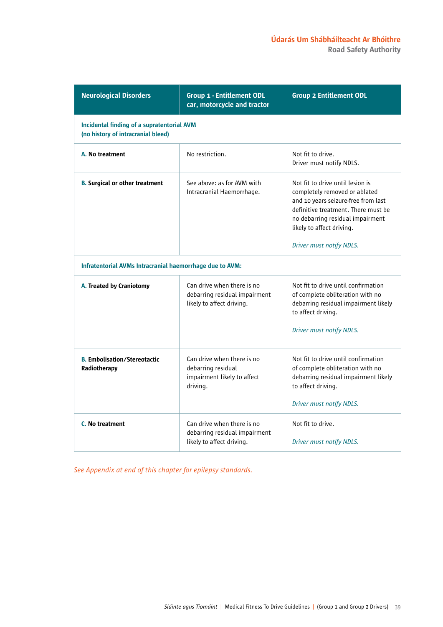| <b>Neurological Disorders</b>                                                    | <b>Group 1 - Entitlement ODL</b><br>car, motorcycle and tractor                             | <b>Group 2 Entitlement ODL</b>                                                                                                                                                                                                               |
|----------------------------------------------------------------------------------|---------------------------------------------------------------------------------------------|----------------------------------------------------------------------------------------------------------------------------------------------------------------------------------------------------------------------------------------------|
| Incidental finding of a supratentorial AVM<br>(no history of intracranial bleed) |                                                                                             |                                                                                                                                                                                                                                              |
| A. No treatment                                                                  | No restriction.                                                                             | Not fit to drive.<br>Driver must notify NDLS.                                                                                                                                                                                                |
| <b>B.</b> Surgical or other treatment                                            | See above: as for AVM with<br>Intracranial Haemorrhage.                                     | Not fit to drive until lesion is<br>completely removed or ablated<br>and 10 years seizure-free from last<br>definitive treatment. There must be<br>no debarring residual impairment<br>likely to affect driving.<br>Driver must notify NDLS. |
| Infratentorial AVMs Intracranial haemorrhage due to AVM:                         |                                                                                             |                                                                                                                                                                                                                                              |
| A. Treated by Craniotomy                                                         | Can drive when there is no<br>debarring residual impairment<br>likely to affect driving.    | Not fit to drive until confirmation<br>of complete obliteration with no<br>debarring residual impairment likely<br>to affect driving.<br>Driver must notify NDLS.                                                                            |
| <b>B. Embolisation/Stereotactic</b><br>Radiotherapy                              | Can drive when there is no<br>debarring residual<br>impairment likely to affect<br>driving. | Not fit to drive until confirmation<br>of complete obliteration with no<br>debarring residual impairment likely<br>to affect driving.<br>Driver must notify NDLS.                                                                            |
| C. No treatment                                                                  | Can drive when there is no<br>debarring residual impairment<br>likely to affect driving.    | Not fit to drive.<br>Driver must notify NDLS.                                                                                                                                                                                                |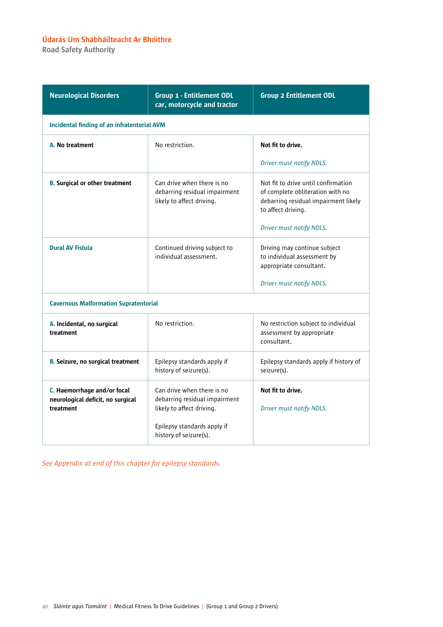Road Safety Authority

| <b>Neurological Disorders</b>                                                 | <b>Group 1 - Entitlement ODL</b><br>car, motorcycle and tractor                                                                                   | <b>Group 2 Entitlement ODL</b>                                                                                                                                    |
|-------------------------------------------------------------------------------|---------------------------------------------------------------------------------------------------------------------------------------------------|-------------------------------------------------------------------------------------------------------------------------------------------------------------------|
| Incidental finding of an infratentorial AVM                                   |                                                                                                                                                   |                                                                                                                                                                   |
| A. No treatment                                                               | No restriction.                                                                                                                                   | Not fit to drive.                                                                                                                                                 |
|                                                                               |                                                                                                                                                   | Driver must notify NDLS.                                                                                                                                          |
| <b>B.</b> Surgical or other treatment                                         | Can drive when there is no<br>debarring residual impairment<br>likely to affect driving.                                                          | Not fit to drive until confirmation<br>of complete obliteration with no<br>debarring residual impairment likely<br>to affect driving.<br>Driver must notify NDLS. |
| <b>Dural AV Fistula</b>                                                       | Continued driving subject to<br>individual assessment.                                                                                            | Driving may continue subject<br>to individual assessment by<br>appropriate consultant.<br>Driver must notify NDLS.                                                |
| <b>Cavernous Malformation Supratentorial</b>                                  |                                                                                                                                                   |                                                                                                                                                                   |
| A. Incidental, no surgical<br>treatment                                       | No restriction.                                                                                                                                   | No restriction subject to individual<br>assessment by appropriate<br>consultant.                                                                                  |
| <b>B. Seizure, no surgical treatment</b>                                      | Epilepsy standards apply if<br>history of seizure(s).                                                                                             | Epilepsy standards apply if history of<br>seizure(s).                                                                                                             |
| C. Haemorrhage and/or focal<br>neurological deficit, no surgical<br>treatment | Can drive when there is no<br>debarring residual impairment<br>likely to affect driving.<br>Epilepsy standards apply if<br>history of seizure(s). | Not fit to drive.<br>Driver must notify NDLS.                                                                                                                     |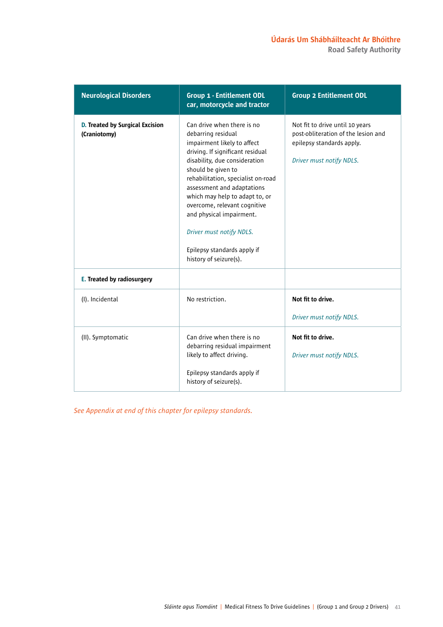| <b>Neurological Disorders</b>                          | <b>Group 1 - Entitlement ODL</b><br>car, motorcycle and tractor                                                                                                                                                                                                                                                                                                                                                                   | <b>Group 2 Entitlement ODL</b>                                                                                                  |
|--------------------------------------------------------|-----------------------------------------------------------------------------------------------------------------------------------------------------------------------------------------------------------------------------------------------------------------------------------------------------------------------------------------------------------------------------------------------------------------------------------|---------------------------------------------------------------------------------------------------------------------------------|
| <b>D. Treated by Surgical Excision</b><br>(Craniotomy) | Can drive when there is no<br>debarring residual<br>impairment likely to affect<br>driving. If significant residual<br>disability, due consideration<br>should be given to<br>rehabilitation, specialist on-road<br>assessment and adaptations<br>which may help to adapt to, or<br>overcome, relevant cognitive<br>and physical impairment.<br>Driver must notify NDLS.<br>Epilepsy standards apply if<br>history of seizure(s). | Not fit to drive until 10 years<br>post-obliteration of the lesion and<br>epilepsy standards apply.<br>Driver must notify NDLS. |
| E. Treated by radiosurgery                             |                                                                                                                                                                                                                                                                                                                                                                                                                                   |                                                                                                                                 |
| (I). Incidental                                        | No restriction.                                                                                                                                                                                                                                                                                                                                                                                                                   | Not fit to drive.<br>Driver must notify NDLS.                                                                                   |
| (II). Symptomatic                                      | Can drive when there is no<br>debarring residual impairment<br>likely to affect driving.<br>Epilepsy standards apply if<br>history of seizure(s).                                                                                                                                                                                                                                                                                 | Not fit to drive.<br>Driver must notify NDLS.                                                                                   |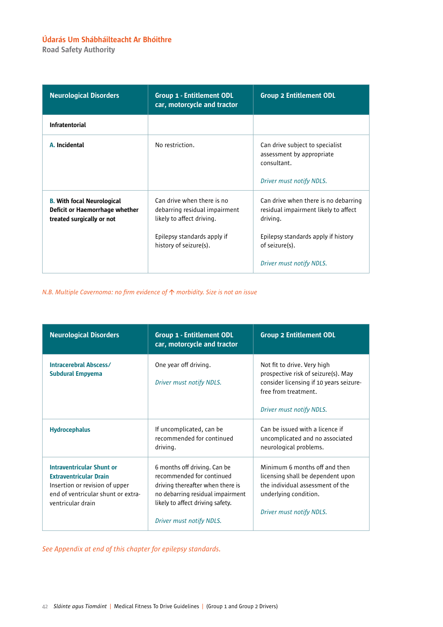Road Safety Authority

| <b>Neurological Disorders</b>                                                                    | <b>Group 1 - Entitlement ODL</b><br>car, motorcycle and tractor                                                                                   | <b>Group 2 Entitlement ODL</b>                                                                                                                                                |
|--------------------------------------------------------------------------------------------------|---------------------------------------------------------------------------------------------------------------------------------------------------|-------------------------------------------------------------------------------------------------------------------------------------------------------------------------------|
| <b>Infratentorial</b>                                                                            |                                                                                                                                                   |                                                                                                                                                                               |
| A. Incidental                                                                                    | No restriction.                                                                                                                                   | Can drive subject to specialist<br>assessment by appropriate<br>consultant.<br>Driver must notify NDLS.                                                                       |
| <b>B. With focal Neurological</b><br>Deficit or Haemorrhage whether<br>treated surgically or not | Can drive when there is no<br>debarring residual impairment<br>likely to affect driving.<br>Epilepsy standards apply if<br>history of seizure(s). | Can drive when there is no debarring<br>residual impairment likely to affect<br>driving.<br>Epilepsy standards apply if history<br>of seizure(s).<br>Driver must notify NDLS. |

*N.B. Multiple Cavernoma: no firm evidence of morbidity. Size is not an issue*

| <b>Neurological Disorders</b>                                                                                                                           | <b>Group 1 - Entitlement ODL</b><br>car, motorcycle and tractor                                                                                                                                   | <b>Group 2 Entitlement ODL</b>                                                                                                                                    |
|---------------------------------------------------------------------------------------------------------------------------------------------------------|---------------------------------------------------------------------------------------------------------------------------------------------------------------------------------------------------|-------------------------------------------------------------------------------------------------------------------------------------------------------------------|
| Intracerebral Abscess/<br><b>Subdural Empyema</b>                                                                                                       | One year off driving.<br>Driver must notify NDLS.                                                                                                                                                 | Not fit to drive. Very high<br>prospective risk of seizure(s). May<br>consider licensing if 10 years seizure-<br>free from treatment.<br>Driver must notify NDLS. |
| <b>Hydrocephalus</b>                                                                                                                                    | If uncomplicated, can be<br>recommended for continued<br>driving.                                                                                                                                 | Can be issued with a licence if<br>uncomplicated and no associated<br>neurological problems.                                                                      |
| Intraventricular Shunt or<br><b>Extraventricular Drain</b><br>Insertion or revision of upper<br>end of ventricular shunt or extra-<br>ventricular drain | 6 months off driving. Can be<br>recommended for continued<br>driving thereafter when there is<br>no debarring residual impairment<br>likely to affect driving safety.<br>Driver must notify NDLS. | Minimum 6 months off and then<br>licensing shall be dependent upon<br>the individual assessment of the<br>underlying condition.<br>Driver must notify NDLS.       |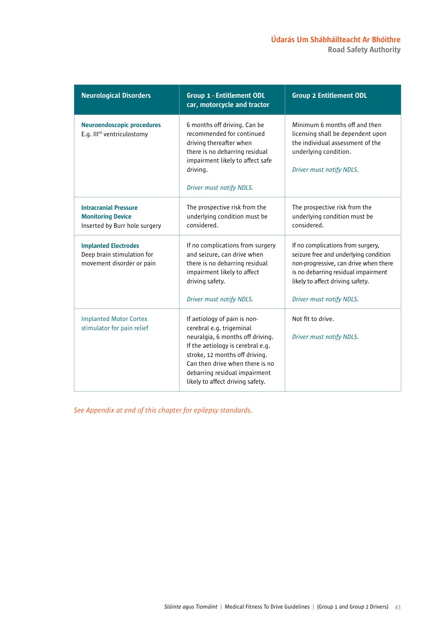| <b>Neurological Disorders</b>                                                             | <b>Group 1 - Entitlement ODL</b><br>car, motorcycle and tractor                                                                                                                                                                                                             | <b>Group 2 Entitlement ODL</b>                                                                                                                                                                                             |
|-------------------------------------------------------------------------------------------|-----------------------------------------------------------------------------------------------------------------------------------------------------------------------------------------------------------------------------------------------------------------------------|----------------------------------------------------------------------------------------------------------------------------------------------------------------------------------------------------------------------------|
| <b>Neuroendoscopic procedures</b><br>E.g. III <sup>rd</sup> ventriculostomy               | 6 months off driving. Can be<br>recommended for continued<br>driving thereafter when<br>there is no debarring residual<br>impairment likely to affect safe<br>driving.<br>Driver must notify NDLS.                                                                          | Minimum 6 months off and then<br>licensing shall be dependent upon<br>the individual assessment of the<br>underlying condition.<br>Driver must notify NDLS.                                                                |
| <b>Intracranial Pressure</b><br><b>Monitoring Device</b><br>Inserted by Burr hole surgery | The prospective risk from the<br>underlying condition must be<br>considered.                                                                                                                                                                                                | The prospective risk from the<br>underlying condition must be<br>considered.                                                                                                                                               |
| <b>Implanted Electrodes</b><br>Deep brain stimulation for<br>movement disorder or pain    | If no complications from surgery<br>and seizure, can drive when<br>there is no debarring residual<br>impairment likely to affect<br>driving safety.<br>Driver must notify NDLS.                                                                                             | If no complications from surgery,<br>seizure free and underlying condition<br>non-progressive, can drive when there<br>is no debarring residual impairment<br>likely to affect driving safety.<br>Driver must notify NDLS. |
| <b>Implanted Motor Cortex</b><br>stimulator for pain relief                               | If aetiology of pain is non-<br>cerebral e.g. trigeminal<br>neuralgia, 6 months off driving.<br>If the aetiology is cerebral e.g.<br>stroke, 12 months off driving.<br>Can then drive when there is no<br>debarring residual impairment<br>likely to affect driving safety. | Not fit to drive.<br>Driver must notify NDLS.                                                                                                                                                                              |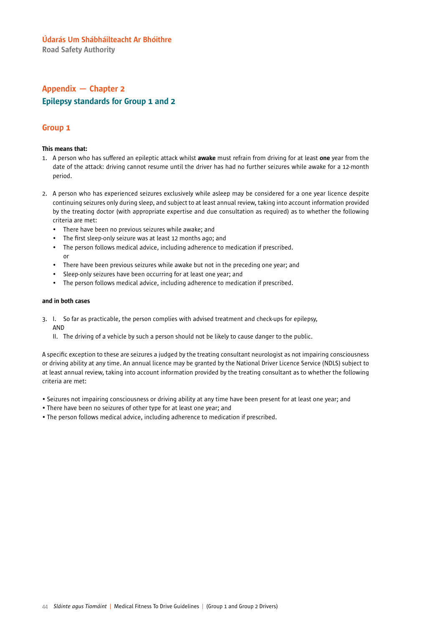Road Safety Authority

# Appendix — Chapter 2 Epilepsy standards for Group 1 and 2

### Group 1

### This means that:

- 1. A person who has suffered an epileptic attack whilst awake must refrain from driving for at least one year from the date of the attack: driving cannot resume until the driver has had no further seizures while awake for a 12-month period.
- 2. A person who has experienced seizures exclusively while asleep may be considered for a one year licence despite continuing seizures only during sleep, and subject to at least annual review, taking into account information provided by the treating doctor (with appropriate expertise and due consultation as required) as to whether the following criteria are met:
	- There have been no previous seizures while awake; and
	- The first sleep-only seizure was at least 12 months ago; and
	- The person follows medical advice, including adherence to medication if prescribed. or
	- There have been previous seizures while awake but not in the preceding one year; and
	- Sleep-only seizures have been occurring for at least one year; and
	- The person follows medical advice, including adherence to medication if prescribed.

### and in both cases

- 3. I. So far as practicable, the person complies with advised treatment and check-ups for epilepsy, AND
	- II. The driving of a vehicle by such a person should not be likely to cause danger to the public.

A specific exception to these are seizures a judged by the treating consultant neurologist as not impairing consciousness or driving ability at any time. An annual licence may be granted by the National Driver Licence Service (NDLS) subject to at least annual review, taking into account information provided by the treating consultant as to whether the following criteria are met:

- Seizures not impairing consciousness or driving ability at any time have been present for at least one year; and
- There have been no seizures of other type for at least one year; and
- The person follows medical advice, including adherence to medication if prescribed.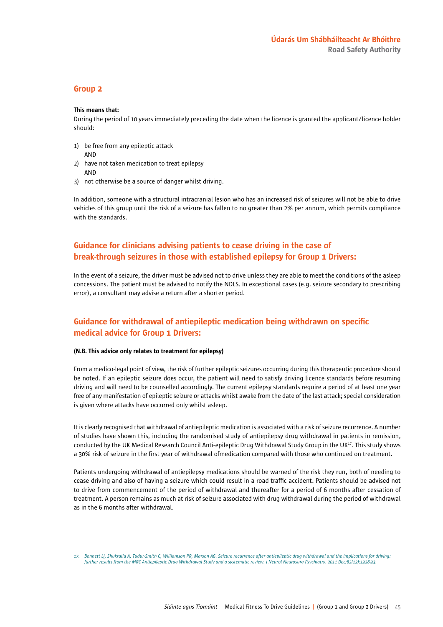### Group 2

#### This means that:

During the period of 10 years immediately preceding the date when the licence is granted the applicant/licence holder should:

- 1) be free from any epileptic attack AND
- 2) have not taken medication to treat epilepsy AND
- 3) not otherwise be a source of danger whilst driving.

In addition, someone with a structural intracranial lesion who has an increased risk of seizures will not be able to drive vehicles of this group until the risk of a seizure has fallen to no greater than 2% per annum, which permits compliance with the standards.

## Guidance for clinicians advising patients to cease driving in the case of break-through seizures in those with established epilepsy for Group 1 Drivers:

In the event of a seizure, the driver must be advised not to drive unless they are able to meet the conditions of the asleep concessions. The patient must be advised to notify the NDLS. In exceptional cases (e.g. seizure secondary to prescribing error), a consultant may advise a return after a shorter period.

## Guidance for withdrawal of antiepileptic medication being withdrawn on specific medical advice for Group 1 Drivers:

#### (N.B. This advice only relates to treatment for epilepsy)

From a medico-legal point of view, the risk of further epileptic seizures occurring during this therapeutic procedure should be noted. If an epileptic seizure does occur, the patient will need to satisfy driving licence standards before resuming driving and will need to be counselled accordingly. The current epilepsy standards require a period of at least one year free of any manifestation of epileptic seizure or attacks whilst awake from the date of the last attack; special consideration is given where attacks have occurred only whilst asleep.

It is clearly recognised that withdrawal of antiepileptic medication is associated with a risk of seizure recurrence. A number of studies have shown this, including the randomised study of antiepilepsy drug withdrawal in patients in remission, conducted by the UK Medical Research Council Anti-epileptic Drug Withdrawal Study Group in the UK17. This study shows a 30% risk of seizure in the first year of withdrawal ofmedication compared with those who continued on treatment.

Patients undergoing withdrawal of antiepilepsy medications should be warned of the risk they run, both of needing to cease driving and also of having a seizure which could result in a road traffic accident. Patients should be advised not to drive from commencement of the period of withdrawal and thereafter for a period of 6 months after cessation of treatment. A person remains as much at risk of seizure associated with drug withdrawal during the period of withdrawal as in the 6 months after withdrawal.

*<sup>17.</sup> Bonnett LJ, Shukralla A, Tudur-Smith C, Williamson PR, Marson AG. Seizure recurrence after antiepileptic drug withdrawal and the implications for driving: further results from the MRC Antiepileptic Drug Withdrawal Study and a systematic review. J Neurol Neurosurg Psychiatry. 2011 Dec;82(12):1328-33.*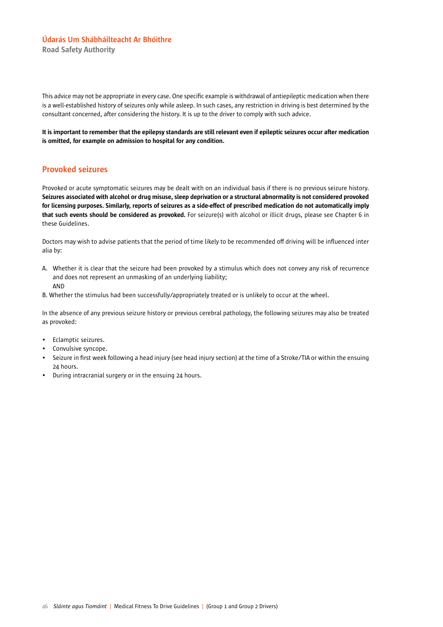Road Safety Authority

This advice may not be appropriate in every case. One specific example is withdrawal of antiepileptic medication when there is a well-established history of seizures only while asleep. In such cases, any restriction in driving is best determined by the consultant concerned, after considering the history. It is up to the driver to comply with such advice.

It is important to remember that the epilepsy standards are still relevant even if epileptic seizures occur after medication is omitted, for example on admission to hospital for any condition.

### Provoked seizures

Provoked or acute symptomatic seizures may be dealt with on an individual basis if there is no previous seizure history. Seizures associated with alcohol or drug misuse, sleep deprivation or a structural abnormality is not considered provoked for licensing purposes. Similarly, reports of seizures as a side-effect of prescribed medication do not automatically imply that such events should be considered as provoked. For seizure(s) with alcohol or illicit drugs, please see Chapter 6 in these Guidelines.

Doctors may wish to advise patients that the period of time likely to be recommended off driving will be influenced inter alia by:

- A. Whether it is clear that the seizure had been provoked by a stimulus which does not convey any risk of recurrence and does not represent an unmasking of an underlying liability; AND
- B. Whether the stimulus had been successfully/appropriately treated or is unlikely to occur at the wheel.

In the absence of any previous seizure history or previous cerebral pathology, the following seizures may also be treated as provoked:

- Eclamptic seizures.
- Convulsive syncope.
- Seizure in first week following a head injury (see head injury section) at the time of a Stroke/TIA or within the ensuing 24 hours.
- During intracranial surgery or in the ensuing 24 hours.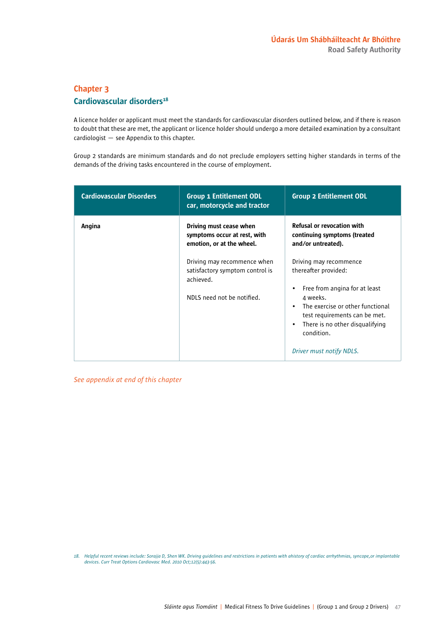# Chapter 3 Cardiovascular disorders<sup>18</sup>

A licence holder or applicant must meet the standards for cardiovascular disorders outlined below, and if there is reason to doubt that these are met, the applicant or licence holder should undergo a more detailed examination by a consultant cardiologist — see Appendix to this chapter.

Group 2 standards are minimum standards and do not preclude employers setting higher standards in terms of the demands of the driving tasks encountered in the course of employment.

| <b>Cardiovascular Disorders</b> | <b>Group 1 Entitlement ODL</b><br>car, motorcycle and tractor                        | <b>Group 2 Entitlement ODL</b>                                                                                                                   |
|---------------------------------|--------------------------------------------------------------------------------------|--------------------------------------------------------------------------------------------------------------------------------------------------|
| Angina                          | Driving must cease when<br>symptoms occur at rest, with<br>emotion, or at the wheel. | <b>Refusal or revocation with</b><br>continuing symptoms (treated<br>and/or untreated).                                                          |
|                                 | Driving may recommence when<br>satisfactory symptom control is<br>achieved.          | Driving may recommence<br>thereafter provided:<br>Free from angina for at least<br>$\bullet$                                                     |
|                                 | NDLS need not be notified.                                                           | 4 weeks.<br>The exercise or other functional<br>$\bullet$<br>test requirements can be met.<br>There is no other disqualifying<br>٠<br>condition. |
|                                 |                                                                                      | Driver must notify NDLS.                                                                                                                         |

*See appendix at end of this chapter*

18. Helpful recent reviews include: Sorajja D, Shen WK. Driving guidelines and restrictions in patients with ahistory of cardiac arrhythmias, syncope, or implantable *devices. Curr Treat Options Cardiovasc Med. 2010 Oct;12(5):443-56.*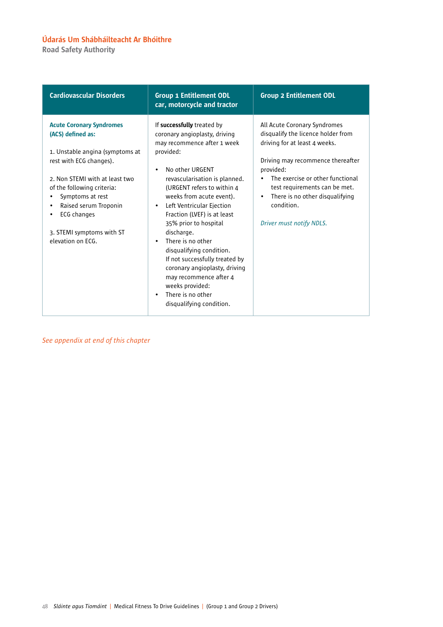Road Safety Authority

| <b>Cardiovascular Disorders</b>                                                                                                                                                                                                                                                                                   | <b>Group 1 Entitlement ODL</b><br>car, motorcycle and tractor                                                                                                                                                                                                                                                                                                                                                                                                                                                                                                                          | <b>Group 2 Entitlement ODL</b>                                                                                                                                                                                                                                                                                                    |
|-------------------------------------------------------------------------------------------------------------------------------------------------------------------------------------------------------------------------------------------------------------------------------------------------------------------|----------------------------------------------------------------------------------------------------------------------------------------------------------------------------------------------------------------------------------------------------------------------------------------------------------------------------------------------------------------------------------------------------------------------------------------------------------------------------------------------------------------------------------------------------------------------------------------|-----------------------------------------------------------------------------------------------------------------------------------------------------------------------------------------------------------------------------------------------------------------------------------------------------------------------------------|
| <b>Acute Coronary Syndromes</b><br>(ACS) defined as:<br>1. Unstable angina (symptoms at<br>rest with ECG changes).<br>2. Non STEMI with at least two<br>of the following criteria:<br>Symptoms at rest<br>Raised serum Troponin<br>٠<br><b>ECG</b> changes<br>٠<br>3. STEMI symptoms with ST<br>elevation on ECG. | If successfully treated by<br>coronary angioplasty, driving<br>may recommence after 1 week<br>provided:<br>No other URGENT<br>$\bullet$<br>revascularisation is planned.<br>(URGENT refers to within 4<br>weeks from acute event).<br>Left Ventricular Ejection<br>$\bullet$<br>Fraction (LVEF) is at least<br>35% prior to hospital<br>discharge.<br>There is no other<br>$\bullet$<br>disqualifying condition.<br>If not successfully treated by<br>coronary angioplasty, driving<br>may recommence after 4<br>weeks provided:<br>There is no other<br>٠<br>disqualifying condition. | All Acute Coronary Syndromes<br>disqualify the licence holder from<br>driving for at least 4 weeks.<br>Driving may recommence thereafter<br>provided:<br>The exercise or other functional<br>$\bullet$<br>test requirements can be met.<br>There is no other disqualifying<br>$\bullet$<br>condition.<br>Driver must notify NDLS. |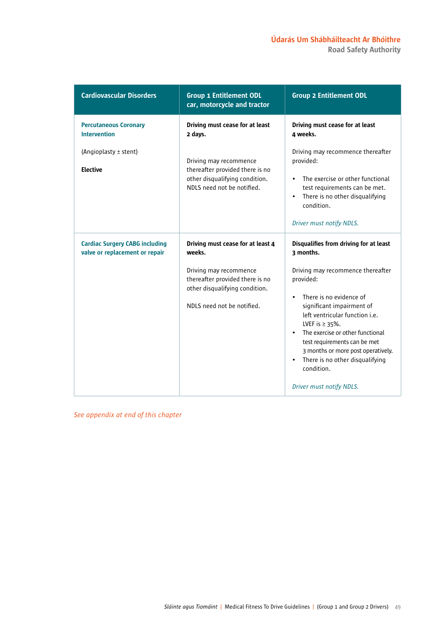Road Safety Authority

| <b>Cardiovascular Disorders</b>                                         | <b>Group 1 Entitlement ODL</b><br>car, motorcycle and tractor                                                                                                            | <b>Group 2 Entitlement ODL</b>                                                                                                                                                                                                                                                                                                                                                                                                                 |
|-------------------------------------------------------------------------|--------------------------------------------------------------------------------------------------------------------------------------------------------------------------|------------------------------------------------------------------------------------------------------------------------------------------------------------------------------------------------------------------------------------------------------------------------------------------------------------------------------------------------------------------------------------------------------------------------------------------------|
| <b>Percutaneous Coronary</b><br><b>Intervention</b>                     | Driving must cease for at least<br>2 days.                                                                                                                               | Driving must cease for at least<br>4 weeks.                                                                                                                                                                                                                                                                                                                                                                                                    |
| (Angioplasty ± stent)<br><b>Elective</b>                                | Driving may recommence<br>thereafter provided there is no<br>other disqualifying condition.<br>NDLS need not be notified.                                                | Driving may recommence thereafter<br>provided:<br>The exercise or other functional<br>$\bullet$<br>test requirements can be met.<br>There is no other disqualifying<br>$\bullet$<br>condition.<br>Driver must notify NDLS.                                                                                                                                                                                                                     |
| <b>Cardiac Surgery CABG including</b><br>valve or replacement or repair | Driving must cease for at least 4<br>weeks.<br>Driving may recommence<br>thereafter provided there is no<br>other disqualifying condition.<br>NDLS need not be notified. | Disqualifies from driving for at least<br>3 months.<br>Driving may recommence thereafter<br>provided:<br>There is no evidence of<br>$\bullet$<br>significant impairment of<br>left ventricular function <i>i.e.</i><br>LVEF is $\geq$ 35%.<br>The exercise or other functional<br>test requirements can be met<br>3 months or more post operatively.<br>There is no other disqualifying<br>$\bullet$<br>condition.<br>Driver must notify NDLS. |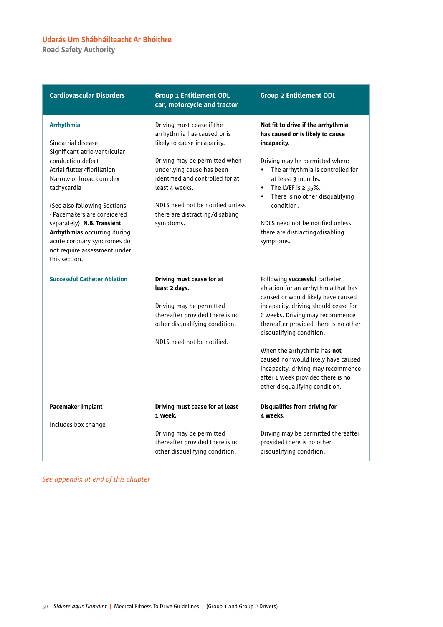Road Safety Authority

| <b>Cardiovascular Disorders</b>                                                                                                                                                                                                                                                                                                                                                      | <b>Group 1 Entitlement ODL</b><br>car, motorcycle and tractor                                                                                                                                                                                                                                   | <b>Group 2 Entitlement ODL</b>                                                                                                                                                                                                                                                                                                                                                                                                                |
|--------------------------------------------------------------------------------------------------------------------------------------------------------------------------------------------------------------------------------------------------------------------------------------------------------------------------------------------------------------------------------------|-------------------------------------------------------------------------------------------------------------------------------------------------------------------------------------------------------------------------------------------------------------------------------------------------|-----------------------------------------------------------------------------------------------------------------------------------------------------------------------------------------------------------------------------------------------------------------------------------------------------------------------------------------------------------------------------------------------------------------------------------------------|
| <b>Arrhythmia</b><br>Sinoatrial disease<br>Significant atrio-ventricular<br>conduction defect<br>Atrial flutter/fibrillation<br>Narrow or broad complex<br>tachycardia<br>(See also following Sections<br>- Pacemakers are considered<br>separately). N.B. Transient<br>Arrhythmias occurring during<br>acute coronary syndromes do<br>not require assessment under<br>this section. | Driving must cease if the<br>arrhythmia has caused or is<br>likely to cause incapacity.<br>Driving may be permitted when<br>underlying cause has been<br>identified and controlled for at<br>least 4 weeks.<br>NDLS need not be notified unless<br>there are distracting/disabling<br>symptoms. | Not fit to drive if the arrhythmia<br>has caused or is likely to cause<br>incapacity.<br>Driving may be permitted when:<br>The arrhythmia is controlled for<br>$\bullet$<br>at least 3 months.<br>The LVEF is $\geq$ 35%.<br>$\bullet$<br>There is no other disqualifying<br>condition.<br>NDLS need not be notified unless<br>there are distracting/disabling<br>symptoms.                                                                   |
| <b>Successful Catheter Ablation</b>                                                                                                                                                                                                                                                                                                                                                  | Driving must cease for at<br>least 2 days.<br>Driving may be permitted<br>thereafter provided there is no<br>other disqualifying condition.<br>NDLS need not be notified.                                                                                                                       | Following successful catheter<br>ablation for an arrhythmia that has<br>caused or would likely have caused<br>incapacity, driving should cease for<br>6 weeks. Driving may recommence<br>thereafter provided there is no other<br>disqualifying condition.<br>When the arrhythmia has not<br>caused nor would likely have caused<br>incapacity, driving may recommence<br>after 1 week provided there is no<br>other disqualifying condition. |
| Pacemaker Implant<br>Includes box change                                                                                                                                                                                                                                                                                                                                             | Driving must cease for at least<br>1 week.<br>Driving may be permitted<br>thereafter provided there is no<br>other disqualifying condition.                                                                                                                                                     | Disqualifies from driving for<br>4 weeks.<br>Driving may be permitted thereafter<br>provided there is no other<br>disqualifying condition.                                                                                                                                                                                                                                                                                                    |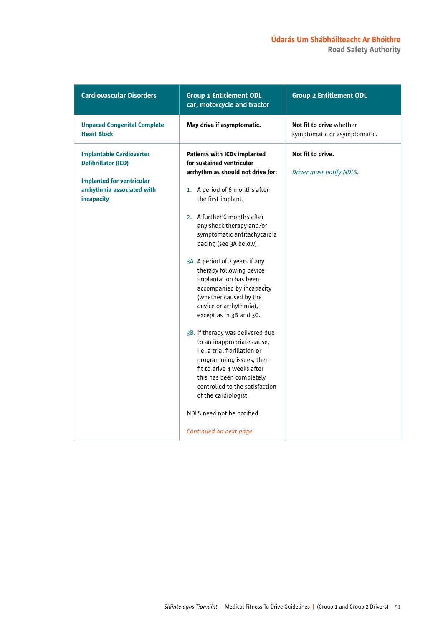Road Safety Authority

| <b>Cardiovascular Disorders</b>                                                                                                               | <b>Group 1 Entitlement ODL</b><br>car, motorcycle and tractor                                                                                                                                                                                                                                                                                                                                                                                                                                                                                                                                                                                                                                                                                                                                 | <b>Group 2 Entitlement ODL</b>                           |
|-----------------------------------------------------------------------------------------------------------------------------------------------|-----------------------------------------------------------------------------------------------------------------------------------------------------------------------------------------------------------------------------------------------------------------------------------------------------------------------------------------------------------------------------------------------------------------------------------------------------------------------------------------------------------------------------------------------------------------------------------------------------------------------------------------------------------------------------------------------------------------------------------------------------------------------------------------------|----------------------------------------------------------|
| <b>Unpaced Congenital Complete</b><br><b>Heart Block</b>                                                                                      | May drive if asymptomatic.                                                                                                                                                                                                                                                                                                                                                                                                                                                                                                                                                                                                                                                                                                                                                                    | Not fit to drive whether<br>symptomatic or asymptomatic. |
| <b>Implantable Cardioverter</b><br><b>Defibrillator (ICD)</b><br><b>Implanted for ventricular</b><br>arrhythmia associated with<br>incapacity | <b>Patients with ICDs implanted</b><br>for sustained ventricular<br>arrhythmias should not drive for:<br>1. A period of 6 months after<br>the first implant.<br>2. A further 6 months after<br>any shock therapy and/or<br>symptomatic antitachycardia<br>pacing (see 3A below).<br>3A. A period of 2 years if any<br>therapy following device<br>implantation has been<br>accompanied by incapacity<br>(whether caused by the<br>device or arrhythmia),<br>except as in 3B and 3C.<br>3B. If therapy was delivered due<br>to an inappropriate cause,<br>i.e. a trial fibrillation or<br>programming issues, then<br>fit to drive 4 weeks after<br>this has been completely<br>controlled to the satisfaction<br>of the cardiologist.<br>NDLS need not be notified.<br>Continued on next page | Not fit to drive.<br>Driver must notify NDLS.            |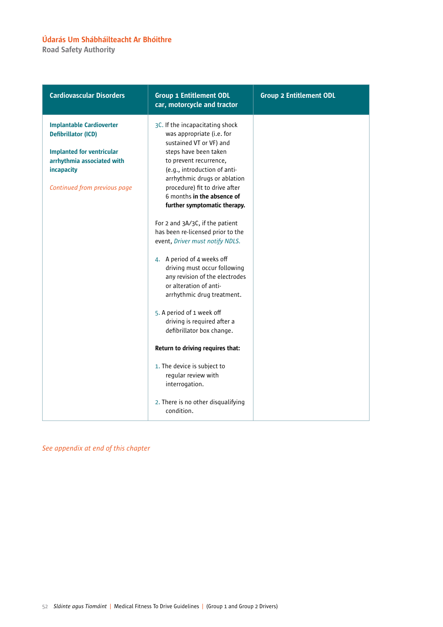Road Safety Authority

| <b>Cardiovascular Disorders</b>                                                                                                                                               | <b>Group 1 Entitlement ODL</b><br>car, motorcycle and tractor                                                                                                                                                                                                                                                                                                                                                        | <b>Group 2 Entitlement ODL</b> |
|-------------------------------------------------------------------------------------------------------------------------------------------------------------------------------|----------------------------------------------------------------------------------------------------------------------------------------------------------------------------------------------------------------------------------------------------------------------------------------------------------------------------------------------------------------------------------------------------------------------|--------------------------------|
| <b>Implantable Cardioverter</b><br><b>Defibrillator (ICD)</b><br><b>Implanted for ventricular</b><br>arrhythmia associated with<br>incapacity<br>Continued from previous page | 3C. If the incapacitating shock<br>was appropriate (i.e. for<br>sustained VT or VF) and<br>steps have been taken<br>to prevent recurrence,<br>(e.g., introduction of anti-<br>arrhythmic drugs or ablation<br>procedure) fit to drive after<br>6 months in the absence of<br>further symptomatic therapy.<br>For 2 and 3A/3C, if the patient<br>has been re-licensed prior to the<br>event, Driver must notify NDLS. |                                |
|                                                                                                                                                                               | 4. A period of 4 weeks off<br>driving must occur following<br>any revision of the electrodes<br>or alteration of anti-<br>arrhythmic drug treatment.<br>5. A period of 1 week off<br>driving is required after a<br>defibrillator box change.                                                                                                                                                                        |                                |
|                                                                                                                                                                               | Return to driving requires that:<br>1. The device is subject to<br>regular review with<br>interrogation.<br>2. There is no other disqualifying<br>condition.                                                                                                                                                                                                                                                         |                                |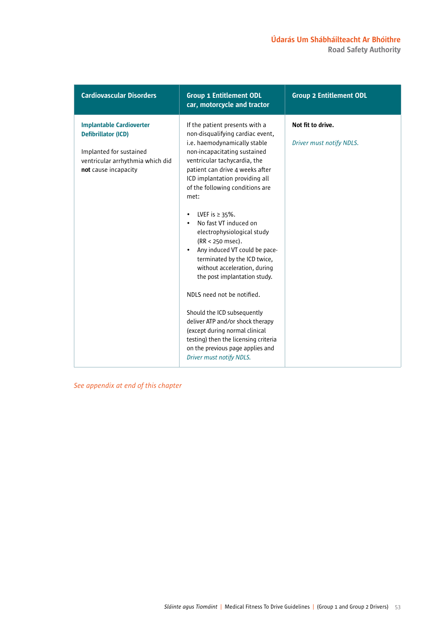| <b>Cardiovascular Disorders</b>                                                                                                                      | <b>Group 1 Entitlement ODL</b><br>car, motorcycle and tractor                                                                                                                                                                                                                                                                                                                                                                                                                                                                                                                                                                                                                                                                                                                 | <b>Group 2 Entitlement ODL</b>                |
|------------------------------------------------------------------------------------------------------------------------------------------------------|-------------------------------------------------------------------------------------------------------------------------------------------------------------------------------------------------------------------------------------------------------------------------------------------------------------------------------------------------------------------------------------------------------------------------------------------------------------------------------------------------------------------------------------------------------------------------------------------------------------------------------------------------------------------------------------------------------------------------------------------------------------------------------|-----------------------------------------------|
| <b>Implantable Cardioverter</b><br><b>Defibrillator (ICD)</b><br>Implanted for sustained<br>ventricular arrhythmia which did<br>not cause incapacity | If the patient presents with a<br>non-disqualifying cardiac event,<br>i.e. haemodynamically stable<br>non-incapacitating sustained<br>ventricular tachycardia, the<br>patient can drive 4 weeks after<br>ICD implantation providing all<br>of the following conditions are<br>met:<br>LVEF is $\geq$ 35%.<br>$\bullet$<br>No fast VT induced on<br>electrophysiological study<br>(RR < 250 msec).<br>Any induced VT could be pace-<br>terminated by the ICD twice,<br>without acceleration, during<br>the post implantation study.<br>NDLS need not be notified.<br>Should the ICD subsequently<br>deliver ATP and/or shock therapy<br>(except during normal clinical<br>testing) then the licensing criteria<br>on the previous page applies and<br>Driver must notify NDLS. | Not fit to drive.<br>Driver must notify NDLS. |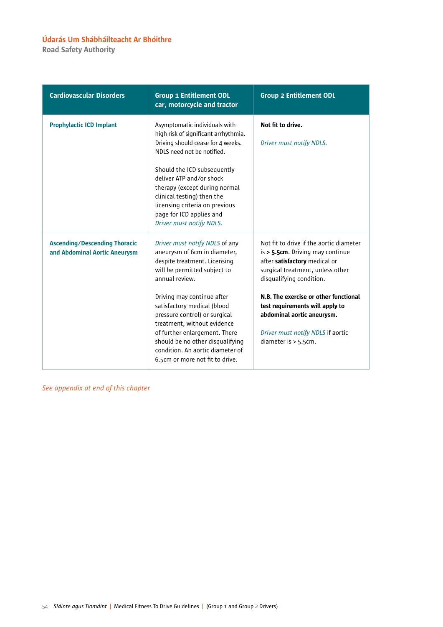Road Safety Authority

| <b>Cardiovascular Disorders</b>                                       | <b>Group 1 Entitlement ODL</b><br>car, motorcycle and tractor                                                                                                                                                                                                                                                                                                                                                             | <b>Group 2 Entitlement ODL</b>                                                                                                                                                                                                                                                                                                                         |
|-----------------------------------------------------------------------|---------------------------------------------------------------------------------------------------------------------------------------------------------------------------------------------------------------------------------------------------------------------------------------------------------------------------------------------------------------------------------------------------------------------------|--------------------------------------------------------------------------------------------------------------------------------------------------------------------------------------------------------------------------------------------------------------------------------------------------------------------------------------------------------|
| <b>Prophylactic ICD Implant</b>                                       | Asymptomatic individuals with<br>high risk of significant arrhythmia.<br>Driving should cease for 4 weeks.<br>NDLS need not be notified.<br>Should the ICD subsequently<br>deliver ATP and/or shock<br>therapy (except during normal<br>clinical testing) then the<br>licensing criteria on previous<br>page for ICD applies and<br>Driver must notify NDLS.                                                              | Not fit to drive.<br>Driver must notify NDLS.                                                                                                                                                                                                                                                                                                          |
| <b>Ascending/Descending Thoracic</b><br>and Abdominal Aortic Aneurysm | Driver must notify NDLS of any<br>aneurysm of 6cm in diameter,<br>despite treatment. Licensing<br>will be permitted subject to<br>annual review.<br>Driving may continue after<br>satisfactory medical (blood<br>pressure control) or surgical<br>treatment, without evidence<br>of further enlargement. There<br>should be no other disqualifying<br>condition. An aortic diameter of<br>6.5cm or more not fit to drive. | Not fit to drive if the aortic diameter<br>is > 5.5cm. Driving may continue<br>after satisfactory medical or<br>surgical treatment, unless other<br>disqualifying condition.<br>N.B. The exercise or other functional<br>test requirements will apply to<br>abdominal aortic aneurysm.<br>Driver must notify NDLS if aortic<br>diameter is $> 5.5$ cm. |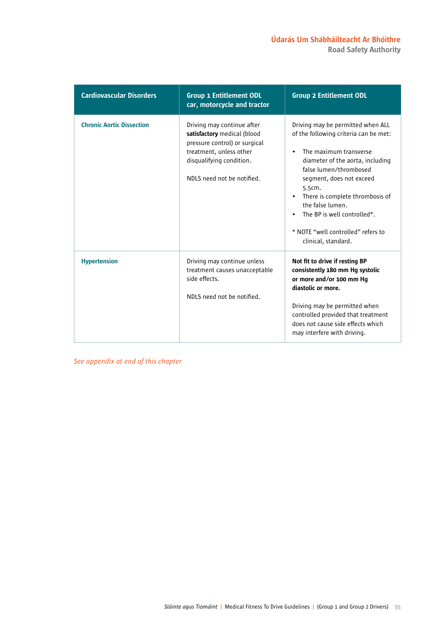| <b>Cardiovascular Disorders</b>  | <b>Group 1 Entitlement ODL</b><br>car, motorcycle and tractor                                                                                                                   | <b>Group 2 Entitlement ODL</b>                                                                                                                                                                                                                                                                                                                                                                     |
|----------------------------------|---------------------------------------------------------------------------------------------------------------------------------------------------------------------------------|----------------------------------------------------------------------------------------------------------------------------------------------------------------------------------------------------------------------------------------------------------------------------------------------------------------------------------------------------------------------------------------------------|
| <b>Chronic Aortic Dissection</b> | Driving may continue after<br>satisfactory medical (blood<br>pressure control) or surgical<br>treatment, unless other<br>disqualifying condition.<br>NDLS need not be notified. | Driving may be permitted when ALL<br>of the following criteria can be met:<br>The maximum transverse<br>$\bullet$<br>diameter of the aorta, including<br>false lumen/thrombosed<br>segment, does not exceed<br>5.5cm.<br>There is complete thrombosis of<br>$\bullet$<br>the false lumen.<br>The BP is well controlled*.<br>$\bullet$<br>* NOTE "well controlled" refers to<br>clinical, standard. |
| <b>Hypertension</b>              | Driving may continue unless<br>treatment causes unacceptable<br>side effects.<br>NDLS need not be notified.                                                                     | Not fit to drive if resting BP<br>consistently 180 mm Hg systolic<br>or more and/or 100 mm Hg<br>diastolic or more.<br>Driving may be permitted when<br>controlled provided that treatment<br>does not cause side effects which<br>may interfere with driving.                                                                                                                                     |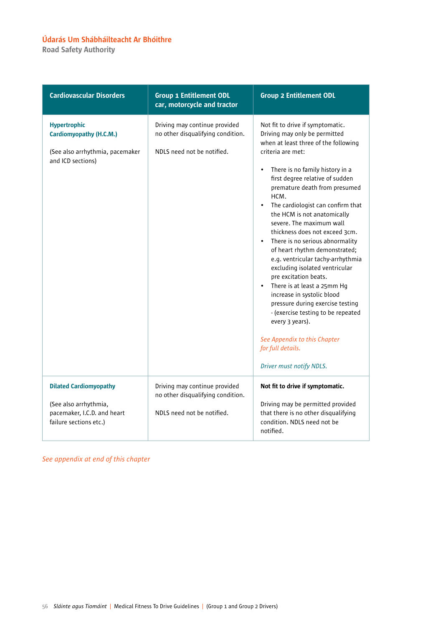Road Safety Authority

| <b>Cardiovascular Disorders</b>                                                                                 | <b>Group 1 Entitlement ODL</b><br>car, motorcycle and tractor                                    | <b>Group 2 Entitlement ODL</b>                                                                                                                                                                                                                                                                                                                                                                                                                                                                                                                                                                                                                                                                                                                                                                                                        |
|-----------------------------------------------------------------------------------------------------------------|--------------------------------------------------------------------------------------------------|---------------------------------------------------------------------------------------------------------------------------------------------------------------------------------------------------------------------------------------------------------------------------------------------------------------------------------------------------------------------------------------------------------------------------------------------------------------------------------------------------------------------------------------------------------------------------------------------------------------------------------------------------------------------------------------------------------------------------------------------------------------------------------------------------------------------------------------|
| <b>Hypertrophic</b><br>Cardiomyopathy (H.C.M.)<br>(See also arrhythmia, pacemaker<br>and ICD sections)          | Driving may continue provided<br>no other disqualifying condition.<br>NDLS need not be notified. | Not fit to drive if symptomatic.<br>Driving may only be permitted<br>when at least three of the following<br>criteria are met:<br>There is no family history in a<br>$\bullet$<br>first degree relative of sudden<br>premature death from presumed<br>HCM.<br>The cardiologist can confirm that<br>$\bullet$<br>the HCM is not anatomically<br>severe. The maximum wall<br>thickness does not exceed 3cm.<br>There is no serious abnormality<br>of heart rhythm demonstrated;<br>e.g. ventricular tachy-arrhythmia<br>excluding isolated ventricular<br>pre excitation beats.<br>There is at least a 25mm Hq<br>$\bullet$<br>increase in systolic blood<br>pressure during exercise testing<br>- (exercise testing to be repeated<br>every 3 years).<br>See Appendix to this Chapter<br>for full details.<br>Driver must notify NDLS. |
| <b>Dilated Cardiomyopathy</b><br>(See also arrhythmia,<br>pacemaker, I.C.D. and heart<br>failure sections etc.) | Driving may continue provided<br>no other disqualifying condition.<br>NDLS need not be notified. | Not fit to drive if symptomatic.<br>Driving may be permitted provided<br>that there is no other disqualifying<br>condition. NDLS need not be<br>notified.                                                                                                                                                                                                                                                                                                                                                                                                                                                                                                                                                                                                                                                                             |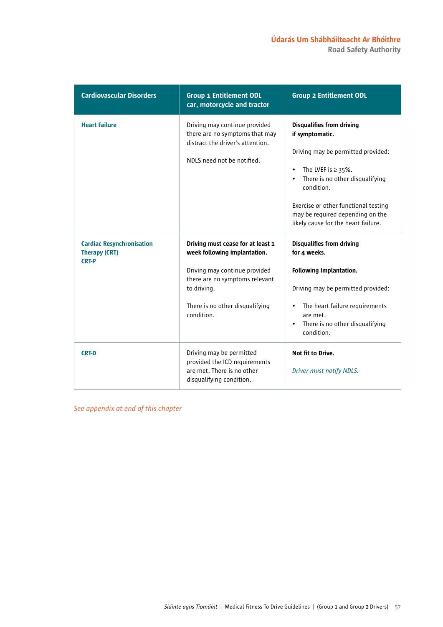| <b>Cardiovascular Disorders</b>                                          | <b>Group 1 Entitlement ODL</b><br>car, motorcycle and tractor                                                                                                                                        | <b>Group 2 Entitlement ODL</b>                                                                                                                                                                                                                                                                                     |
|--------------------------------------------------------------------------|------------------------------------------------------------------------------------------------------------------------------------------------------------------------------------------------------|--------------------------------------------------------------------------------------------------------------------------------------------------------------------------------------------------------------------------------------------------------------------------------------------------------------------|
| <b>Heart Failure</b>                                                     | Driving may continue provided<br>there are no symptoms that may<br>distract the driver's attention.<br>NDLS need not be notified.                                                                    | <b>Disqualifies from driving</b><br>if symptomatic.<br>Driving may be permitted provided:<br>The LVEF is $\geq$ 35%.<br>$\bullet$<br>There is no other disqualifying<br>$\bullet$<br>condition.<br>Exercise or other functional testing<br>may be required depending on the<br>likely cause for the heart failure. |
| <b>Cardiac Resynchronisation</b><br><b>Therapy (CRT)</b><br><b>CRT-P</b> | Driving must cease for at least 1<br>week following implantation.<br>Driving may continue provided<br>there are no symptoms relevant<br>to driving.<br>There is no other disqualifying<br>condition. | <b>Disqualifies from driving</b><br>for 4 weeks.<br>Following Implantation.<br>Driving may be permitted provided:<br>The heart failure requirements<br>$\bullet$<br>are met.<br>There is no other disqualifying<br>$\bullet$<br>condition.                                                                         |
| <b>CRT-D</b>                                                             | Driving may be permitted<br>provided the ICD requirements<br>are met. There is no other<br>disqualifying condition.                                                                                  | Not fit to Drive.<br>Driver must notify NDLS.                                                                                                                                                                                                                                                                      |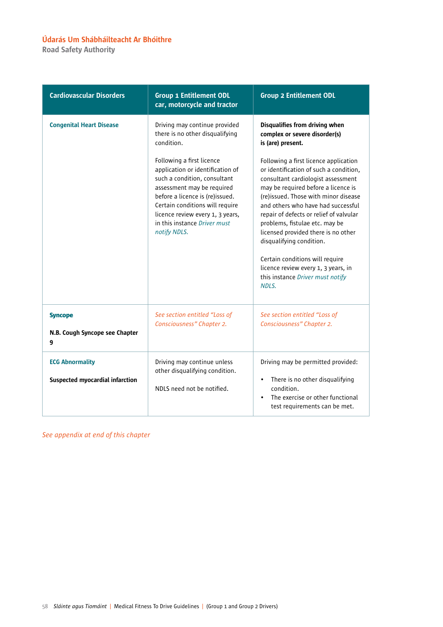Road Safety Authority

| <b>Cardiovascular Disorders</b>                                  | <b>Group 1 Entitlement ODL</b><br>car, motorcycle and tractor                                                                                                                                                                                                                         | <b>Group 2 Entitlement ODL</b>                                                                                                                                                                                                                                                                                                                                                                                                                                                                                    |
|------------------------------------------------------------------|---------------------------------------------------------------------------------------------------------------------------------------------------------------------------------------------------------------------------------------------------------------------------------------|-------------------------------------------------------------------------------------------------------------------------------------------------------------------------------------------------------------------------------------------------------------------------------------------------------------------------------------------------------------------------------------------------------------------------------------------------------------------------------------------------------------------|
| <b>Congenital Heart Disease</b>                                  | Driving may continue provided<br>there is no other disqualifying<br>condition.                                                                                                                                                                                                        | Disqualifies from driving when<br>complex or severe disorder(s)<br>is (are) present.                                                                                                                                                                                                                                                                                                                                                                                                                              |
|                                                                  | Following a first licence<br>application or identification of<br>such a condition, consultant<br>assessment may be required<br>before a licence is (re)issued.<br>Certain conditions will require<br>licence review every 1, 3 years,<br>in this instance Driver must<br>notify NDLS. | Following a first licence application<br>or identification of such a condition,<br>consultant cardiologist assessment<br>may be required before a licence is<br>(re)issued. Those with minor disease<br>and others who have had successful<br>repair of defects or relief of valvular<br>problems, fistulae etc. may be<br>licensed provided there is no other<br>disqualifying condition.<br>Certain conditions will require<br>licence review every 1, 3 years, in<br>this instance Driver must notify<br>NDLS. |
| <b>Syncope</b><br>N.B. Cough Syncope see Chapter<br>9            | See section entitled "Loss of<br>Consciousness" Chapter 2.                                                                                                                                                                                                                            | See section entitled "Loss of<br>Consciousness" Chapter 2.                                                                                                                                                                                                                                                                                                                                                                                                                                                        |
| <b>ECG Abnormality</b><br><b>Suspected myocardial infarction</b> | Driving may continue unless<br>other disqualifying condition.<br>NDLS need not be notified.                                                                                                                                                                                           | Driving may be permitted provided:<br>There is no other disqualifying<br>$\bullet$<br>condition.<br>The exercise or other functional<br>$\bullet$<br>test requirements can be met.                                                                                                                                                                                                                                                                                                                                |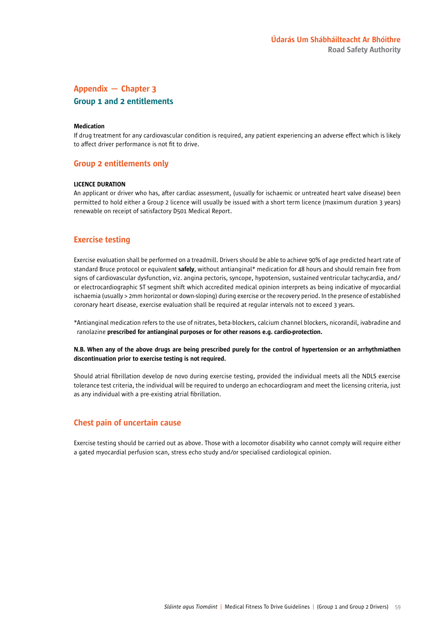# Appendix — Chapter 3 Group 1 and 2 entitlements

### Medication

If drug treatment for any cardiovascular condition is required, any patient experiencing an adverse effect which is likely to affect driver performance is not fit to drive.

### Group 2 entitlements only

#### LICENCE DURATION

An applicant or driver who has, after cardiac assessment, (usually for ischaemic or untreated heart valve disease) been permitted to hold either a Group 2 licence will usually be issued with a short term licence (maximum duration 3 years) renewable on receipt of satisfactory D501 Medical Report.

### Exercise testing

Exercise evaluation shall be performed on a treadmill. Drivers should be able to achieve 90% of age predicted heart rate of standard Bruce protocol or equivalent safely, without antianginal\* medication for 48 hours and should remain free from signs of cardiovascular dysfunction, viz. angina pectoris, syncope, hypotension, sustained ventricular tachycardia, and/ or electrocardiographic ST segment shift which accredited medical opinion interprets as being indicative of myocardial ischaemia (usually > 2mm horizontal or down-sloping) during exercise or the recovery period. In the presence of established coronary heart disease, exercise evaluation shall be required at regular intervals not to exceed 3 years.

\*Antianginal medication refers to the use of nitrates, beta-blockers, calcium channel blockers, nicorandil, ivabradine and ranolazine prescribed for antianginal purposes or for other reasons e.g. cardio-protection.

### N.B. When any of the above drugs are being prescribed purely for the control of hypertension or an arrhythmiathen discontinuation prior to exercise testing is not required.

Should atrial fibrillation develop de novo during exercise testing, provided the individual meets all the NDLS exercise tolerance test criteria, the individual will be required to undergo an echocardiogram and meet the licensing criteria, just as any individual with a pre-existing atrial fibrillation.

### Chest pain of uncertain cause

Exercise testing should be carried out as above. Those with a locomotor disability who cannot comply will require either a gated myocardial perfusion scan, stress echo study and/or specialised cardiological opinion.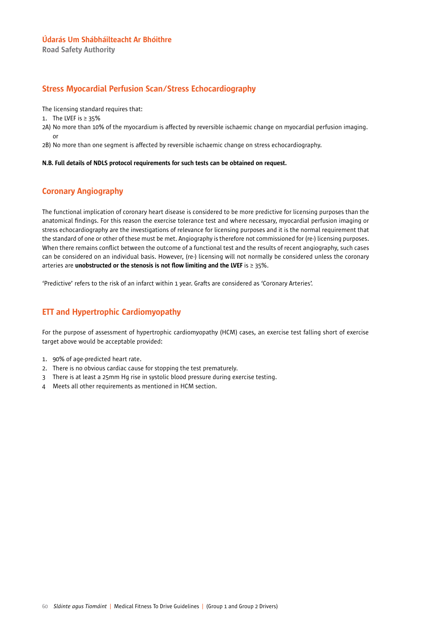Road Safety Authority

### Stress Myocardial Perfusion Scan/Stress Echocardiography

The licensing standard requires that:

1. The LVEF is ≥ 35%

2A) No more than 10% of the myocardium is affected by reversible ischaemic change on myocardial perfusion imaging. or

2B) No more than one segment is affected by reversible ischaemic change on stress echocardiography.

### N.B. Full details of NDLS protocol requirements for such tests can be obtained on request.

## Coronary Angiography

The functional implication of coronary heart disease is considered to be more predictive for licensing purposes than the anatomical findings. For this reason the exercise tolerance test and where necessary, myocardial perfusion imaging or stress echocardiography are the investigations of relevance for licensing purposes and it is the normal requirement that the standard of one or other of these must be met. Angiography is therefore not commissioned for (re-) licensing purposes. When there remains conflict between the outcome of a functional test and the results of recent angiography, such cases can be considered on an individual basis. However, (re-) licensing will not normally be considered unless the coronary arteries are unobstructed or the stenosis is not flow limiting and the LVEF is  $\geq$  35%.

'Predictive' refers to the risk of an infarct within 1 year. Grafts are considered as 'Coronary Arteries'.

## ETT and Hypertrophic Cardiomyopathy

For the purpose of assessment of hypertrophic cardiomyopathy (HCM) cases, an exercise test falling short of exercise target above would be acceptable provided:

- 1. 90% of age-predicted heart rate.
- 2. There is no obvious cardiac cause for stopping the test prematurely.
- 3 There is at least a 25mm Hg rise in systolic blood pressure during exercise testing.
- 4 Meets all other requirements as mentioned in HCM section.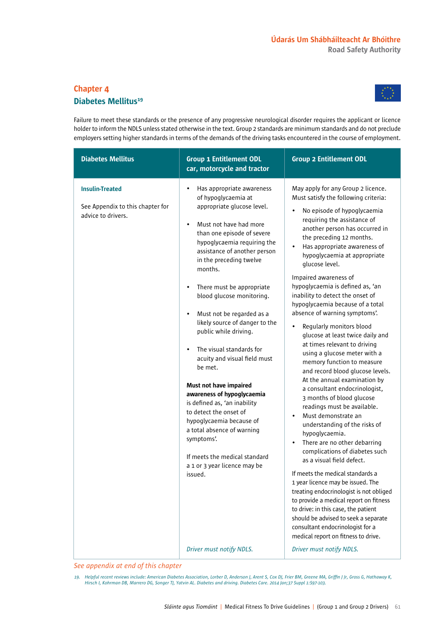# Chapter 4 Diabetes Mellitus<sup>19</sup>



Failure to meet these standards or the presence of any progressive neurological disorder requires the applicant or licence holder to inform the NDLS unless stated otherwise in the text. Group 2 standards are minimum standards and do not preclude employers setting higher standards in terms of the demands of the driving tasks encountered in the course of employment.

| <b>Diabetes Mellitus</b>                                                         | <b>Group 1 Entitlement ODL</b><br>car, motorcycle and tractor                                                                                                                                                                                                                                                                                                                                                                                                                                                                                                                                                                                                                                                                                                                                       | <b>Group 2 Entitlement ODL</b>                                                                                                                                                                                                                                                                                                                                                                                                                                                                                                                                                                                                                                                                                                                                                                                                                                                                                                                                                                                                                                                                                                                                                                                                                                                                              |
|----------------------------------------------------------------------------------|-----------------------------------------------------------------------------------------------------------------------------------------------------------------------------------------------------------------------------------------------------------------------------------------------------------------------------------------------------------------------------------------------------------------------------------------------------------------------------------------------------------------------------------------------------------------------------------------------------------------------------------------------------------------------------------------------------------------------------------------------------------------------------------------------------|-------------------------------------------------------------------------------------------------------------------------------------------------------------------------------------------------------------------------------------------------------------------------------------------------------------------------------------------------------------------------------------------------------------------------------------------------------------------------------------------------------------------------------------------------------------------------------------------------------------------------------------------------------------------------------------------------------------------------------------------------------------------------------------------------------------------------------------------------------------------------------------------------------------------------------------------------------------------------------------------------------------------------------------------------------------------------------------------------------------------------------------------------------------------------------------------------------------------------------------------------------------------------------------------------------------|
| <b>Insulin-Treated</b><br>See Appendix to this chapter for<br>advice to drivers. | Has appropriate awareness<br>٠<br>of hypoglycaemia at<br>appropriate glucose level.<br>Must not have had more<br>$\bullet$<br>than one episode of severe<br>hypoglycaemia requiring the<br>assistance of another person<br>in the preceding twelve<br>months.<br>There must be appropriate<br>$\bullet$<br>blood glucose monitoring.<br>Must not be regarded as a<br>$\bullet$<br>likely source of danger to the<br>public while driving.<br>The visual standards for<br>$\bullet$<br>acuity and visual field must<br>be met.<br>Must not have impaired<br>awareness of hypoglycaemia<br>is defined as, 'an inability<br>to detect the onset of<br>hypoglycaemia because of<br>a total absence of warning<br>symptoms'.<br>If meets the medical standard<br>a 1 or 3 year licence may be<br>issued. | May apply for any Group 2 licence.<br>Must satisfy the following criteria:<br>No episode of hypoglycaemia<br>requiring the assistance of<br>another person has occurred in<br>the preceding 12 months.<br>Has appropriate awareness of<br>hypoglycaemia at appropriate<br>glucose level.<br>Impaired awareness of<br>hypoglycaemia is defined as, 'an<br>inability to detect the onset of<br>hypoglycaemia because of a total<br>absence of warning symptoms'.<br>Regularly monitors blood<br>glucose at least twice daily and<br>at times relevant to driving<br>using a glucose meter with a<br>memory function to measure<br>and record blood glucose levels.<br>At the annual examination by<br>a consultant endocrinologist,<br>3 months of blood glucose<br>readings must be available.<br>Must demonstrate an<br>understanding of the risks of<br>hypoglycaemia.<br>There are no other debarring<br>$\bullet$<br>complications of diabetes such<br>as a visual field defect.<br>If meets the medical standards a<br>1 year licence may be issued. The<br>treating endocrinologist is not obliged<br>to provide a medical report on fitness<br>to drive: in this case, the patient<br>should be advised to seek a separate<br>consultant endocrinologist for a<br>medical report on fitness to drive. |
|                                                                                  | Driver must notify NDLS.                                                                                                                                                                                                                                                                                                                                                                                                                                                                                                                                                                                                                                                                                                                                                                            | Driver must notify NDLS.                                                                                                                                                                                                                                                                                                                                                                                                                                                                                                                                                                                                                                                                                                                                                                                                                                                                                                                                                                                                                                                                                                                                                                                                                                                                                    |

*See appendix at end of this chapter*

*19. Helpful recent reviews include: American Diabetes Association, Lorber D, Anderson J, Arent S, Cox DJ, Frier BM, Greene MA, Griffin J Jr, Gross G, Hathaway K, Hirsch I, Kohrman DB, Marrero DG, Songer TJ, Yatvin AL. Diabetes and driving. Diabetes Care. 2014 Jan;37 Suppl 1:S97-103.*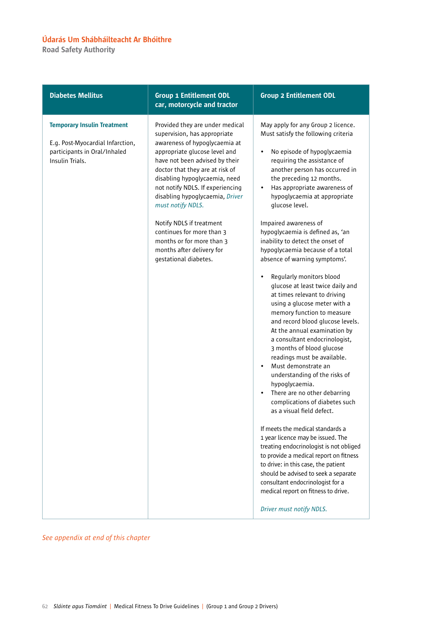Road Safety Authority

| <b>Diabetes Mellitus</b>                                                                                                  | <b>Group 1 Entitlement ODL</b><br>car, motorcycle and tractor                                                                                                                                                                                                                                                                                                                                                                                                                   | <b>Group 2 Entitlement ODL</b>                                                                                                                                                                                                                                                                                                                                                                                                                                                                                                                                                                                                                                                                                                                                                                                                                                                                                                                                                                                                                                                                                                                                                                                                                                                                                                         |
|---------------------------------------------------------------------------------------------------------------------------|---------------------------------------------------------------------------------------------------------------------------------------------------------------------------------------------------------------------------------------------------------------------------------------------------------------------------------------------------------------------------------------------------------------------------------------------------------------------------------|----------------------------------------------------------------------------------------------------------------------------------------------------------------------------------------------------------------------------------------------------------------------------------------------------------------------------------------------------------------------------------------------------------------------------------------------------------------------------------------------------------------------------------------------------------------------------------------------------------------------------------------------------------------------------------------------------------------------------------------------------------------------------------------------------------------------------------------------------------------------------------------------------------------------------------------------------------------------------------------------------------------------------------------------------------------------------------------------------------------------------------------------------------------------------------------------------------------------------------------------------------------------------------------------------------------------------------------|
| <b>Temporary Insulin Treatment</b><br>E.g. Post-Myocardial Infarction,<br>participants in Oral/Inhaled<br>Insulin Trials. | Provided they are under medical<br>supervision, has appropriate<br>awareness of hypoglycaemia at<br>appropriate glucose level and<br>have not been advised by their<br>doctor that they are at risk of<br>disabling hypoglycaemia, need<br>not notify NDLS. If experiencing<br>disabling hypoglycaemia, Driver<br>must notify NDLS.<br>Notify NDLS if treatment<br>continues for more than 3<br>months or for more than 3<br>months after delivery for<br>gestational diabetes. | May apply for any Group 2 licence.<br>Must satisfy the following criteria<br>No episode of hypoglycaemia<br>$\bullet$<br>requiring the assistance of<br>another person has occurred in<br>the preceding 12 months.<br>Has appropriate awareness of<br>hypoglycaemia at appropriate<br>glucose level.<br>Impaired awareness of<br>hypoglycaemia is defined as, 'an<br>inability to detect the onset of<br>hypoglycaemia because of a total<br>absence of warning symptoms'.<br>Regularly monitors blood<br>glucose at least twice daily and<br>at times relevant to driving<br>using a glucose meter with a<br>memory function to measure<br>and record blood glucose levels.<br>At the annual examination by<br>a consultant endocrinologist,<br>3 months of blood glucose<br>readings must be available.<br>Must demonstrate an<br>understanding of the risks of<br>hypoglycaemia.<br>There are no other debarring<br>complications of diabetes such<br>as a visual field defect.<br>If meets the medical standards a<br>1 year licence may be issued. The<br>treating endocrinologist is not obliged<br>to provide a medical report on fitness<br>to drive: in this case, the patient<br>should be advised to seek a separate<br>consultant endocrinologist for a<br>medical report on fitness to drive.<br>Driver must notify NDLS. |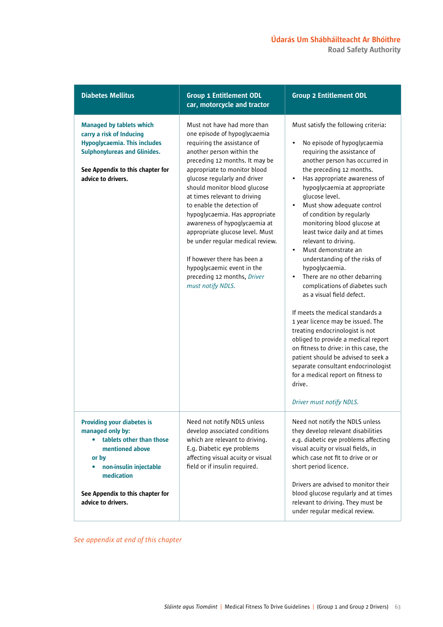| <b>Diabetes Mellitus</b>                                                                                                                                                                                        | <b>Group 1 Entitlement ODL</b><br>car, motorcycle and tractor                                                                                                                                                                                                                                                                                                                                                                                                                                                                                                                      | <b>Group 2 Entitlement ODL</b>                                                                                                                                                                                                                                                                                                                                                                                                                                                                                                                                                                                                                                                                                                                                                                                                                                                                                                                                                                          |
|-----------------------------------------------------------------------------------------------------------------------------------------------------------------------------------------------------------------|------------------------------------------------------------------------------------------------------------------------------------------------------------------------------------------------------------------------------------------------------------------------------------------------------------------------------------------------------------------------------------------------------------------------------------------------------------------------------------------------------------------------------------------------------------------------------------|---------------------------------------------------------------------------------------------------------------------------------------------------------------------------------------------------------------------------------------------------------------------------------------------------------------------------------------------------------------------------------------------------------------------------------------------------------------------------------------------------------------------------------------------------------------------------------------------------------------------------------------------------------------------------------------------------------------------------------------------------------------------------------------------------------------------------------------------------------------------------------------------------------------------------------------------------------------------------------------------------------|
| <b>Managed by tablets which</b><br>carry a risk of Inducing<br><b>Hypoglycaemia. This includes</b><br><b>Sulphonylureas and Glinides.</b><br>See Appendix to this chapter for<br>advice to drivers.             | Must not have had more than<br>one episode of hypoglycaemia<br>requiring the assistance of<br>another person within the<br>preceding 12 months. It may be<br>appropriate to monitor blood<br>glucose regularly and driver<br>should monitor blood glucose<br>at times relevant to driving<br>to enable the detection of<br>hypoglycaemia. Has appropriate<br>awareness of hypoglycaemia at<br>appropriate glucose level. Must<br>be under regular medical review.<br>If however there has been a<br>hypoglycaemic event in the<br>preceding 12 months, Driver<br>must notify NDLS. | Must satisfy the following criteria:<br>No episode of hypoglycaemia<br>$\bullet$<br>requiring the assistance of<br>another person has occurred in<br>the preceding 12 months.<br>Has appropriate awareness of<br>$\bullet$<br>hypoglycaemia at appropriate<br>glucose level.<br>Must show adequate control<br>$\bullet$<br>of condition by regularly<br>monitoring blood glucose at<br>least twice daily and at times<br>relevant to driving.<br>Must demonstrate an<br>$\bullet$<br>understanding of the risks of<br>hypoglycaemia.<br>There are no other debarring<br>$\bullet$<br>complications of diabetes such<br>as a visual field defect.<br>If meets the medical standards a<br>1 year licence may be issued. The<br>treating endocrinologist is not<br>obliged to provide a medical report<br>on fitness to drive: in this case, the<br>patient should be advised to seek a<br>separate consultant endocrinologist<br>for a medical report on fitness to<br>drive.<br>Driver must notify NDLS. |
| <b>Providing your diabetes is</b><br>managed only by:<br>tablets other than those<br>mentioned above<br>or by<br>non-insulin injectable<br>medication<br>See Appendix to this chapter for<br>advice to drivers. | Need not notify NDLS unless<br>develop associated conditions<br>which are relevant to driving.<br>E.g. Diabetic eye problems<br>affecting visual acuity or visual<br>field or if insulin required.                                                                                                                                                                                                                                                                                                                                                                                 | Need not notify the NDLS unless<br>they develop relevant disabilities<br>e.g. diabetic eye problems affecting<br>visual acuity or visual fields, in<br>which case not fit to drive or or<br>short period licence.<br>Drivers are advised to monitor their<br>blood glucose regularly and at times<br>relevant to driving. They must be<br>under regular medical review.                                                                                                                                                                                                                                                                                                                                                                                                                                                                                                                                                                                                                                 |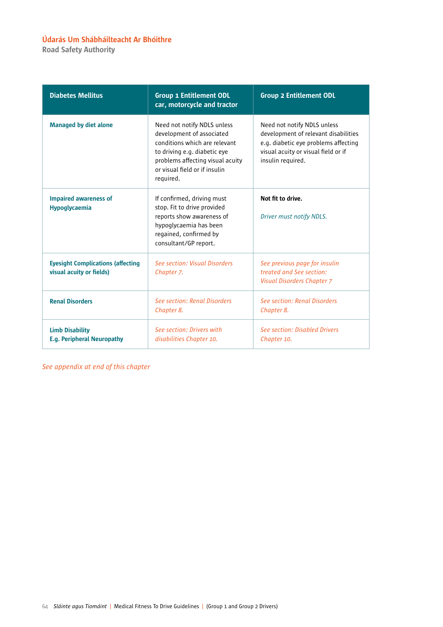Road Safety Authority

| <b>Diabetes Mellitus</b>                                             | <b>Group 1 Entitlement ODL</b><br>car, motorcycle and tractor                                                                                                                                               | <b>Group 2 Entitlement ODL</b>                                                                                                                                          |
|----------------------------------------------------------------------|-------------------------------------------------------------------------------------------------------------------------------------------------------------------------------------------------------------|-------------------------------------------------------------------------------------------------------------------------------------------------------------------------|
| <b>Managed by diet alone</b>                                         | Need not notify NDLS unless<br>development of associated<br>conditions which are relevant<br>to driving e.g. diabetic eye<br>problems affecting visual acuity<br>or visual field or if insulin<br>required. | Need not notify NDLS unless<br>development of relevant disabilities<br>e.g. diabetic eye problems affecting<br>visual acuity or visual field or if<br>insulin required. |
| <b>Impaired awareness of</b><br>Hypoglycaemia                        | If confirmed, driving must<br>stop. Fit to drive provided<br>reports show awareness of<br>hypoglycaemia has been<br>regained, confirmed by<br>consultant/GP report.                                         | Not fit to drive.<br>Driver must notify NDLS.                                                                                                                           |
| <b>Eyesight Complications (affecting</b><br>visual acuity or fields) | See section: Visual Disorders<br>Chapter 7.                                                                                                                                                                 | See previous page for insulin<br>treated and See section:<br>Visual Disorders Chapter 7                                                                                 |
| <b>Renal Disorders</b>                                               | See section: Renal Disorders<br>Chapter 8.                                                                                                                                                                  | See section: Renal Disorders<br>Chapter 8.                                                                                                                              |
| <b>Limb Disability</b><br><b>E.g. Peripheral Neuropathy</b>          | See section: Drivers with<br>disabilities Chapter 10.                                                                                                                                                       | <b>See section: Disabled Drivers</b><br>Chapter 10.                                                                                                                     |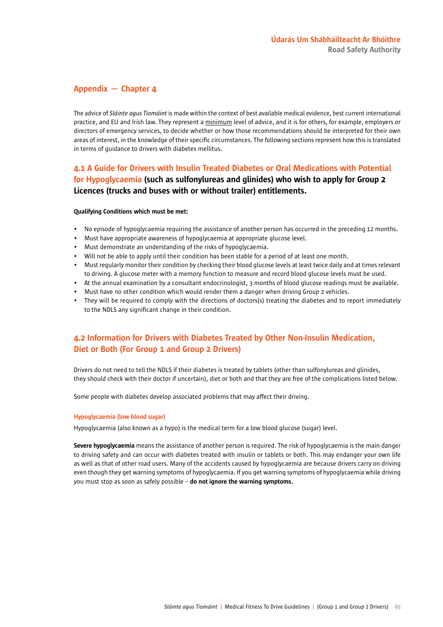### Appendix — Chapter 4

The advice of *Sláinte agus Tiomáint* is made within the context of best available medical evidence, best current international practice, and EU and Irish law. They represent a minimum level of advice, and it is for others, for example, employers or directors of emergency services, to decide whether or how those recommendations should be interpreted for their own areas of interest, in the knowledge of their specific circumstances. The following sections represent how this is translated in terms of guidance to drivers with diabetes mellitus.

### 4.1 A Guide for Drivers with Insulin Treated Diabetes or Oral Medications with Potential for Hypoglycaemia (such as sulfonylureas and glinides) who wish to apply for Group 2 Licences (trucks and buses with or without trailer) entitlements.

#### Qualifying Conditions which must be met:

- No episode of hypoglycaemia requiring the assistance of another person has occurred in the preceding 12 months.
- Must have appropriate awareness of hypoglycaemia at appropriate glucose level.
- Must demonstrate an understanding of the risks of hypoglycaemia.
- Will not be able to apply until their condition has been stable for a period of at least one month.
- Must regularly monitor their condition by checking their blood glucose levels at least twice daily and at times relevant to driving. A glucose meter with a memory function to measure and record blood glucose levels must be used.
- At the annual examination by a consultant endocrinologist, 3 months of blood glucose readings must be available.
- Must have no other condition which would render them a danger when driving Group 2 vehicles.
- They will be required to comply with the directions of doctors(s) treating the diabetes and to report immediately to the NDLS any significant change in their condition.

### 4.2 Information for Drivers with Diabetes Treated by Other Non-Insulin Medication, Diet or Both (For Group 1 and Group 2 Drivers)

Drivers do not need to tell the NDLS if their diabetes is treated by tablets (other than sulfonylureas and glinides, they should check with their doctor if uncertain), diet or both and that they are free of the complications listed below.

Some people with diabetes develop associated problems that may affect their driving.

### Hypoglycaemia (low blood sugar)

Hypoglycaemia (also known as a hypo) is the medical term for a low blood glucose (sugar) level.

Severe hypoglycaemia means the assistance of another person is required. The risk of hypoglycaemia is the main danger to driving safety and can occur with diabetes treated with insulin or tablets or both. This may endanger your own life as well as that of other road users. Many of the accidents caused by hypoglycaemia are because drivers carry on driving even though they get warning symptoms of hypoglycaemia. If you get warning symptoms of hypoglycaemia while driving you must stop as soon as safely possible – do not ignore the warning symptoms.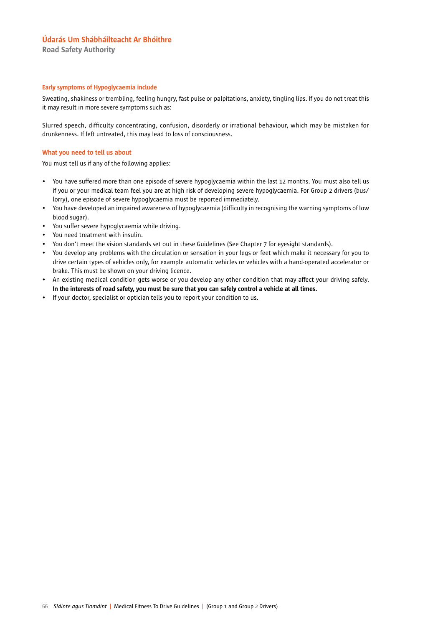Road Safety Authority

### Early symptoms of Hypoglycaemia include

Sweating, shakiness or trembling, feeling hungry, fast pulse or palpitations, anxiety, tingling lips. If you do not treat this it may result in more severe symptoms such as:

Slurred speech, difficulty concentrating, confusion, disorderly or irrational behaviour, which may be mistaken for drunkenness. If left untreated, this may lead to loss of consciousness.

#### What you need to tell us about

You must tell us if any of the following applies:

- You have suffered more than one episode of severe hypoglycaemia within the last 12 months. You must also tell us if you or your medical team feel you are at high risk of developing severe hypoglycaemia. For Group 2 drivers (bus/ lorry), one episode of severe hypoglycaemia must be reported immediately.
- You have developed an impaired awareness of hypoglycaemia (difficulty in recognising the warning symptoms of low blood sugar).
- You suffer severe hypoglycaemia while driving.
- You need treatment with insulin.
- You don't meet the vision standards set out in these Guidelines (See Chapter 7 for eyesight standards).
- You develop any problems with the circulation or sensation in your legs or feet which make it necessary for you to drive certain types of vehicles only, for example automatic vehicles or vehicles with a hand-operated accelerator or brake. This must be shown on your driving licence.
- An existing medical condition gets worse or you develop any other condition that may affect your driving safely. In the interests of road safety, you must be sure that you can safely control a vehicle at all times.
- If your doctor, specialist or optician tells you to report your condition to us.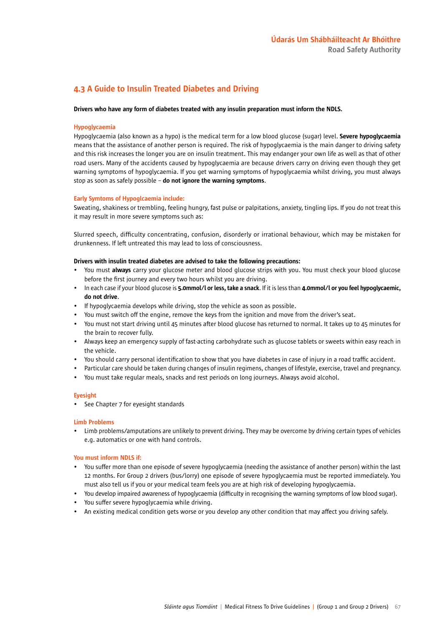### 4.3 A Guide to Insulin Treated Diabetes and Driving

#### Drivers who have any form of diabetes treated with any insulin preparation must inform the NDLS.

#### Hypoglycaemia

Hypoglycaemia (also known as a hypo) is the medical term for a low blood glucose (sugar) level. Severe hypoglycaemia means that the assistance of another person is required. The risk of hypoglycaemia is the main danger to driving safety and this risk increases the longer you are on insulin treatment. This may endanger your own life as well as that of other road users. Many of the accidents caused by hypoglycaemia are because drivers carry on driving even though they get warning symptoms of hypoglycaemia. If you get warning symptoms of hypoglycaemia whilst driving, you must always stop as soon as safely possible  $-$  do not ignore the warning symptoms.

#### Early Symtoms of Hypoglcaemia include:

Sweating, shakiness or trembling, feeling hungry, fast pulse or palpitations, anxiety, tingling lips. If you do not treat this it may result in more severe symptoms such as:

Slurred speech, difficulty concentrating, confusion, disorderly or irrational behaviour, which may be mistaken for drunkenness. If left untreated this may lead to loss of consciousness.

#### Drivers with insulin treated diabetes are advised to take the following precautions:

- You must always carry your glucose meter and blood glucose strips with you. You must check your blood glucose before the first journey and every two hours whilst you are driving.
- In each case if your blood glucose is 5.0mmol/l or less, take a snack. If it is less than 4.0mmol/l or you feel hypoglycaemic, do not drive.
- If hypoglycaemia develops while driving, stop the vehicle as soon as possible.
- You must switch off the engine, remove the keys from the ignition and move from the driver's seat.
- You must not start driving until 45 minutes after blood glucose has returned to normal. It takes up to 45 minutes for the brain to recover fully.
- Always keep an emergency supply of fast-acting carbohydrate such as glucose tablets or sweets within easy reach in the vehicle.
- You should carry personal identification to show that you have diabetes in case of injury in a road traffic accident.
- Particular care should be taken during changes of insulin regimens, changes of lifestyle, exercise, travel and pregnancy.
- You must take regular meals, snacks and rest periods on long journeys. Always avoid alcohol.

#### **Evesight**

• See Chapter 7 for eyesight standards

#### Limb Problems

• Limb problems/amputations are unlikely to prevent driving. They may be overcome by driving certain types of vehicles e.g. automatics or one with hand controls.

#### You must inform NDLS if:

- You suffer more than one episode of severe hypoglycaemia (needing the assistance of another person) within the last 12 months. For Group 2 drivers (bus/lorry) one episode of severe hypoglycaemia must be reported immediately. You must also tell us if you or your medical team feels you are at high risk of developing hypoglycaemia.
- You develop impaired awareness of hypoglycaemia (difficulty in recognising the warning symptoms of low blood sugar).
- You suffer severe hypoglycaemia while driving.
- An existing medical condition gets worse or you develop any other condition that may affect you driving safely.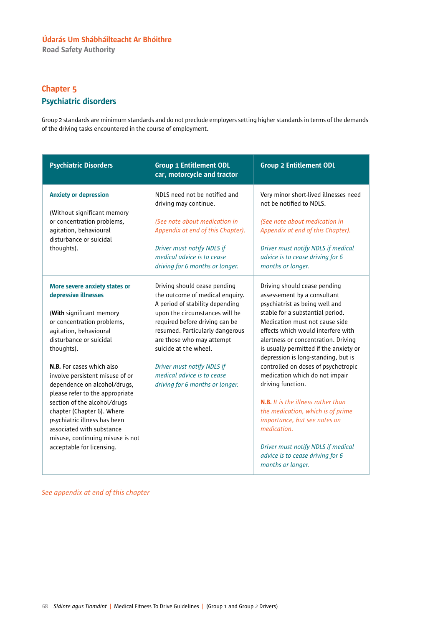Road Safety Authority

## Chapter 5 Psychiatric disorders

Group 2 standards are minimum standards and do not preclude employers setting higher standards in terms of the demands of the driving tasks encountered in the course of employment.

| <b>Psychiatric Disorders</b>                                                                                                                                                                                                                                                                                                                                                                                                                                                         | <b>Group 1 Entitlement ODL</b><br>car, motorcycle and tractor                                                                                                                                                                                                                                                                                                  | <b>Group 2 Entitlement ODL</b>                                                                                                                                                                                                                                                                                                                                                                                                                                                                                                                                   |
|--------------------------------------------------------------------------------------------------------------------------------------------------------------------------------------------------------------------------------------------------------------------------------------------------------------------------------------------------------------------------------------------------------------------------------------------------------------------------------------|----------------------------------------------------------------------------------------------------------------------------------------------------------------------------------------------------------------------------------------------------------------------------------------------------------------------------------------------------------------|------------------------------------------------------------------------------------------------------------------------------------------------------------------------------------------------------------------------------------------------------------------------------------------------------------------------------------------------------------------------------------------------------------------------------------------------------------------------------------------------------------------------------------------------------------------|
| <b>Anxiety or depression</b><br>(Without significant memory<br>or concentration problems,<br>agitation, behavioural<br>disturbance or suicidal<br>thoughts).                                                                                                                                                                                                                                                                                                                         | NDLS need not be notified and<br>driving may continue.<br>(See note about medication in<br>Appendix at end of this Chapter).<br>Driver must notify NDLS if<br>medical advice is to cease<br>driving for 6 months or longer.                                                                                                                                    | Very minor short-lived illnesses need<br>not be notified to NDLS.<br>(See note about medication in<br>Appendix at end of this Chapter).<br>Driver must notify NDLS if medical<br>advice is to cease driving for 6<br>months or longer.                                                                                                                                                                                                                                                                                                                           |
| More severe anxiety states or<br>depressive illnesses<br>(With significant memory<br>or concentration problems,<br>agitation, behavioural<br>disturbance or suicidal<br>thoughts).<br>N.B. For cases which also<br>involve persistent misuse of or<br>dependence on alcohol/drugs,<br>please refer to the appropriate<br>section of the alcohol/drugs<br>chapter (Chapter 6). Where<br>psychiatric illness has been<br>associated with substance<br>misuse, continuing misuse is not | Driving should cease pending<br>the outcome of medical enquiry.<br>A period of stability depending<br>upon the circumstances will be<br>required before driving can be<br>resumed. Particularly dangerous<br>are those who may attempt<br>suicide at the wheel.<br>Driver must notify NDLS if<br>medical advice is to cease<br>driving for 6 months or longer. | Driving should cease pending<br>assessement by a consultant<br>psychiatrist as being well and<br>stable for a substantial period.<br>Medication must not cause side<br>effects which would interfere with<br>alertness or concentration. Driving<br>is usually permitted if the anxiety or<br>depression is long-standing, but is<br>controlled on doses of psychotropic<br>medication which do not impair<br>driving function.<br><b>N.B.</b> It is the illness rather than<br>the medication, which is of prime<br>importance, but see notes on<br>medication. |
| acceptable for licensing.                                                                                                                                                                                                                                                                                                                                                                                                                                                            |                                                                                                                                                                                                                                                                                                                                                                | Driver must notify NDLS if medical<br>advice is to cease driving for 6<br>months or longer.                                                                                                                                                                                                                                                                                                                                                                                                                                                                      |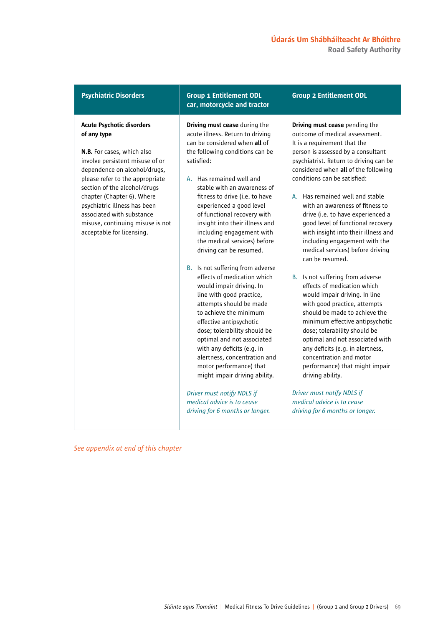### Acute Psychotic disorders of any type

N.B. For cases, which also involve persistent misuse of or dependence on alcohol/drugs, please refer to the appropriate section of the alcohol/drugs chapter (Chapter 6). Where psychiatric illness has been associated with substance misuse, continuing misuse is not acceptable for licensing.

### Psychiatric Disorders Group 1 Entitlement ODL car, motorcycle and tractor

Driving must cease during the acute illness. Return to driving can be considered when all of the following conditions can be satisfied:

- A. Has remained well and stable with an awareness of fitness to drive (i.e. to have experienced a good level of functional recovery with insight into their illness and including engagement with the medical services) before driving can be resumed.
- B. Is not suffering from adverse effects of medication which would impair driving. In line with good practice, attempts should be made to achieve the minimum effective antipsychotic dose; tolerability should be optimal and not associated with any deficits (e.g. in alertness, concentration and motor performance) that might impair driving ability.

*Driver must notify NDLS if medical advice is to cease driving for 6 months or longer.*

### Group 2 Entitlement ODL

Driving must cease pending the outcome of medical assessment. It is a requirement that the person is assessed by a consultant psychiatrist. Return to driving can be considered when all of the following conditions can be satisfied:

- A. Has remained well and stable with an awareness of fitness to drive (i.e. to have experienced a good level of functional recovery with insight into their illness and including engagement with the medical services) before driving can be resumed.
- B. Is not suffering from adverse effects of medication which would impair driving. In line with good practice, attempts should be made to achieve the minimum effective antipsychotic dose; tolerability should be optimal and not associated with any deficits (e.g. in alertness, concentration and motor performance) that might impair driving ability.

*Driver must notify NDLS if medical advice is to cease driving for 6 months or longer.*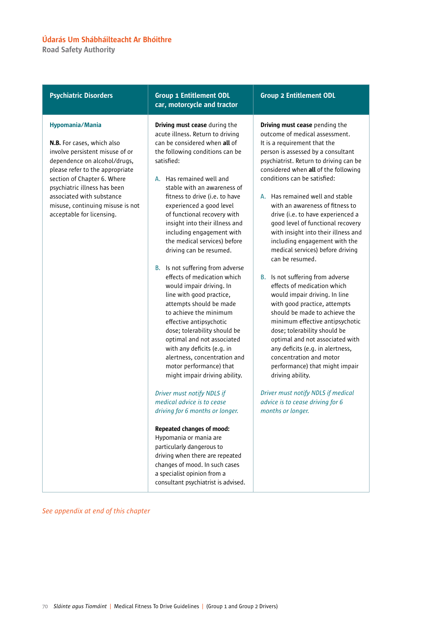Road Safety Authority

| <b>Psychiatric Disorders</b>                                                                                                                                                                                       | <b>Group 1 Entitlement ODL</b><br>car, motorcycle and tractor                                                                                                                                                                                                                                                                                                                                      | <b>Group 2 Entitlement</b>                                                                                                                                                                                                                                                         |
|--------------------------------------------------------------------------------------------------------------------------------------------------------------------------------------------------------------------|----------------------------------------------------------------------------------------------------------------------------------------------------------------------------------------------------------------------------------------------------------------------------------------------------------------------------------------------------------------------------------------------------|------------------------------------------------------------------------------------------------------------------------------------------------------------------------------------------------------------------------------------------------------------------------------------|
| Hypomania/Mania<br>N.B. For cases, which also<br>involve persistent misuse of or<br>dependence on alcohol/drugs,<br>please refer to the appropriate<br>section of Chapter 6. Where<br>psychiatric illness has been | <b>Driving must cease</b> during the<br>acute illness. Return to driving<br>can be considered when all of<br>the following conditions can be<br>satisfied:<br>A. Has remained well and<br>stable with an awareness of                                                                                                                                                                              | Driving must cease pen<br>outcome of medical as:<br>It is a requirement that<br>person is assessed by a<br>psychiatrist. Return to<br>considered when all of<br>conditions can be satis                                                                                            |
| associated with substance<br>misuse, continuing misuse is not<br>acceptable for licensing.                                                                                                                         | fitness to drive (i.e. to have<br>experienced a good level<br>of functional recovery with<br>insight into their illness and<br>including engagement with<br>the medical services) before<br>driving can be resumed.                                                                                                                                                                                | A. Has remained well<br>with an awareness<br>drive (i.e. to have e<br>good level of functi<br>with insight into th<br>including engagem<br>medical services) b<br>can be resumed.                                                                                                  |
|                                                                                                                                                                                                                    | Is not suffering from adverse<br>В.<br>effects of medication which<br>would impair driving. In<br>line with good practice,<br>attempts should be made<br>to achieve the minimum<br>effective antipsychotic<br>dose; tolerability should be<br>optimal and not associated<br>with any deficits (e.g. in<br>alertness, concentration and<br>motor performance) that<br>might impair driving ability. | Is not suffering fror<br>В.<br>effects of medicatio<br>would impair drivir<br>with good practice,<br>should be made to<br>minimum effective<br>dose; tolerability sh<br>optimal and not as:<br>any deficits (e.g. in<br>concentration and<br>performance) that<br>driving ability. |
|                                                                                                                                                                                                                    | Driver must notify NDLS if<br>medical advice is to cease<br>driving for 6 months or longer.                                                                                                                                                                                                                                                                                                        | Driver must notify NDL.<br>advice is to cease drivin<br>months or longer.                                                                                                                                                                                                          |
|                                                                                                                                                                                                                    | <b>Repeated changes of mood:</b><br>Hypomania or mania are<br>particularly dangerous to<br>driving when there are repeated<br>changes of mood. In such cases<br>a specialist opinion from a<br>consultant psychiatrist is advised.                                                                                                                                                                 |                                                                                                                                                                                                                                                                                    |

### ODL

ding the sessment. t the consultant driving can be the following  $s$ fied:

- and stable of fitness to experienced a ional recovery eir illness and ient with the efore driving
- m adverse on which ng. In line , attempts achieve the antipsychotic hould be sociated with alertness, motor might impair

*Driver must notify NDLS if medical advice is to cease driving for 6*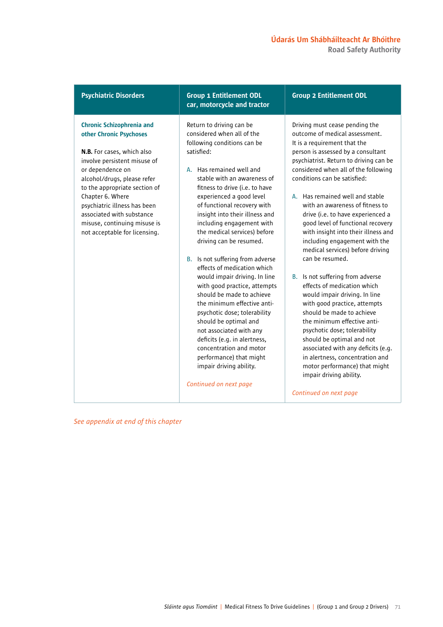Road Safety Authority

| <b>Psychiatric Disorders</b><br><b>Group 1 Entitlement ODL</b><br>car, motorcycle and tractor                                                                                                                                                                                                                                                                                                                                                                                                                                                                                                                                                                                                                                                                                                                                                                                                                                                                                                                                                                                                                                                                                           | <b>Group 2 Entitlement ODL</b>                                                                                                                                                                                                                                                                                                                                                                                                                                                                                                                                                                                                                                                                                                                                                                                                                                                                                                                                      |
|-----------------------------------------------------------------------------------------------------------------------------------------------------------------------------------------------------------------------------------------------------------------------------------------------------------------------------------------------------------------------------------------------------------------------------------------------------------------------------------------------------------------------------------------------------------------------------------------------------------------------------------------------------------------------------------------------------------------------------------------------------------------------------------------------------------------------------------------------------------------------------------------------------------------------------------------------------------------------------------------------------------------------------------------------------------------------------------------------------------------------------------------------------------------------------------------|---------------------------------------------------------------------------------------------------------------------------------------------------------------------------------------------------------------------------------------------------------------------------------------------------------------------------------------------------------------------------------------------------------------------------------------------------------------------------------------------------------------------------------------------------------------------------------------------------------------------------------------------------------------------------------------------------------------------------------------------------------------------------------------------------------------------------------------------------------------------------------------------------------------------------------------------------------------------|
| <b>Chronic Schizophrenia and</b><br>Return to driving can be<br>considered when all of the<br>other Chronic Psychoses<br>following conditions can be<br>satisfied:<br>N.B. For cases, which also<br>involve persistent misuse of<br>or dependence on<br>A. Has remained well and<br>alcohol/drugs, please refer<br>stable with an awareness of<br>to the appropriate section of<br>fitness to drive (i.e. to have<br>Chapter 6. Where<br>experienced a good level<br>psychiatric illness has been<br>of functional recovery with<br>associated with substance<br>insight into their illness and<br>including engagement with<br>misuse, continuing misuse is<br>the medical services) before<br>not acceptable for licensing.<br>driving can be resumed.<br>B. Is not suffering from adverse<br>effects of medication which<br>would impair driving. In line<br>with good practice, attempts<br>should be made to achieve<br>the minimum effective anti-<br>psychotic dose; tolerability<br>should be optimal and<br>not associated with any<br>deficits (e.g. in alertness,<br>concentration and motor<br>performance) that might<br>impair driving ability.<br>Continued on next page | Driving must cease pending the<br>outcome of medical assessment.<br>It is a requirement that the<br>person is assessed by a consultant<br>psychiatrist. Return to driving can be<br>considered when all of the following<br>conditions can be satisfied:<br>A. Has remained well and stable<br>with an awareness of fitness to<br>drive (i.e. to have experienced a<br>good level of functional recovery<br>with insight into their illness and<br>including engagement with the<br>medical services) before driving<br>can be resumed.<br>B. Is not suffering from adverse<br>effects of medication which<br>would impair driving. In line<br>with good practice, attempts<br>should be made to achieve<br>the minimum effective anti-<br>psychotic dose; tolerability<br>should be optimal and not<br>associated with any deficits (e.g.<br>in alertness, concentration and<br>motor performance) that might<br>impair driving ability.<br>Continued on next page |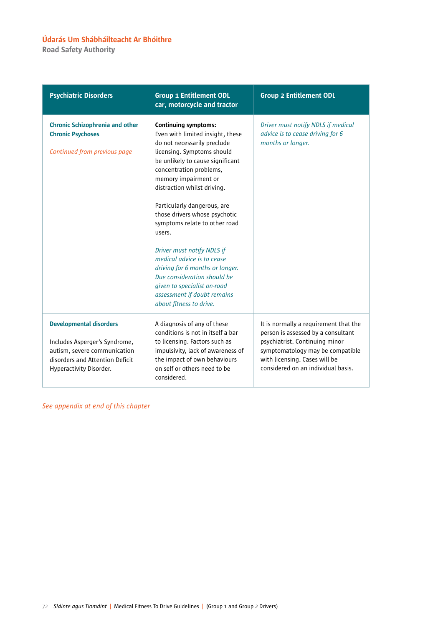Road Safety Authority

| <b>Psychiatric Disorders</b>                                                                                                                                  | <b>Group 1 Entitlement ODL</b><br>car, motorcycle and tractor                                                                                                                                                                                                                                                                                                                                                                                                                                                                                                                        | <b>Group 2 Entitlement ODL</b>                                                                                                                                                                                           |
|---------------------------------------------------------------------------------------------------------------------------------------------------------------|--------------------------------------------------------------------------------------------------------------------------------------------------------------------------------------------------------------------------------------------------------------------------------------------------------------------------------------------------------------------------------------------------------------------------------------------------------------------------------------------------------------------------------------------------------------------------------------|--------------------------------------------------------------------------------------------------------------------------------------------------------------------------------------------------------------------------|
| <b>Chronic Schizophrenia and other</b><br><b>Chronic Psychoses</b><br>Continued from previous page                                                            | <b>Continuing symptoms:</b><br>Even with limited insight, these<br>do not necessarily preclude<br>licensing. Symptoms should<br>be unlikely to cause significant<br>concentration problems,<br>memory impairment or<br>distraction whilst driving.<br>Particularly dangerous, are<br>those drivers whose psychotic<br>symptoms relate to other road<br>users.<br>Driver must notify NDLS if<br>medical advice is to cease<br>driving for 6 months or longer.<br>Due consideration should be<br>given to specialist on-road<br>assessment if doubt remains<br>about fitness to drive. | Driver must notify NDLS if medical<br>advice is to cease driving for 6<br>months or longer.                                                                                                                              |
| <b>Developmental disorders</b><br>Includes Asperger's Syndrome,<br>autism, severe communication<br>disorders and Attention Deficit<br>Hyperactivity Disorder. | A diagnosis of any of these<br>conditions is not in itself a bar<br>to licensing. Factors such as<br>impulsivity, lack of awareness of<br>the impact of own behaviours<br>on self or others need to be<br>considered.                                                                                                                                                                                                                                                                                                                                                                | It is normally a requirement that the<br>person is assessed by a consultant<br>psychiatrist. Continuing minor<br>symptomatology may be compatible<br>with licensing. Cases will be<br>considered on an individual basis. |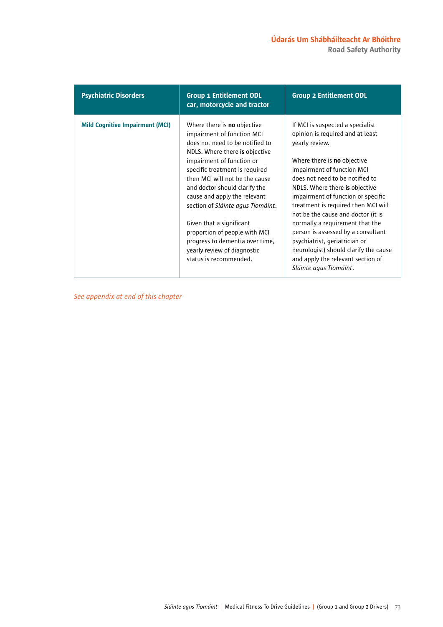| <b>Psychiatric Disorders</b>           | <b>Group 1 Entitlement ODL</b><br>car, motorcycle and tractor                                                                                                                                                                                                                                                                                                                                                                                                                                         | <b>Group 2 Entitlement ODL</b>                                                                                                                                                                                                                                                                                                                                                                                                                                                                                                                                       |
|----------------------------------------|-------------------------------------------------------------------------------------------------------------------------------------------------------------------------------------------------------------------------------------------------------------------------------------------------------------------------------------------------------------------------------------------------------------------------------------------------------------------------------------------------------|----------------------------------------------------------------------------------------------------------------------------------------------------------------------------------------------------------------------------------------------------------------------------------------------------------------------------------------------------------------------------------------------------------------------------------------------------------------------------------------------------------------------------------------------------------------------|
| <b>Mild Cognitive Impairment (MCI)</b> | Where there is <b>no</b> objective<br>impairment of function MCI<br>does not need to be notified to<br>NDLS. Where there is objective<br>impairment of function or<br>specific treatment is required<br>then MCI will not be the cause<br>and doctor should clarify the<br>cause and apply the relevant<br>section of Sláinte agus Tiomáint.<br>Given that a significant<br>proportion of people with MCI<br>progress to dementia over time,<br>yearly review of diagnostic<br>status is recommended. | If MCI is suspected a specialist<br>opinion is required and at least<br>yearly review.<br>Where there is <b>no</b> objective<br>impairment of function MCI<br>does not need to be notified to<br>NDLS. Where there is objective<br>impairment of function or specific<br>treatment is required then MCI will<br>not be the cause and doctor (it is<br>normally a requirement that the<br>person is assessed by a consultant<br>psychiatrist, geriatrician or<br>neurologist) should clarify the cause<br>and apply the relevant section of<br>Sláinte agus Tiomáint. |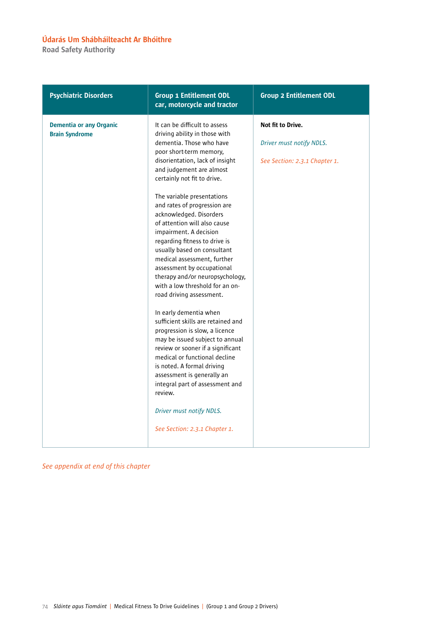Road Safety Authority

| <b>Psychiatric Disorders</b>                            | <b>Group 1 Entitlement ODL</b><br>car, motorcycle and tractor                                                                                                                                                                                                                                                                                                                                                                                                                                                                                                                                                                                                                                                                                                                                                                                                                                                                                                                           | <b>Group 2 Entitlement ODL</b>                                                 |
|---------------------------------------------------------|-----------------------------------------------------------------------------------------------------------------------------------------------------------------------------------------------------------------------------------------------------------------------------------------------------------------------------------------------------------------------------------------------------------------------------------------------------------------------------------------------------------------------------------------------------------------------------------------------------------------------------------------------------------------------------------------------------------------------------------------------------------------------------------------------------------------------------------------------------------------------------------------------------------------------------------------------------------------------------------------|--------------------------------------------------------------------------------|
| <b>Dementia or any Organic</b><br><b>Brain Syndrome</b> | It can be difficult to assess<br>driving ability in those with<br>dementia. Those who have<br>poor short-term memory,<br>disorientation, lack of insight<br>and judgement are almost<br>certainly not fit to drive.<br>The variable presentations<br>and rates of progression are<br>acknowledged. Disorders<br>of attention will also cause<br>impairment. A decision<br>regarding fitness to drive is<br>usually based on consultant<br>medical assessment, further<br>assessment by occupational<br>therapy and/or neuropsychology,<br>with a low threshold for an on-<br>road driving assessment.<br>In early dementia when<br>sufficient skills are retained and<br>progression is slow, a licence<br>may be issued subject to annual<br>review or sooner if a significant<br>medical or functional decline<br>is noted. A formal driving<br>assessment is generally an<br>integral part of assessment and<br>review.<br>Driver must notify NDLS.<br>See Section: 2.3.1 Chapter 1. | Not fit to Drive.<br>Driver must notify NDLS.<br>See Section: 2.3.1 Chapter 1. |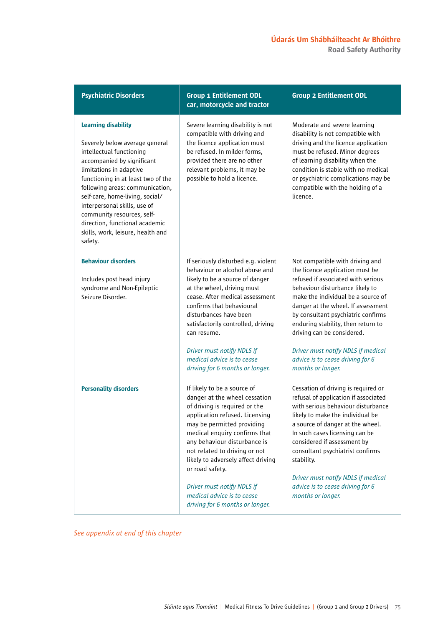| <b>Psychiatric Disorders</b>                                                                                                                                                                                                                                                                                                                                                                                  | <b>Group 1 Entitlement ODL</b><br>car, motorcycle and tractor                                                                                                                                                                                                                                                                                                                                                           | <b>Group 2 Entitlement ODL</b>                                                                                                                                                                                                                                                                                                                                                                                                   |
|---------------------------------------------------------------------------------------------------------------------------------------------------------------------------------------------------------------------------------------------------------------------------------------------------------------------------------------------------------------------------------------------------------------|-------------------------------------------------------------------------------------------------------------------------------------------------------------------------------------------------------------------------------------------------------------------------------------------------------------------------------------------------------------------------------------------------------------------------|----------------------------------------------------------------------------------------------------------------------------------------------------------------------------------------------------------------------------------------------------------------------------------------------------------------------------------------------------------------------------------------------------------------------------------|
| <b>Learning disability</b><br>Severely below average general<br>intellectual functioning<br>accompanied by significant<br>limitations in adaptive<br>functioning in at least two of the<br>following areas: communication,<br>self-care, home-living, social/<br>interpersonal skills, use of<br>community resources, self-<br>direction, functional academic<br>skills, work, leisure, health and<br>safety. | Severe learning disability is not<br>compatible with driving and<br>the licence application must<br>be refused. In milder forms,<br>provided there are no other<br>relevant problems, it may be<br>possible to hold a licence.                                                                                                                                                                                          | Moderate and severe learning<br>disability is not compatible with<br>driving and the licence application<br>must be refused. Minor degrees<br>of learning disability when the<br>condition is stable with no medical<br>or psychiatric complications may be<br>compatible with the holding of a<br>licence.                                                                                                                      |
| <b>Behaviour disorders</b><br>Includes post head injury<br>syndrome and Non-Epileptic<br>Seizure Disorder.                                                                                                                                                                                                                                                                                                    | If seriously disturbed e.g. violent<br>behaviour or alcohol abuse and<br>likely to be a source of danger<br>at the wheel, driving must<br>cease. After medical assessment<br>confirms that behavioural<br>disturbances have been<br>satisfactorily controlled, driving<br>can resume.<br>Driver must notify NDLS if<br>medical advice is to cease<br>driving for 6 months or longer.                                    | Not compatible with driving and<br>the licence application must be<br>refused if associated with serious<br>behaviour disturbance likely to<br>make the individual be a source of<br>danger at the wheel. If assessment<br>by consultant psychiatric confirms<br>enduring stability, then return to<br>driving can be considered.<br>Driver must notify NDLS if medical<br>advice is to cease driving for 6<br>months or longer. |
| <b>Personality disorders</b>                                                                                                                                                                                                                                                                                                                                                                                  | If likely to be a source of<br>danger at the wheel cessation<br>of driving is required or the<br>application refused. Licensing<br>may be permitted providing<br>medical enquiry confirms that<br>any behaviour disturbance is<br>not related to driving or not<br>likely to adversely affect driving<br>or road safety.<br>Driver must notify NDLS if<br>medical advice is to cease<br>driving for 6 months or longer. | Cessation of driving is required or<br>refusal of application if associated<br>with serious behaviour disturbance<br>likely to make the individual be<br>a source of danger at the wheel.<br>In such cases licensing can be<br>considered if assessment by<br>consultant psychiatrist confirms<br>stability.<br>Driver must notify NDLS if medical<br>advice is to cease driving for 6<br>months or longer.                      |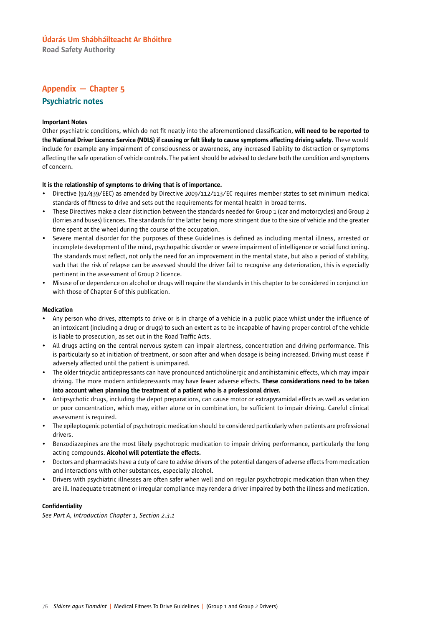Road Safety Authority

### Appendix — Chapter 5

### Psychiatric notes

### Important Notes

Other psychiatric conditions, which do not fit neatly into the aforementioned classification, will need to be reported to the National Driver Licence Service (NDLS) if causing or felt likely to cause symptoms affecting driving safety. These would include for example any impairment of consciousness or awareness, any increased liability to distraction or symptoms affecting the safe operation of vehicle controls. The patient should be advised to declare both the condition and symptoms of concern.

### It is the relationship of symptoms to driving that is of importance.

- Directive (91/439/EEC) as amended by Directive 2009/112/113/EC requires member states to set minimum medical standards of fitness to drive and sets out the requirements for mental health in broad terms.
- These Directives make a clear distinction between the standards needed for Group 1 (car and motorcycles) and Group 2 (lorries and buses) licences. The standards for the latter being more stringent due to the size of vehicle and the greater time spent at the wheel during the course of the occupation.
- Severe mental disorder for the purposes of these Guidelines is defined as including mental illness, arrested or incomplete development of the mind, psychopathic disorder or severe impairment of intelligence or social functioning. The standards must reflect, not only the need for an improvement in the mental state, but also a period of stability, such that the risk of relapse can be assessed should the driver fail to recognise any deterioration, this is especially pertinent in the assessment of Group 2 licence.
- Misuse of or dependence on alcohol or drugs will require the standards in this chapter to be considered in conjunction with those of Chapter 6 of this publication.

#### Medication

- Any person who drives, attempts to drive or is in charge of a vehicle in a public place whilst under the influence of an intoxicant (including a drug or drugs) to such an extent as to be incapable of having proper control of the vehicle is liable to prosecution, as set out in the Road Traffic Acts.
- All drugs acting on the central nervous system can impair alertness, concentration and driving performance. This is particularly so at initiation of treatment, or soon after and when dosage is being increased. Driving must cease if adversely affected until the patient is unimpaired.
- The older tricyclic antidepressants can have pronounced anticholinergic and antihistaminic effects, which may impair driving. The more modern antidepressants may have fewer adverse effects. These considerations need to be taken into account when planning the treatment of a patient who is a professional driver.
- Antipsychotic drugs, including the depot preparations, can cause motor or extrapyramidal effects as well as sedation or poor concentration, which may, either alone or in combination, be sufficient to impair driving. Careful clinical assessment is required.
- The epileptogenic potential of psychotropic medication should be considered particularly when patients are professional drivers.
- Benzodiazepines are the most likely psychotropic medication to impair driving performance, particularly the long acting compounds. Alcohol will potentiate the effects.
- Doctors and pharmacists have a duty of care to advise drivers of the potential dangers of adverse effects from medication and interactions with other substances, especially alcohol.
- Drivers with psychiatric illnesses are often safer when well and on regular psychotropic medication than when they are ill. Inadequate treatment or irregular compliance may render a driver impaired by both the illness and medication.

### Confidentiality

*See Part A, Introduction Chapter 1, Section 2.3.1*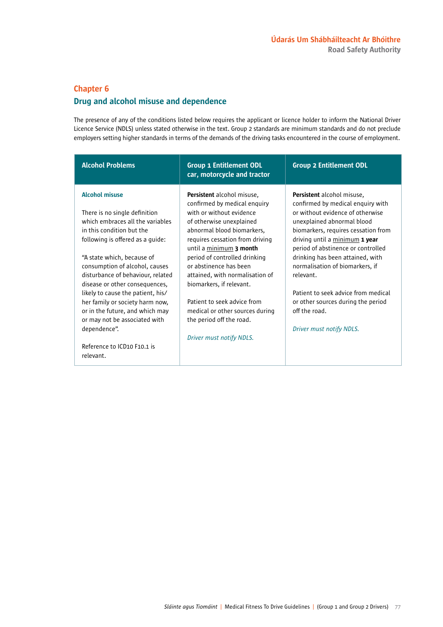### Chapter 6

### Drug and alcohol misuse and dependence

The presence of any of the conditions listed below requires the applicant or licence holder to inform the National Driver Licence Service (NDLS) unless stated otherwise in the text. Group 2 standards are minimum standards and do not preclude employers setting higher standards in terms of the demands of the driving tasks encountered in the course of employment.

| <b>Alcohol Problems</b>                                                                                                                                                                                                                                                                                                                                                                                                                                        | <b>Group 1 Entitlement ODL</b><br>car, motorcycle and tractor                                                                                                                                                                                                                                                                                                                                                                                                             | <b>Group 2 Entitlement ODL</b>                                                                                                                                                                                                                                                                                                                                                                                                                                        |
|----------------------------------------------------------------------------------------------------------------------------------------------------------------------------------------------------------------------------------------------------------------------------------------------------------------------------------------------------------------------------------------------------------------------------------------------------------------|---------------------------------------------------------------------------------------------------------------------------------------------------------------------------------------------------------------------------------------------------------------------------------------------------------------------------------------------------------------------------------------------------------------------------------------------------------------------------|-----------------------------------------------------------------------------------------------------------------------------------------------------------------------------------------------------------------------------------------------------------------------------------------------------------------------------------------------------------------------------------------------------------------------------------------------------------------------|
| <b>Alcohol misuse</b><br>There is no single definition<br>which embraces all the variables<br>in this condition but the<br>following is offered as a guide:<br>"A state which, because of<br>consumption of alcohol, causes<br>disturbance of behaviour, related<br>disease or other consequences,<br>likely to cause the patient, his/<br>her family or society harm now,<br>or in the future, and which may<br>or may not be associated with<br>dependence". | <b>Persistent</b> alcohol misuse,<br>confirmed by medical enquiry<br>with or without evidence<br>of otherwise unexplained<br>abnormal blood biomarkers,<br>requires cessation from driving<br>until a minimum 3 month<br>period of controlled drinking<br>or abstinence has been<br>attained, with normalisation of<br>biomarkers, if relevant.<br>Patient to seek advice from<br>medical or other sources during<br>the period off the road.<br>Driver must notify NDLS. | <b>Persistent</b> alcohol misuse,<br>confirmed by medical enguiry with<br>or without evidence of otherwise<br>unexplained abnormal blood<br>biomarkers, requires cessation from<br>driving until a minimum 1 year<br>period of abstinence or controlled<br>drinking has been attained, with<br>normalisation of biomarkers, if<br>relevant.<br>Patient to seek advice from medical<br>or other sources during the period<br>off the road.<br>Driver must notify NDLS. |
| Reference to ICD10 F10.1 is<br>relevant.                                                                                                                                                                                                                                                                                                                                                                                                                       |                                                                                                                                                                                                                                                                                                                                                                                                                                                                           |                                                                                                                                                                                                                                                                                                                                                                                                                                                                       |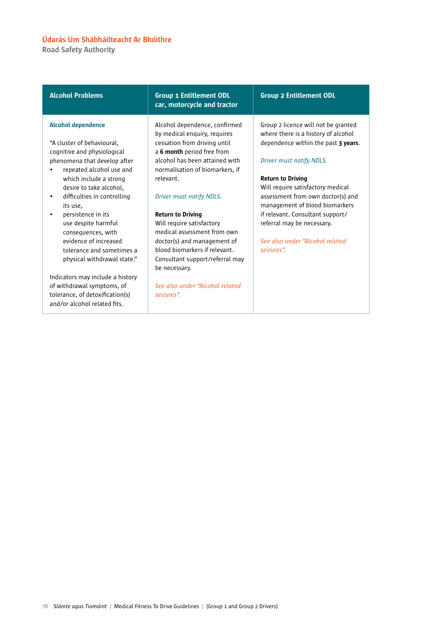Road Safety Authority

#### Alcohol dependence

"A cluster of behavioural, cognitive and physiological phenomena that develop after

- repeated alcohol use and which include a strong desire to take alcohol,
- difficulties in controlling its use,
- persistence in its use despite harmful consequences, with evidence of increased tolerance and sometimes a physical withdrawal state."

Indicators may include a history of withdrawal symptoms, of tolerance, of detoxification(s) and/or alcohol related fits.

### Alcohol Problems Group 1 Entitlement ODL car, motorcycle and tractor

Alcohol dependence, confirmed by medical enquiry, requires cessation from driving until a 6 month period free from alcohol has been attained with normalisation of biomarkers, if relevant.

### *Driver must notify NDLS.*

#### Return to Driving

Will require satisfactory medical assessment from own doctor(s) and management of blood biomarkers if relevant. Consultant support/referral may be necessary.

*See also under "Alcohol related seizures".*

### Group 2 Entitlement ODL

Group 2 licence will not be granted where there is a history of alcohol dependence within the past 3 years.

### *Driver must notify NDLS.*

#### Return to Driving

Will require satisfactory medical assessment from own doctor(s) and management of blood biomarkers if relevant. Consultant support/ referral may be necessary.

*See also under "Alcohol related seizures".*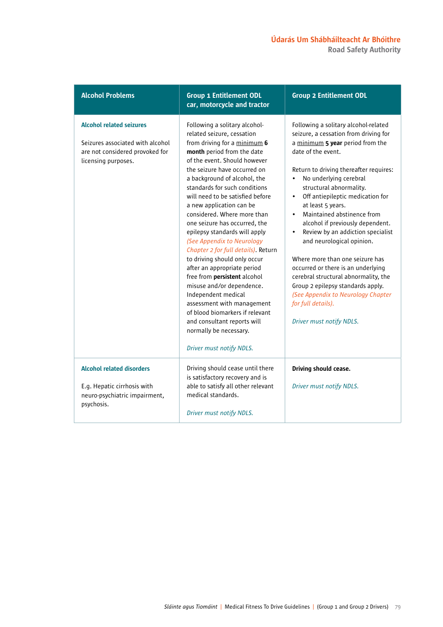Alcohol Problems Group 1 Entitlement ODL car, motorcycle and tractor Group 2 Entitlement ODL Alcohol related seizures Seizures associated with alcohol are not considered provoked for licensing purposes. Following a solitary alcoholrelated seizure, cessation from driving for a minimum 6 month period from the date of the event. Should however the seizure have occurred on a background of alcohol, the standards for such conditions will need to be satisfied before a new application can be considered. Where more than one seizure has occurred, the epilepsy standards will apply *(See Appendix to Neurology Chapter 2 for full details)*. Return to driving should only occur after an appropriate period free from persistent alcohol misuse and/or dependence. Independent medical assessment with management of blood biomarkers if relevant and consultant reports will normally be necessary. *Driver must notify NDLS.* Following a solitary alcohol-related seizure, a cessation from driving for a minimum 5 year period from the date of the event. Return to driving thereafter requires: • No underlying cerebral structural abnormality. • Off antiepileptic medication for at least 5 years. • Maintained abstinence from alcohol if previously dependent. • Review by an addiction specialist and neurological opinion. Where more than one seizure has occurred or there is an underlying cerebral structural abnormality, the Group 2 epilepsy standards apply. *(See Appendix to Neurology Chapter for full details). Driver must notify NDLS.* Alcohol related disorders E.g. Hepatic cirrhosis with neuro-psychiatric impairment, psychosis. Driving should cease until there is satisfactory recovery and is able to satisfy all other relevant medical standards. *Driver must notify NDLS.* Driving should cease. *Driver must notify NDLS.*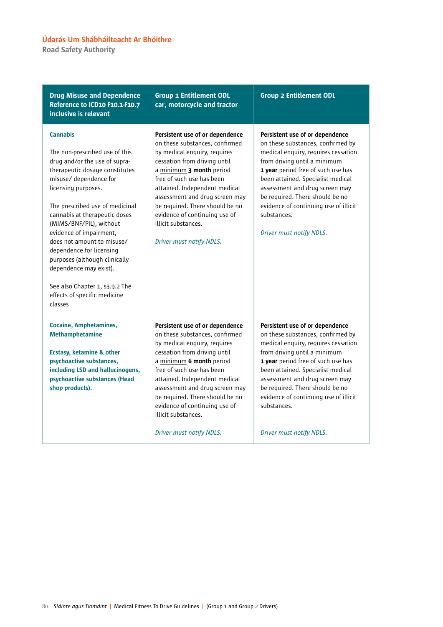Road Safety Authority

| <b>Drug Misuse and Dependence</b><br>Reference to ICD10 F10.1-F10.7<br>inclusive is relevant                                                                                                                                                                                                                                                                                                                                                                                                      | <b>Group 1 Entitlement ODL</b><br>car, motorcycle and tractor                                                                                                                                                                                                                                                                                                                        | <b>Group 2 Entitlement ODL</b>                                                                                                                                                                                                                                                                                                                                                  |
|---------------------------------------------------------------------------------------------------------------------------------------------------------------------------------------------------------------------------------------------------------------------------------------------------------------------------------------------------------------------------------------------------------------------------------------------------------------------------------------------------|--------------------------------------------------------------------------------------------------------------------------------------------------------------------------------------------------------------------------------------------------------------------------------------------------------------------------------------------------------------------------------------|---------------------------------------------------------------------------------------------------------------------------------------------------------------------------------------------------------------------------------------------------------------------------------------------------------------------------------------------------------------------------------|
| <b>Cannabis</b><br>The non-prescribed use of this<br>drug and/or the use of supra-<br>therapeutic dosage constitutes<br>misuse/ dependence for<br>licensing purposes.<br>The prescribed use of medicinal<br>cannabis at therapeutic doses<br>(MIMS/BNF/PIL), without<br>evidence of impairment,<br>does not amount to misuse/<br>dependence for licensing<br>purposes (although clinically<br>dependence may exist).<br>See also Chapter 1, s3.9.2 The<br>effects of specific medicine<br>classes | Persistent use of or dependence<br>on these substances, confirmed<br>by medical enquiry, requires<br>cessation from driving until<br>a minimum 3 month period<br>free of such use has been<br>attained. Independent medical<br>assessment and drug screen may<br>be required. There should be no<br>evidence of continuing use of<br>illicit substances.<br>Driver must notify NDLS. | Persistent use of or dependence<br>on these substances, confirmed by<br>medical enquiry, requires cessation<br>from driving until a minimum<br>1 year period free of such use has<br>been attained. Specialist medical<br>assessment and drug screen may<br>be required. There should be no<br>evidence of continuing use of illicit<br>substances.<br>Driver must notify NDLS. |
| <b>Cocaine, Amphetamines,</b><br><b>Methamphetamine</b><br><b>Ecstasy, ketamine &amp; other</b><br>psychoactive substances,<br>including LSD and hallucinogens,<br>psychoactive substances (Head<br>shop products).                                                                                                                                                                                                                                                                               | Persistent use of or dependence<br>on these substances, confirmed<br>by medical enquiry, requires<br>cessation from driving until<br>a minimum 6 month period<br>free of such use has been<br>attained. Independent medical<br>assessment and drug screen may<br>be required. There should be no<br>evidence of continuing use of<br>illicit substances.<br>Driver must notify NDLS. | Persistent use of or dependence<br>on these substances, confirmed by<br>medical enquiry, requires cessation<br>from driving until a minimum<br>1 year period free of such use has<br>been attained. Specialist medical<br>assessment and drug screen may<br>be required. There should be no<br>evidence of continuing use of illicit<br>substances.<br>Driver must notify NDLS. |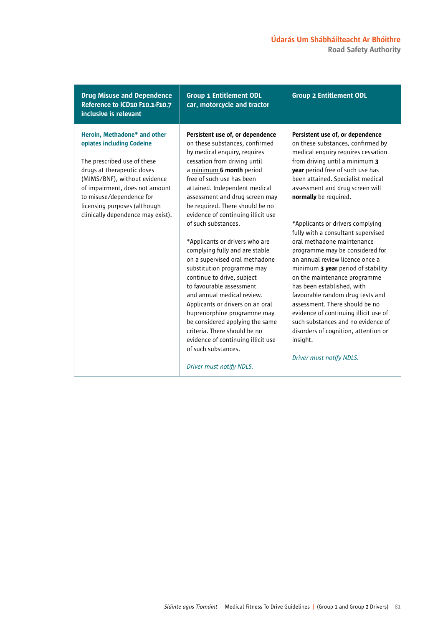Drug Misuse and Dependence Reference to ICD10 F10.1-F10.7 inclusive is relevant Group 1 Entitlement ODL car, motorcycle and tractor Group 2 Entitlement ODL Heroin, Methadone\* and other opiates including Codeine The prescribed use of these drugs at therapeutic doses (MIMS/BNF), without evidence of impairment, does not amount to misuse/dependence for licensing purposes (although clinically dependence may exist). Persistent use of, or dependence on these substances, confirmed by medical enquiry, requires cessation from driving until a minimum 6 month period free of such use has been attained. Independent medical assessment and drug screen may be required. There should be no evidence of continuing illicit use of such substances. \*Applicants or drivers who are complying fully and are stable on a supervised oral methadone substitution programme may continue to drive, subject to favourable assessment and annual medical review. Applicants or drivers on an oral buprenorphine programme may be considered applying the same criteria. There should be no evidence of continuing illicit use of such substances. *Driver must notify NDLS.* Persistent use of, or dependence on these substances, confirmed by medical enquiry requires cessation from driving until a minimum 3 year period free of such use has been attained. Specialist medical assessment and drug screen will normally be required. \*Applicants or drivers complying fully with a consultant supervised oral methadone maintenance programme may be considered for an annual review licence once a minimum 3 year period of stability on the maintenance programme has been established, with favourable random drug tests and assessment. There should be no evidence of continuing illicit use of such substances and no evidence of disorders of cognition, attention or insight. *Driver must notify NDLS.*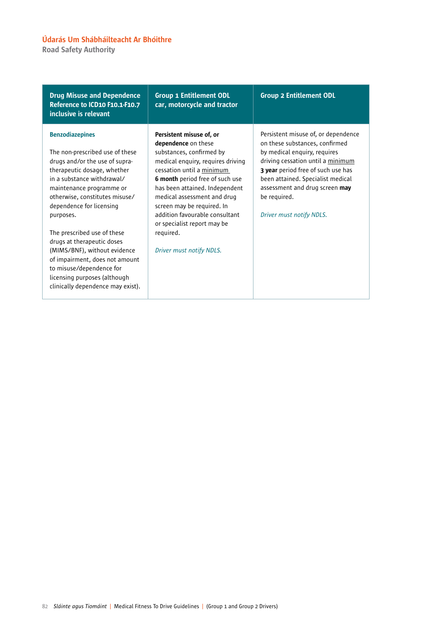Road Safety Authority

| <b>Drug Misuse and Dependence</b><br>Reference to ICD10 F10.1-F10.7<br>inclusive is relevant                                                                                                                                                                                                                                                                                                                                                                                                    | <b>Group 1 Entitlement ODL</b><br>car, motorcycle and tractor                                                                                                                                                                                                                                                                                                                             | <b>Group 2 Entitlement ODL</b>                                                                                                                                                                                                                                                                      |
|-------------------------------------------------------------------------------------------------------------------------------------------------------------------------------------------------------------------------------------------------------------------------------------------------------------------------------------------------------------------------------------------------------------------------------------------------------------------------------------------------|-------------------------------------------------------------------------------------------------------------------------------------------------------------------------------------------------------------------------------------------------------------------------------------------------------------------------------------------------------------------------------------------|-----------------------------------------------------------------------------------------------------------------------------------------------------------------------------------------------------------------------------------------------------------------------------------------------------|
| <b>Benzodiazepines</b><br>The non-prescribed use of these<br>drugs and/or the use of supra-<br>therapeutic dosage, whether<br>in a substance withdrawal/<br>maintenance programme or<br>otherwise, constitutes misuse/<br>dependence for licensing<br>purposes.<br>The prescribed use of these<br>drugs at therapeutic doses<br>(MIMS/BNF), without evidence<br>of impairment, does not amount<br>to misuse/dependence for<br>licensing purposes (although<br>clinically dependence may exist). | Persistent misuse of, or<br>dependence on these<br>substances, confirmed by<br>medical enquiry, requires driving<br>cessation until a minimum<br>6 month period free of such use<br>has been attained. Independent<br>medical assessment and drug<br>screen may be required. In<br>addition favourable consultant<br>or specialist report may be<br>required.<br>Driver must notify NDLS. | Persistent misuse of, or dependence<br>on these substances, confirmed<br>by medical enquiry, requires<br>driving cessation until a minimum<br>3 year period free of such use has<br>been attained. Specialist medical<br>assessment and drug screen may<br>be required.<br>Driver must notify NDLS. |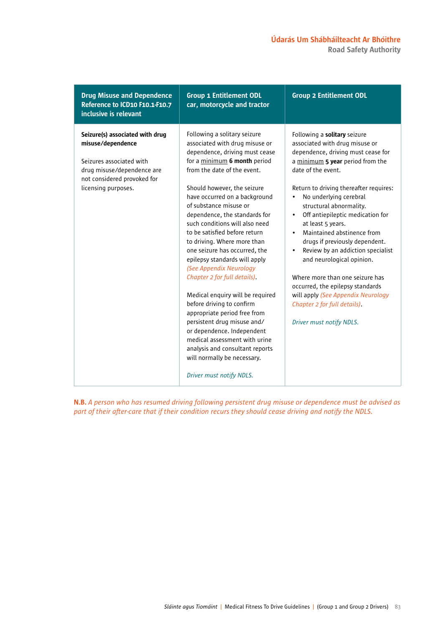Road Safety Authority

| <b>Drug Misuse and Dependence</b><br>Reference to ICD10 F10.1-F10.7<br>inclusive is relevant                                                                         | <b>Group 1 Entitlement ODL</b><br>car, motorcycle and tractor                                                                                                                                                                                                                                                                                                                                                                                                                                                                                                                                                                                                                                                                                                                                                          | <b>Group 2 Entitlement ODL</b>                                                                                                                                                                                                                                                                                                                                                                                                                                                                                                                                                                                                                                                        |
|----------------------------------------------------------------------------------------------------------------------------------------------------------------------|------------------------------------------------------------------------------------------------------------------------------------------------------------------------------------------------------------------------------------------------------------------------------------------------------------------------------------------------------------------------------------------------------------------------------------------------------------------------------------------------------------------------------------------------------------------------------------------------------------------------------------------------------------------------------------------------------------------------------------------------------------------------------------------------------------------------|---------------------------------------------------------------------------------------------------------------------------------------------------------------------------------------------------------------------------------------------------------------------------------------------------------------------------------------------------------------------------------------------------------------------------------------------------------------------------------------------------------------------------------------------------------------------------------------------------------------------------------------------------------------------------------------|
| Seizure(s) associated with drug<br>misuse/dependence<br>Seizures associated with<br>drug misuse/dependence are<br>not considered provoked for<br>licensing purposes. | Following a solitary seizure<br>associated with drug misuse or<br>dependence, driving must cease<br>for a minimum 6 month period<br>from the date of the event.<br>Should however, the seizure<br>have occurred on a background<br>of substance misuse or<br>dependence, the standards for<br>such conditions will also need<br>to be satisfied before return<br>to driving. Where more than<br>one seizure has occurred, the<br>epilepsy standards will apply<br>(See Appendix Neurology<br>Chapter 2 for full details).<br>Medical enquiry will be required<br>before driving to confirm<br>appropriate period free from<br>persistent drug misuse and/<br>or dependence. Independent<br>medical assessment with urine<br>analysis and consultant reports<br>will normally be necessary.<br>Driver must notify NDLS. | Following a solitary seizure<br>associated with drug misuse or<br>dependence, driving must cease for<br>a minimum 5 year period from the<br>date of the event.<br>Return to driving thereafter requires:<br>No underlying cerebral<br>$\bullet$<br>structural abnormality.<br>Off antiepileptic medication for<br>$\bullet$<br>at least 5 years.<br>Maintained abstinence from<br>$\bullet$<br>drugs if previously dependent.<br>Review by an addiction specialist<br>$\bullet$<br>and neurological opinion.<br>Where more than one seizure has<br>occurred, the epilepsy standards<br>will apply (See Appendix Neurology<br>Chapter 2 for full details).<br>Driver must notify NDLS. |

N.B. *A person who has resumed driving following persistent drug misuse or dependence must be advised as part of their after-care that if their condition recurs they should cease driving and notify the NDLS.*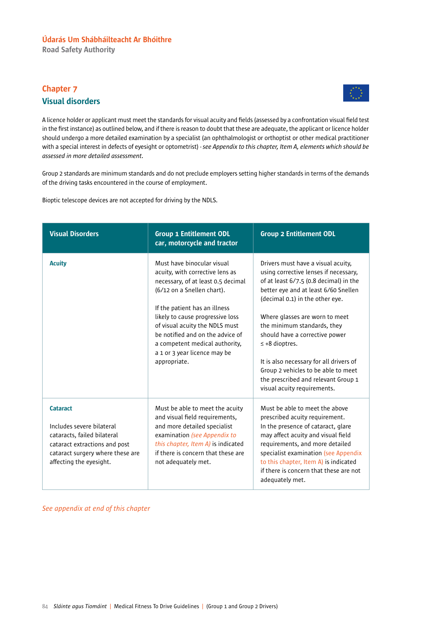Road Safety Authority

# Chapter 7 Visual disorders



A licence holder or applicant must meet the standards for visual acuity and fields (assessed by a confrontation visual field test in the first instance) as outlined below, and if there is reason to doubt that these are adequate, the applicant or licence holder should undergo a more detailed examination by a specialist (an ophthalmologist or orthoptist or other medical practitioner with a special interest in defects of eyesight or optometrist) - *see Appendix to this chapter, Item A, elements which should be assessed in more detailed assessment.*

Group 2 standards are minimum standards and do not preclude employers setting higher standards in terms of the demands of the driving tasks encountered in the course of employment.

Bioptic telescope devices are not accepted for driving by the NDLS.

| <b>Visual Disorders</b>                                                                                                                                                     | <b>Group 1 Entitlement ODL</b><br>car, motorcycle and tractor                                                                                                                                                                                                                                                                                                  | <b>Group 2 Entitlement ODL</b>                                                                                                                                                                                                                                                                                                                                                                                                                                                     |
|-----------------------------------------------------------------------------------------------------------------------------------------------------------------------------|----------------------------------------------------------------------------------------------------------------------------------------------------------------------------------------------------------------------------------------------------------------------------------------------------------------------------------------------------------------|------------------------------------------------------------------------------------------------------------------------------------------------------------------------------------------------------------------------------------------------------------------------------------------------------------------------------------------------------------------------------------------------------------------------------------------------------------------------------------|
| <b>Acuity</b>                                                                                                                                                               | Must have binocular visual<br>acuity, with corrective lens as<br>necessary, of at least 0.5 decimal<br>(6/12 on a Snellen chart).<br>If the patient has an illness<br>likely to cause progressive loss<br>of visual acuity the NDLS must<br>be notified and on the advice of<br>a competent medical authority,<br>a 1 or 3 year licence may be<br>appropriate. | Drivers must have a visual acuity,<br>using corrective lenses if necessary,<br>of at least 6/7.5 (0.8 decimal) in the<br>better eye and at least 6/60 Snellen<br>(decimal 0.1) in the other eye.<br>Where glasses are worn to meet<br>the minimum standards, they<br>should have a corrective power<br>$\leq$ +8 dioptres.<br>It is also necessary for all drivers of<br>Group 2 vehicles to be able to meet<br>the prescribed and relevant Group 1<br>visual acuity requirements. |
| <b>Cataract</b><br>Includes severe bilateral<br>cataracts, failed bilateral<br>cataract extractions and post<br>cataract surgery where these are<br>affecting the eyesight. | Must be able to meet the acuity<br>and visual field requirements,<br>and more detailed specialist<br>examination (see Appendix to<br>this chapter, Item A) is indicated<br>if there is concern that these are<br>not adequately met.                                                                                                                           | Must be able to meet the above<br>prescribed acuity requirement.<br>In the presence of cataract, glare<br>may affect acuity and visual field<br>requirements, and more detailed<br>specialist examination (see Appendix<br>to this chapter, Item A) is indicated<br>if there is concern that these are not<br>adequately met.                                                                                                                                                      |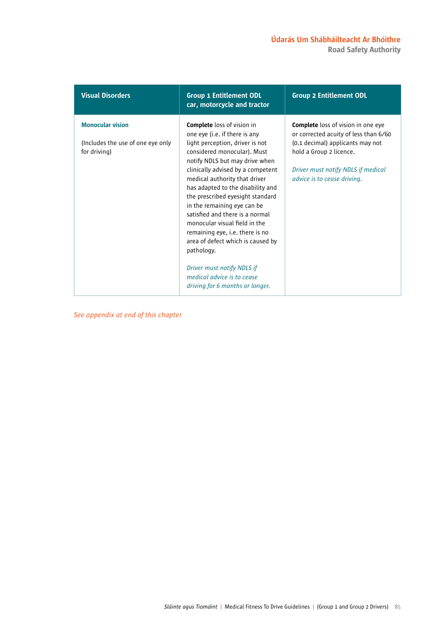| <b>Visual Disorders</b>                                                      | <b>Group 1 Entitlement ODL</b><br>car, motorcycle and tractor                                                                                                                                                                                                                                                                                                                                                                                                                                                                                                                                                 | <b>Group 2 Entitlement ODL</b>                                                                                                                                                                                         |
|------------------------------------------------------------------------------|---------------------------------------------------------------------------------------------------------------------------------------------------------------------------------------------------------------------------------------------------------------------------------------------------------------------------------------------------------------------------------------------------------------------------------------------------------------------------------------------------------------------------------------------------------------------------------------------------------------|------------------------------------------------------------------------------------------------------------------------------------------------------------------------------------------------------------------------|
| <b>Monocular vision</b><br>(Includes the use of one eye only<br>for driving) | <b>Complete</b> loss of vision in<br>one eye (i.e. if there is any<br>light perception, driver is not<br>considered monocular). Must<br>notify NDLS but may drive when<br>clinically advised by a competent<br>medical authority that driver<br>has adapted to the disability and<br>the prescribed eyesight standard<br>in the remaining eye can be<br>satisfied and there is a normal<br>monocular visual field in the<br>remaining eye, i.e. there is no<br>area of defect which is caused by<br>pathology.<br>Driver must notify NDLS if<br>medical advice is to cease<br>driving for 6 months or longer. | <b>Complete</b> loss of vision in one eye<br>or corrected acuity of less than 6/60<br>(0.1 decimal) applicants may not<br>hold a Group 2 licence.<br>Driver must notify NDLS if medical<br>advice is to cease driving. |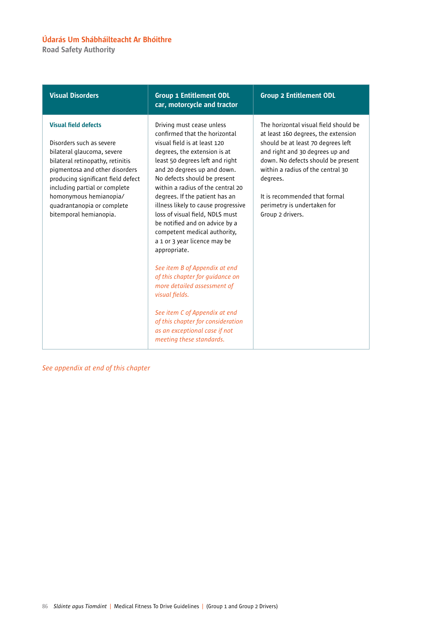Road Safety Authority

| <b>Visual Disorders</b>                                                                                                                                                                                                                                                                                              | <b>Group 1 Entitlement ODL</b><br>car, motorcycle and tractor                                                                                                                                                                                                                                                                                                                                                                                                                                                                                                                                      | <b>Group 2 Entitlement ODL</b>                                                                                                                                                                                                                                                                                                   |  |
|----------------------------------------------------------------------------------------------------------------------------------------------------------------------------------------------------------------------------------------------------------------------------------------------------------------------|----------------------------------------------------------------------------------------------------------------------------------------------------------------------------------------------------------------------------------------------------------------------------------------------------------------------------------------------------------------------------------------------------------------------------------------------------------------------------------------------------------------------------------------------------------------------------------------------------|----------------------------------------------------------------------------------------------------------------------------------------------------------------------------------------------------------------------------------------------------------------------------------------------------------------------------------|--|
| <b>Visual field defects</b><br>Disorders such as severe<br>bilateral glaucoma, severe<br>bilateral retinopathy, retinitis<br>pigmentosa and other disorders<br>producing significant field defect<br>including partial or complete<br>homonymous hemianopia/<br>quadrantanopia or complete<br>bitemporal hemianopia. | Driving must cease unless<br>confirmed that the horizontal<br>visual field is at least 120<br>degrees, the extension is at<br>least 50 degrees left and right<br>and 20 degrees up and down.<br>No defects should be present<br>within a radius of the central 20<br>degrees. If the patient has an<br>illness likely to cause progressive<br>loss of visual field, NDLS must<br>be notified and on advice by a<br>competent medical authority,<br>a 1 or 3 year licence may be<br>appropriate.<br>See item B of Appendix at end<br>of this chapter for guidance on<br>more detailed assessment of | The horizontal visual field should be<br>at least 160 degrees, the extension<br>should be at least 70 degrees left<br>and right and 30 degrees up and<br>down. No defects should be present<br>within a radius of the central 30<br>degrees.<br>It is recommended that formal<br>perimetry is undertaken for<br>Group 2 drivers. |  |
|                                                                                                                                                                                                                                                                                                                      | visual fields.<br>See item C of Appendix at end<br>of this chapter for consideration<br>as an exceptional case if not<br>meeting these standards.                                                                                                                                                                                                                                                                                                                                                                                                                                                  |                                                                                                                                                                                                                                                                                                                                  |  |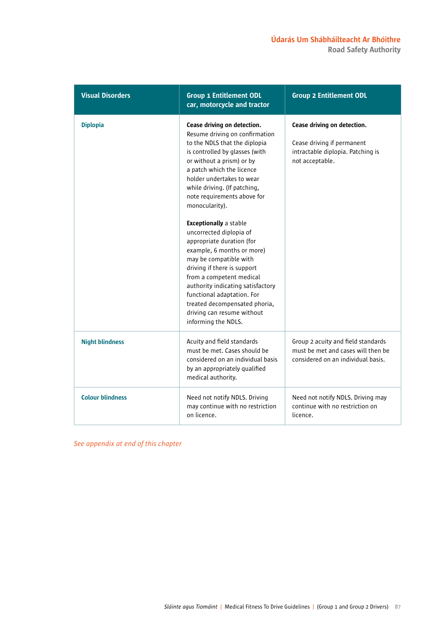| <b>Visual Disorders</b> | <b>Group 1 Entitlement ODL</b><br>car, motorcycle and tractor                                                                                                                                                                                                                                                                                                                                                                                                                                                                                                                                                                                          | <b>Group 2 Entitlement ODL</b>                                                                                    |  |
|-------------------------|--------------------------------------------------------------------------------------------------------------------------------------------------------------------------------------------------------------------------------------------------------------------------------------------------------------------------------------------------------------------------------------------------------------------------------------------------------------------------------------------------------------------------------------------------------------------------------------------------------------------------------------------------------|-------------------------------------------------------------------------------------------------------------------|--|
| <b>Diplopia</b>         | Cease driving on detection.<br>Resume driving on confirmation<br>to the NDLS that the diplopia<br>is controlled by glasses (with<br>or without a prism) or by<br>a patch which the licence<br>holder undertakes to wear<br>while driving. (If patching,<br>note requirements above for<br>monocularity).<br><b>Exceptionally a stable</b><br>uncorrected diplopia of<br>appropriate duration (for<br>example, 6 months or more)<br>may be compatible with<br>driving if there is support<br>from a competent medical<br>authority indicating satisfactory<br>functional adaptation. For<br>treated decompensated phoria,<br>driving can resume without | Cease driving on detection.<br>Cease driving if permanent<br>intractable diplopia. Patching is<br>not acceptable. |  |
| <b>Night blindness</b>  | informing the NDLS.<br>Acuity and field standards<br>must be met. Cases should be<br>considered on an individual basis<br>by an appropriately qualified<br>medical authority.                                                                                                                                                                                                                                                                                                                                                                                                                                                                          | Group 2 acuity and field standards<br>must be met and cases will then be<br>considered on an individual basis.    |  |
| <b>Colour blindness</b> | Need not notify NDLS. Driving<br>may continue with no restriction<br>on licence.                                                                                                                                                                                                                                                                                                                                                                                                                                                                                                                                                                       | Need not notify NDLS. Driving may<br>continue with no restriction on<br>licence.                                  |  |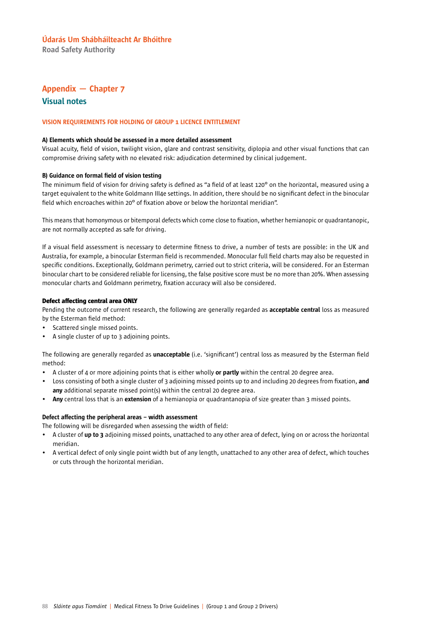Road Safety Authority

### Appendix — Chapter 7 Visual notes

#### VISION REQUIREMENTS FOR HOLDING OF GROUP 1 LICENCE ENTITLEMENT

#### A) Elements which should be assessed in a more detailed assessment

Visual acuity, field of vision, twilight vision, glare and contrast sensitivity, diplopia and other visual functions that can compromise driving safety with no elevated risk: adjudication determined by clinical judgement.

### B) Guidance on formal field of vision testing

The minimum field of vision for driving safety is defined as "a field of at least 120° on the horizontal, measured using a target equivalent to the white Goldmann III4e settings. In addition, there should be no significant defect in the binocular field which encroaches within 20° of fixation above or below the horizontal meridian".

This means that homonymous or bitemporal defects which come close to fixation, whether hemianopic or quadrantanopic, are not normally accepted as safe for driving.

If a visual field assessment is necessary to determine fitness to drive, a number of tests are possible: in the UK and Australia, for example, a binocular Esterman field is recommended. Monocular full field charts may also be requested in specific conditions. Exceptionally, Goldmann perimetry, carried out to strict criteria, will be considered. For an Esterman binocular chart to be considered reliable for licensing, the false positive score must be no more than 20%. When assessing monocular charts and Goldmann perimetry, fixation accuracy will also be considered.

#### Defect affecting central area ONLY

Pending the outcome of current research, the following are generally regarded as acceptable central loss as measured by the Esterman field method:

- Scattered single missed points.
- A single cluster of up to 3 adjoining points.

The following are generally regarded as unacceptable (i.e. 'significant') central loss as measured by the Esterman field method:

- A cluster of 4 or more adjoining points that is either wholly or partly within the central 20 degree area.
- Loss consisting of both a single cluster of 3 adjoining missed points up to and including 20 degrees from fixation, and any additional separate missed point(s) within the central 20 degree area.
- Any central loss that is an extension of a hemianopia or quadrantanopia of size greater than 3 missed points.

### Defect affecting the peripheral areas – width assessment

The following will be disregarded when assessing the width of field:

- A cluster of up to 3 adjoining missed points, unattached to any other area of defect, lying on or across the horizontal meridian.
- A vertical defect of only single point width but of any length, unattached to any other area of defect, which touches or cuts through the horizontal meridian.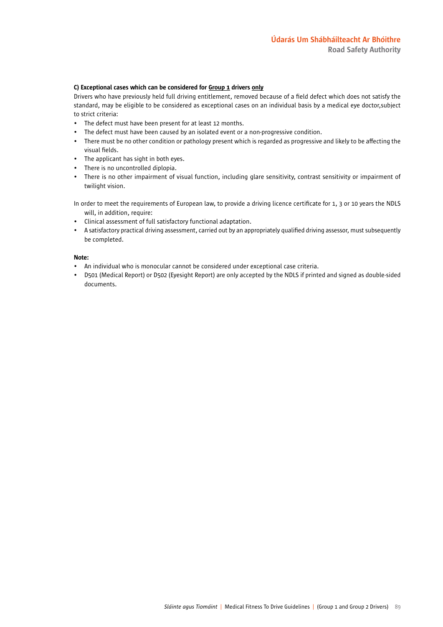#### C) Exceptional cases which can be considered for Group 1 drivers only

Drivers who have previously held full driving entitlement, removed because of a field defect which does not satisfy the standard, may be eligible to be considered as exceptional cases on an individual basis by a medical eye doctor,subject to strict criteria:

- The defect must have been present for at least 12 months.
- The defect must have been caused by an isolated event or a non-progressive condition.
- There must be no other condition or pathology present which is regarded as progressive and likely to be affecting the visual fields.
- The applicant has sight in both eyes.
- There is no uncontrolled diplopia.
- There is no other impairment of visual function, including glare sensitivity, contrast sensitivity or impairment of twilight vision.

In order to meet the requirements of European law, to provide a driving licence certificate for 1, 3 or 10 years the NDLS will, in addition, require:

- Clinical assessment of full satisfactory functional adaptation.
- A satisfactory practical driving assessment, carried out by an appropriately qualified driving assessor, must subsequently be completed.

### Note:

- An individual who is monocular cannot be considered under exceptional case criteria.
- D501 (Medical Report) or D502 (Eyesight Report) are only accepted by the NDLS if printed and signed as double-sided documents.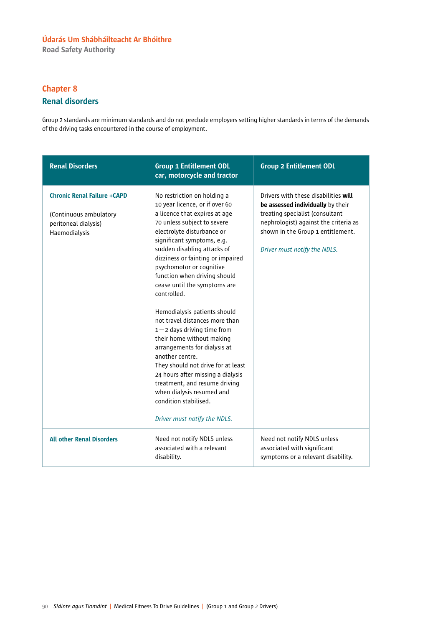Road Safety Authority

## Chapter 8 Renal disorders

Group 2 standards are minimum standards and do not preclude employers setting higher standards in terms of the demands of the driving tasks encountered in the course of employment.

| <b>Renal Disorders</b>                                                                                | <b>Group 1 Entitlement ODL</b><br>car, motorcycle and tractor                                                                                                                                                                                                                                                                                                                                                                                                                                                                                                                                                                                                                                                                                                  | <b>Group 2 Entitlement ODL</b>                                                                                                                                                                                             |  |
|-------------------------------------------------------------------------------------------------------|----------------------------------------------------------------------------------------------------------------------------------------------------------------------------------------------------------------------------------------------------------------------------------------------------------------------------------------------------------------------------------------------------------------------------------------------------------------------------------------------------------------------------------------------------------------------------------------------------------------------------------------------------------------------------------------------------------------------------------------------------------------|----------------------------------------------------------------------------------------------------------------------------------------------------------------------------------------------------------------------------|--|
| <b>Chronic Renal Failure +CAPD</b><br>(Continuous ambulatory<br>peritoneal dialysis)<br>Haemodialysis | No restriction on holding a<br>10 year licence, or if over 60<br>a licence that expires at age<br>70 unless subject to severe<br>electrolyte disturbance or<br>significant symptoms, e.g.<br>sudden disabling attacks of<br>dizziness or fainting or impaired<br>psychomotor or cognitive<br>function when driving should<br>cease until the symptoms are<br>controlled.<br>Hemodialysis patients should<br>not travel distances more than<br>$1 - 2$ days driving time from<br>their home without making<br>arrangements for dialysis at<br>another centre.<br>They should not drive for at least<br>24 hours after missing a dialysis<br>treatment, and resume driving<br>when dialysis resumed and<br>condition stabilised.<br>Driver must notify the NDLS. | Drivers with these disabilities will<br>be assessed individually by their<br>treating specialist (consultant<br>nephrologist) against the criteria as<br>shown in the Group 1 entitlement.<br>Driver must notify the NDLS. |  |
| <b>All other Renal Disorders</b>                                                                      | Need not notify NDLS unless<br>associated with a relevant<br>disability.                                                                                                                                                                                                                                                                                                                                                                                                                                                                                                                                                                                                                                                                                       | Need not notify NDLS unless<br>associated with significant<br>symptoms or a relevant disability.                                                                                                                           |  |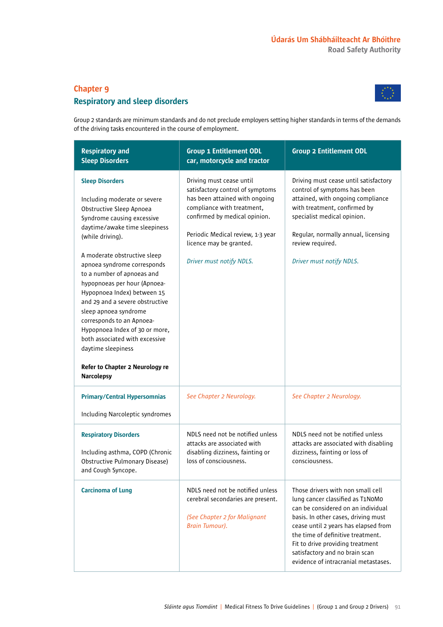### Chapter 9

### Respiratory and sleep disorders



Group 2 standards are minimum standards and do not preclude employers setting higher standards in terms of the demands of the driving tasks encountered in the course of employment.

| <b>Respiratory and</b><br><b>Sleep Disorders</b>                                                                                                                                                                                                                                                                                                                                                                                                                                                                     | <b>Group 1 Entitlement ODL</b><br>car, motorcycle and tractor                                                                                                                                                                                             | <b>Group 2 Entitlement ODL</b>                                                                                                                                                                                                                                                                                                                |  |
|----------------------------------------------------------------------------------------------------------------------------------------------------------------------------------------------------------------------------------------------------------------------------------------------------------------------------------------------------------------------------------------------------------------------------------------------------------------------------------------------------------------------|-----------------------------------------------------------------------------------------------------------------------------------------------------------------------------------------------------------------------------------------------------------|-----------------------------------------------------------------------------------------------------------------------------------------------------------------------------------------------------------------------------------------------------------------------------------------------------------------------------------------------|--|
| <b>Sleep Disorders</b><br>Including moderate or severe<br>Obstructive Sleep Apnoea<br>Syndrome causing excessive<br>daytime/awake time sleepiness<br>(while driving).<br>A moderate obstructive sleep<br>apnoea syndrome corresponds<br>to a number of apnoeas and<br>hypopnoeas per hour (Apnoea-<br>Hypopnoea Index) between 15<br>and 29 and a severe obstructive<br>sleep apnoea syndrome<br>corresponds to an Apnoea-<br>Hypopnoea Index of 30 or more,<br>both associated with excessive<br>daytime sleepiness | Driving must cease until<br>satisfactory control of symptoms<br>has been attained with ongoing<br>compliance with treatment,<br>confirmed by medical opinion.<br>Periodic Medical review, 1-3 year<br>licence may be granted.<br>Driver must notify NDLS. | Driving must cease until satisfactory<br>control of symptoms has been<br>attained, with ongoing compliance<br>with treatment, confirmed by<br>specialist medical opinion.<br>Regular, normally annual, licensing<br>review required.<br>Driver must notify NDLS.                                                                              |  |
| Refer to Chapter 2 Neurology re<br><b>Narcolepsy</b>                                                                                                                                                                                                                                                                                                                                                                                                                                                                 |                                                                                                                                                                                                                                                           |                                                                                                                                                                                                                                                                                                                                               |  |
| <b>Primary/Central Hypersomnias</b><br>Including Narcoleptic syndromes                                                                                                                                                                                                                                                                                                                                                                                                                                               | See Chapter 2 Neurology.                                                                                                                                                                                                                                  | See Chapter 2 Neurology.                                                                                                                                                                                                                                                                                                                      |  |
|                                                                                                                                                                                                                                                                                                                                                                                                                                                                                                                      |                                                                                                                                                                                                                                                           |                                                                                                                                                                                                                                                                                                                                               |  |
| <b>Respiratory Disorders</b><br>Including asthma, COPD (Chronic<br>Obstructive Pulmonary Disease)<br>and Cough Syncope.                                                                                                                                                                                                                                                                                                                                                                                              | NDLS need not be notified unless<br>attacks are associated with<br>disabling dizziness, fainting or<br>loss of consciousness.                                                                                                                             | NDLS need not be notified unless<br>attacks are associated with disabling<br>dizziness, fainting or loss of<br>consciousness.                                                                                                                                                                                                                 |  |
| <b>Carcinoma of Lung</b>                                                                                                                                                                                                                                                                                                                                                                                                                                                                                             | NDLS need not be notified unless<br>cerebral secondaries are present.<br>(See Chapter 2 for Malignant<br>Brain Tumour).                                                                                                                                   | Those drivers with non small cell<br>lung cancer classified as T1N0M0<br>can be considered on an individual<br>basis. In other cases, driving must<br>cease until 2 years has elapsed from<br>the time of definitive treatment.<br>Fit to drive providing treatment<br>satisfactory and no brain scan<br>evidence of intracranial metastases. |  |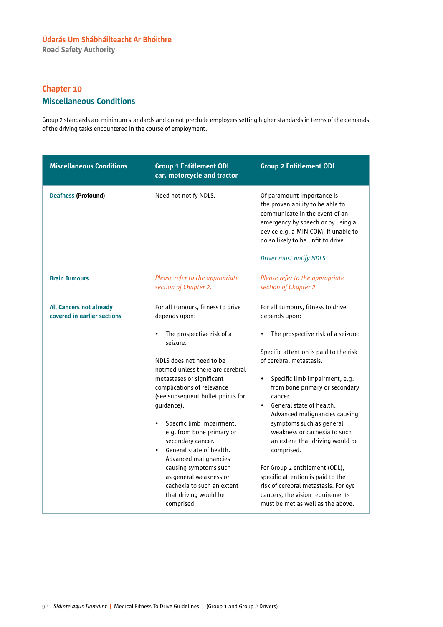Road Safety Authority

### Chapter 10

### Miscellaneous Conditions

Group 2 standards are minimum standards and do not preclude employers setting higher standards in terms of the demands of the driving tasks encountered in the course of employment.

| <b>Miscellaneous Conditions</b>                               | <b>Group 1 Entitlement ODL</b><br><b>Group 2 Entitlement ODL</b><br>car, motorcycle and tractor                                                                                                                                                                                                                                                                                                                                                                                                                                                                   |                                                                                                                                                                                                                                                                                                                                                                                                                                                                                                                                                                                                                                                       |  |
|---------------------------------------------------------------|-------------------------------------------------------------------------------------------------------------------------------------------------------------------------------------------------------------------------------------------------------------------------------------------------------------------------------------------------------------------------------------------------------------------------------------------------------------------------------------------------------------------------------------------------------------------|-------------------------------------------------------------------------------------------------------------------------------------------------------------------------------------------------------------------------------------------------------------------------------------------------------------------------------------------------------------------------------------------------------------------------------------------------------------------------------------------------------------------------------------------------------------------------------------------------------------------------------------------------------|--|
| <b>Deafness (Profound)</b>                                    | Need not notify NDLS.                                                                                                                                                                                                                                                                                                                                                                                                                                                                                                                                             | Of paramount importance is<br>the proven ability to be able to<br>communicate in the event of an<br>emergency by speech or by using a<br>device e.g. a MINICOM. If unable to<br>do so likely to be unfit to drive.<br>Driver must notify NDLS.                                                                                                                                                                                                                                                                                                                                                                                                        |  |
| <b>Brain Tumours</b>                                          | Please refer to the appropriate<br>section of Chapter 2.                                                                                                                                                                                                                                                                                                                                                                                                                                                                                                          | Please refer to the appropriate<br>section of Chapter 2.                                                                                                                                                                                                                                                                                                                                                                                                                                                                                                                                                                                              |  |
| <b>All Cancers not already</b><br>covered in earlier sections | For all tumours, fitness to drive<br>depends upon:<br>The prospective risk of a<br>$\bullet$<br>seizure:<br>NDLS does not need to be<br>notified unless there are cerebral<br>metastases or significant<br>complications of relevance<br>(see subsequent bullet points for<br>guidance).<br>Specific limb impairment,<br>$\bullet$<br>e.g. from bone primary or<br>secondary cancer.<br>General state of health.<br>Advanced malignancies<br>causing symptoms such<br>as general weakness or<br>cachexia to such an extent<br>that driving would be<br>comprised. | For all tumours, fitness to drive<br>depends upon:<br>The prospective risk of a seizure:<br>$\bullet$<br>Specific attention is paid to the risk<br>of cerebral metastasis.<br>Specific limb impairment, e.g.<br>$\bullet$<br>from bone primary or secondary<br>cancer.<br>General state of health.<br>$\bullet$<br>Advanced malignancies causing<br>symptoms such as general<br>weakness or cachexia to such<br>an extent that driving would be<br>comprised.<br>For Group 2 entitlement (ODL),<br>specific attention is paid to the<br>risk of cerebral metastasis. For eye<br>cancers, the vision requirements<br>must be met as well as the above. |  |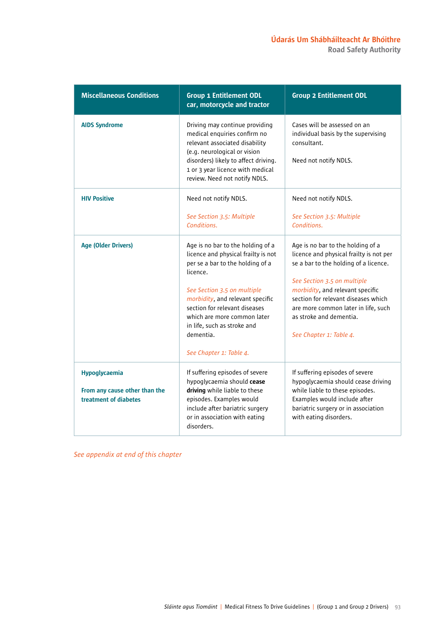Road Safety Authority

| <b>Miscellaneous Conditions</b>                                         | <b>Group 1 Entitlement ODL</b><br>car, motorcycle and tractor                                                                                                                                                                                                                                                                      | <b>Group 2 Entitlement ODL</b>                                                                                                                                                                                                                                                                                               |  |
|-------------------------------------------------------------------------|------------------------------------------------------------------------------------------------------------------------------------------------------------------------------------------------------------------------------------------------------------------------------------------------------------------------------------|------------------------------------------------------------------------------------------------------------------------------------------------------------------------------------------------------------------------------------------------------------------------------------------------------------------------------|--|
| <b>AIDS Syndrome</b>                                                    | Driving may continue providing<br>medical enquiries confirm no<br>relevant associated disability<br>(e.g. neurological or vision<br>disorders) likely to affect driving.<br>1 or 3 year licence with medical<br>review. Need not notify NDLS.                                                                                      | Cases will be assessed on an<br>individual basis by the supervising<br>consultant.<br>Need not notify NDLS.                                                                                                                                                                                                                  |  |
| <b>HIV Positive</b>                                                     | Need not notify NDLS.<br>See Section 3.5: Multiple<br>Conditions.                                                                                                                                                                                                                                                                  | Need not notify NDLS.<br>See Section 3.5: Multiple<br>Conditions.                                                                                                                                                                                                                                                            |  |
| <b>Age (Older Drivers)</b>                                              | Age is no bar to the holding of a<br>licence and physical frailty is not<br>per se a bar to the holding of a<br>licence.<br>See Section 3.5 on multiple<br>morbidity, and relevant specific<br>section for relevant diseases<br>which are more common later<br>in life, such as stroke and<br>dementia.<br>See Chapter 1: Table 4. | Age is no bar to the holding of a<br>licence and physical frailty is not per<br>se a bar to the holding of a licence.<br>See Section 3.5 on multiple<br>morbidity, and relevant specific<br>section for relevant diseases which<br>are more common later in life, such<br>as stroke and dementia.<br>See Chapter 1: Table 4. |  |
| Hypoglycaemia<br>From any cause other than the<br>treatment of diabetes | If suffering episodes of severe<br>hypoglycaemia should cease<br>driving while liable to these<br>episodes. Examples would<br>include after bariatric surgery<br>or in association with eating<br>disorders.                                                                                                                       | If suffering episodes of severe<br>hypoglycaemia should cease driving<br>while liable to these episodes.<br>Examples would include after<br>bariatric surgery or in association<br>with eating disorders.                                                                                                                    |  |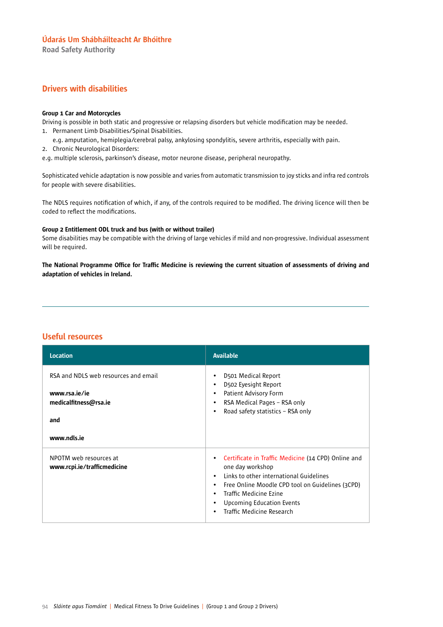Road Safety Authority

### Drivers with disabilities

### Group 1 Car and Motorcycles

Driving is possible in both static and progressive or relapsing disorders but vehicle modification may be needed. 1. Permanent Limb Disabilities/Spinal Disabilities.

- e.g. amputation, hemiplegia/cerebral palsy, ankylosing spondylitis, severe arthritis, especially with pain.
- 2. Chronic Neurological Disorders:
- e.g. multiple sclerosis, parkinson's disease, motor neurone disease, peripheral neuropathy.

Sophisticated vehicle adaptation is now possible and varies from automatic transmission to joy sticks and infra red controls for people with severe disabilities.

The NDLS requires notification of which, if any, of the controls required to be modified. The driving licence will then be coded to reflect the modifications.

### Group 2 Entitlement ODL truck and bus (with or without trailer)

Some disabilities may be compatible with the driving of large vehicles if mild and non-progressive. Individual assessment will be required.

The National Programme Office for Traffic Medicine is reviewing the current situation of assessments of driving and adaptation of vehicles in Ireland.

### Useful resources

| <b>Location</b>                                                                       | <b>Available</b>                                                                                                                                                                                                                                                                                |
|---------------------------------------------------------------------------------------|-------------------------------------------------------------------------------------------------------------------------------------------------------------------------------------------------------------------------------------------------------------------------------------------------|
| RSA and NDLS web resources and email<br>www.rsa.ie/ie<br>medicalfitness@rsa.ie<br>and | D501 Medical Report<br>٠<br>D502 Eyesight Report<br>$\bullet$<br>Patient Advisory Form<br>٠<br>RSA Medical Pages - RSA only<br>٠<br>Road safety statistics - RSA only<br>٠                                                                                                                      |
| www.ndls.ie                                                                           |                                                                                                                                                                                                                                                                                                 |
| NPOTM web resources at<br>www.rcpi.ie/trafficmedicine                                 | Certificate in Traffic Medicine (14 CPD) Online and<br>٠<br>one day workshop<br>Links to other international Guidelines<br>٠<br>Free Online Moodle CPD tool on Guidelines (3CPD)<br>٠<br>Traffic Medicine Ezine<br>٠<br><b>Upcoming Education Events</b><br>٠<br>Traffic Medicine Research<br>٠ |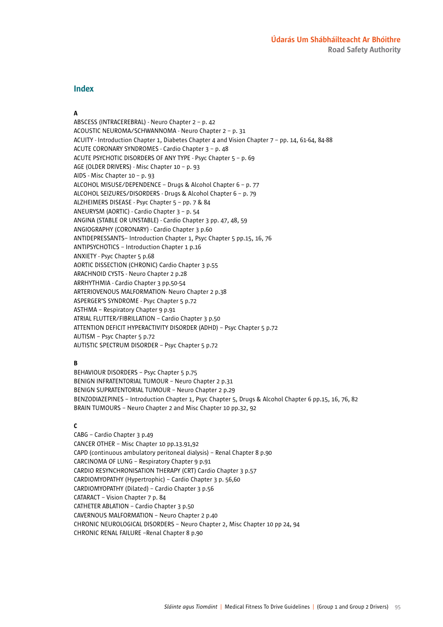### Index

### A

ABSCESS (INTRACEREBRAL) - Neuro Chapter 2 – p. 42 ACOUSTIC NEUROMA/SCHWANNOMA - Neuro Chapter 2 – p. 31 ACUITY - Introduction Chapter 1, Diabetes Chapter 4 and Vision Chapter 7 – pp. 14, 61-64, 84-88 ACUTE CORONARY SYNDROMES - Cardio Chapter 3 – p. 48 ACUTE PSYCHOTIC DISORDERS OF ANY TYPE - Psyc Chapter 5 – p. 69 AGE (OLDER DRIVERS) - Misc Chapter 10 – p. 93 AIDS - Misc Chapter 10 – p. 93 ALCOHOL MISUSE/DEPENDENCE – Drugs & Alcohol Chapter 6 – p. 77 ALCOHOL SEIZURES/DISORDERS - Drugs & Alcohol Chapter 6 – p. 79 ALZHEIMERS DISEASE - Psyc Chapter 5 – pp. 7 & 84 ANEURYSM (AORTIC) - Cardio Chapter 3 – p. 54 ANGINA (STABLE OR UNSTABLE) - Cardio Chapter 3 pp. 47, 48, 59 ANGIOGRAPHY (CORONARY) - Cardio Chapter 3 p.60 ANTIDEPRESSANTS– Introduction Chapter 1, Psyc Chapter 5 pp.15, 16, 76 ANTIPSYCHOTICS – Introduction Chapter 1 p.16 ANXIETY - Psyc Chapter 5 p.68 AORTIC DISSECTION (CHRONIC) Cardio Chapter 3 p.55 ARACHNOID CYSTS - Neuro Chapter 2 p.28 ARRHYTHMIA - Cardio Chapter 3 pp.50-54 ARTERIOVENOUS MALFORMATION- Neuro Chapter 2 p.38 ASPERGER'S SYNDROME - Psyc Chapter 5 p.72 ASTHMA – Respiratory Chapter 9 p.91 ATRIAL FLUTTER/FIBRILLATION – Cardio Chapter 3 p.50 ATTENTION DEFICIT HYPERACTIVITY DISORDER (ADHD) – Psyc Chapter 5 p.72 AUTISM – Psyc Chapter 5 p.72 AUTISTIC SPECTRUM DISORDER – Psyc Chapter 5 p.72

### B

BEHAVIOUR DISORDERS – Psyc Chapter 5 p.75 BENIGN INFRATENTORIAL TUMOUR – Neuro Chapter 2 p.31 BENIGN SUPRATENTORIAL TUMOUR – Neuro Chapter 2 p.29 BENZODIAZEPINES – Introduction Chapter 1, Psyc Chapter 5, Drugs & Alcohol Chapter 6 pp.15, 16, 76, 82 BRAIN TUMOURS – Neuro Chapter 2 and Misc Chapter 10 pp.32, 92

### $\mathbf{C}$

CABG – Cardio Chapter 3 p.49 CANCER OTHER – Misc Chapter 10 pp.13.91,92 CAPD (continuous ambulatory peritoneal dialysis) – Renal Chapter 8 p.90 CARCINOMA OF LUNG – Respiratory Chapter 9 p.91 CARDIO RESYNCHRONISATION THERAPY (CRT) Cardio Chapter 3 p.57 CARDIOMYOPATHY (Hypertrophic) – Cardio Chapter 3 p. 56,60 CARDIOMYOPATHY (Dilated) – Cardio Chapter 3 p.56 CATARACT – Vision Chapter 7 p. 84 CATHETER ABLATION – Cardio Chapter 3 p.50 CAVERNOUS MALFORMATION – Neuro Chapter 2 p.40 CHRONIC NEUROLOGICAL DISORDERS – Neuro Chapter 2, Misc Chapter 10 pp 24, 94 CHRONIC RENAL FAILURE –Renal Chapter 8 p.90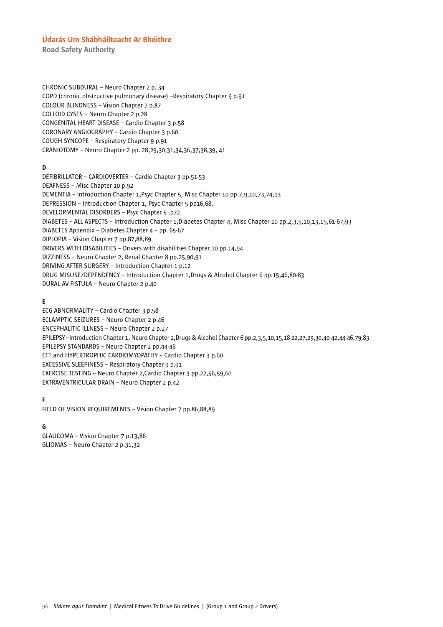Road Safety Authority

CHRONIC SUBDURAL – Neuro Chapter 2 p. 34 COPD (chronic obstructive pulmonary disease) –Respiratory Chapter 9 p.91 COLOUR BLINDNESS – Vision Chapter 7 p.87 COLLOID CYSTS – Neuro Chapter 2 p.28 CONGENITAL HEART DISEASE – Cardio Chapter 3 p.58 CORONARY ANGIOGRAPHY – Cardio Chapter 3 p.60 COUGH SYNCOPE – Respiratory Chapter 9 p.91 CRANIOTOMY – Neuro Chapter 2 pp. 28,29,30,31,34,36,37,38,39, 41

### D

DEFIBRILLATOR – CARDIOVERTER – Cardio Chapter 3 pp.51-53 DEAFNESS – Misc Chapter 10 p.92 DEMENTIA – Introduction Chapter 1,Psyc Chapter 5, Misc Chapter 10 pp.7,9,10,73,74,93 DEPRESSION – Introduction Chapter 1, Psyc Chapter 5 pp16,68. DEVELOPMENTAL DISORDERS – Psyc Chapter 5 .p72 DIABETES – ALL ASPECTS – Introduction Chapter 1,Diabetes Chapter 4, Misc Chapter 10 pp.2,3,5,10,13,15,61-67,93 DIABETES Appendix – Diabetes Chapter 4 – pp. 65-67 DIPLOPIA – Vision Chapter 7 pp.87,88,89 DRIVERS WITH DISABILITIES – Drivers with disabilities Chapter 10 pp.14,94 DIZZINESS – Neuro Chapter 2, Renal Chapter 8 pp.25,90,91 DRIVING AFTER SURGERY – Introduction Chapter 1 p.12 DRUG MISUSE/DEPENDENCY – Introduction Chapter 1,Drugs & Alcohol Chapter 6 pp.15,46,80-83 DURAL AV FISTULA – Neuro Chapter 2 p.40

### E

ECG ABNORMALITY – Cardio Chapter 3 p.58 ECLAMPTIC SEIZURES – Neuro Chapter 2 p.46 ENCEPHALITIC ILLNESS – Neuro Chapter 2 p.27 EPILEPSY –Introduction Chapter 1, Neuro Chapter 2,Drugs & Alcohol Chapter 6 pp.2,3,5,10,15,18-22,27,29,30,40-42,44-46,79,83 EPILEPSY STANDARDS – Neuro Chapter 2 pp.44-46 ETT and HYPERTROPHIC CARDIOMYOPATHY – Cardio Chapter 3 p.60 EXCESSIVE SLEEPINESS – Respiratory Chapter 9 p.91 EXERCISE TESTING – Neuro Chapter 2,Cardio Chapter 3 pp.22,56,59,60 EXTRAVENTRICULAR DRAIN – Neuro Chapter 2 p.42

### F

FIELD OF VISION REQUIREMENTS – Vision Chapter 7 pp.86,88,89

#### G

GLAUCOMA – Vision Chapter 7 p.13,86 GLIOMAS – Neuro Chapter 2 p.31,32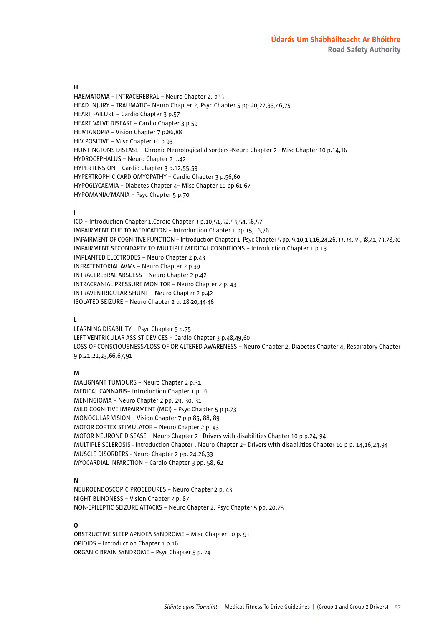### H

HAEMATOMA – INTRACEREBRAL – Neuro Chapter 2, p33 HEAD INJURY – TRAUMATIC– Neuro Chapter 2, Psyc Chapter 5 pp.20,27,33,46,75 HEART FAILURE – Cardio Chapter 3 p.57 HEART VALVE DISEASE – Cardio Chapter 3 p.59 HEMIANOPIA – Vision Chapter 7 p.86,88 HIV POSITIVE – Misc Chapter 10 p.93 HUNTINGTONS DISEASE – Chronic Neurological disorders -Neuro Chapter 2– Misc Chapter 10 p.14,16 HYDROCEPHALUS – Neuro Chapter 2 p.42 HYPERTENSION – Cardio Chapter 3 p.12,55,59 HYPERTROPHIC CARDIOMYOPATHY – Cardio Chapter 3 p.56,60 HYPOGLYCAEMIA – Diabetes Chapter 4– Misc Chapter 10 pp.61-67 HYPOMANIA/MANIA – Psyc Chapter 5 p.70

#### I

ICD – Introduction Chapter 1,Cardio Chapter 3 p.10,51,52,53,54,56,57 IMPAIRMENT DUE TO MEDICATION – Introduction Chapter 1 pp.15,16,76 IMPAIRMENT OF COGNITIVE FUNCTION – Introduction Chapter 1- Psyc Chapter 5 pp. 9.10,13,16,24,26,33,34,35,38,41,73,78,90 IMPAIRMENT SECONDARTY TO MULTIPLE MEDICAL CONDITIONS – Introduction Chapter 1 p.13 IMPLANTED ELECTRODES – Neuro Chapter 2 p.43 INFRATENTORIAL AVMs – Neuro Chapter 2 p.39 INTRACEREBRAL ABSCESS – Neuro Chapter 2 p.42 INTRACRANIAL PRESSURE MONITOR – Neuro Chapter 2 p. 43 INTRAVENTRICULAR SHUNT – Neuro Chapter 2 p.42 ISOLATED SEIZURE – Neuro Chapter 2 p. 18-20,44-46

#### L

LEARNING DISABILITY – Psyc Chapter 5 p.75 LEFT VENTRICULAR ASSIST DEVICES – Cardio Chapter 3 p.48,49,60 LOSS OF CONSCIOUSNESS/LOSS OF OR ALTERED AWARENESS – Neuro Chapter 2, Diabetes Chapter 4, Respiratory Chapter 9 p.21,22,23,66,67,91

#### M

MALIGNANT TUMOURS – Neuro Chapter 2 p.31 MEDICAL CANNABIS– Introduction Chapter 1 p.16 MENINGIOMA – Neuro Chapter 2 pp. 29, 30, 31 MILD COGNITIVE IMPAIRMENT (MCI) – Psyc Chapter 5 p p.73 MONOCULAR VISION – Vision Chapter 7 p p.85, 88, 89 MOTOR CORTEX STIMULATOR – Neuro Chapter 2 p. 43 MOTOR NEURONE DISEASE – Neuro Chapter 2– Drivers with disabilities Chapter 10 p p.24, 94 MULTIPLE SCLEROSIS - Introduction Chapter , Neuro Chapter 2– Drivers with disabilities Chapter 10 p p. 14,16,24,94 MUSCLE DISORDERS - Neuro Chapter 2 pp. 24,26,33 MYOCARDIAL INFARCTION – Cardio Chapter 3 pp. 58, 62

### N

NEUROENDOSCOPIC PROCEDURES – Neuro Chapter 2 p. 43 NIGHT BLINDNESS – Vision Chapter 7 p. 87 NON-EPILEPTIC SEIZURE ATTACKS – Neuro Chapter 2, Psyc Chapter 5 pp. 20,75

### O

OBSTRUCTIVE SLEEP APNOEA SYNDROME – Misc Chapter 10 p. 91 OPIOIDS – Introduction Chapter 1 p.16 ORGANIC BRAIN SYNDROME – Psyc Chapter 5 p. 74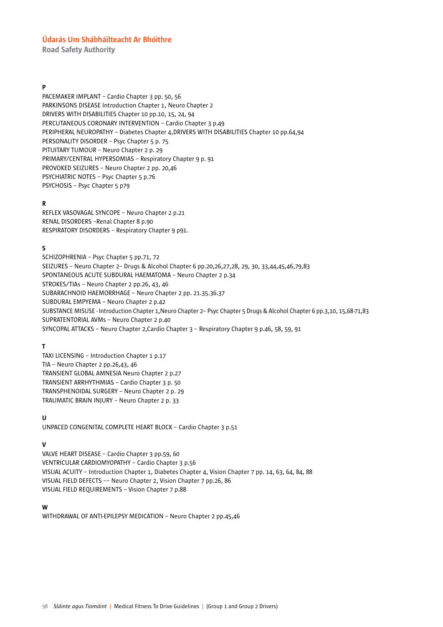Road Safety Authority

### P

PACEMAKER IMPLANT – Cardio Chapter 3 pp. 50, 56 PARKINSONS DISEASE Introduction Chapter 1, Neuro Chapter 2 DRIVERS WITH DISABILITIES Chapter 10 pp.10, 15, 24, 94 PERCUTANEOUS CORONARY INTERVENTION – Cardio Chapter 3 p.49 PERIPHERAL NEUROPATHY – Diabetes Chapter 4,DRIVERS WITH DISABILITIES Chapter 10 pp.64,94 PERSONALITY DISORDER – Psyc Chapter 5 p. 75 PITUITARY TUMOUR – Neuro Chapter 2 p. 29 PRIMARY/CENTRAL HYPERSOMIAS – Respiratory Chapter 9 p. 91 PROVOKED SEIZURES – Neuro Chapter 2 pp. 20,46 PSYCHIATRIC NOTES – Psyc Chapter 5 p.76 PSYCHOSIS – Psyc Chapter 5 p79

### R

REFLEX VASOVAGAL SYNCOPE – Neuro Chapter 2 p.21 RENAL DISORDERS –Renal Chapter 8 p.90 RESPIRATORY DISORDERS – Respiratory Chapter 9 p91.

### S

SCHIZOPHRENIA – Psyc Chapter 5 pp.71, 72 SEIZURES – Neuro Chapter 2– Drugs & Alcohol Chapter 6 pp.20,26,27,28, 29, 30, 33,44,45,46,79,83 SPONTANEOUS ACUTE SUBDURAL HAEMATOMA – Neuro Chapter 2 p.34 STROKES/TIAs – Neuro Chapter 2 pp.26, 43, 46 SUBARACHNOID HAEMORRHAGE – Neuro Chapter 2 pp. 21.35.36.37 SUBDURAL EMPYEMA – Neuro Chapter 2 p.42 SUBSTANCE MISUSE - Introduction Chapter 1,Neuro Chapter 2– Psyc Chapter 5 Drugs & Alcohol Chapter 6 pp.3,10, 15,68-71,83 SUPRATENTORIAL AVMs – Neuro Chapter 2 p.40 SYNCOPAL ATTACKS – Neuro Chapter 2,Cardio Chapter 3 – Respiratory Chapter 9 p.46, 58, 59, 91

#### T

TAXI LICENSING – Introduction Chapter 1 p.17 TIA – Neuro Chapter 2 pp.26,43, 46 TRANSIENT GLOBAL AMNESIA Neuro Chapter 2 p.27 TRANSIENT ARRHYTHMIAS – Cardio Chapter 3 p. 50 TRANSPHENOIDAL SURGERY – Neuro Chapter 2 p. 29 TRAUMATIC BRAIN INJURY – Neuro Chapter 2 p. 33

### U

UNPACED CONGENITAL COMPLETE HEART BLOCK – Cardio Chapter 3 p.51

#### V

VALVE HEART DISEASE – Cardio Chapter 3 pp.59, 60 VENTRICULAR CARDIOMYOPATHY – Cardio Chapter 3 p.56 VISUAL ACUITY – Introduction Chapter 1, Diabetes Chapter 4, Vision Chapter 7 pp. 14, 63, 64, 84, 88 VISUAL FIELD DEFECTS –– Neuro Chapter 2, Vision Chapter 7 pp.26, 86 VISUAL FIELD REQUIREMENTS – Vision Chapter 7 p.88

#### W

WITHDRAWAL OF ANTI-EPILEPSY MEDICATION – Neuro Chapter 2 pp.45,46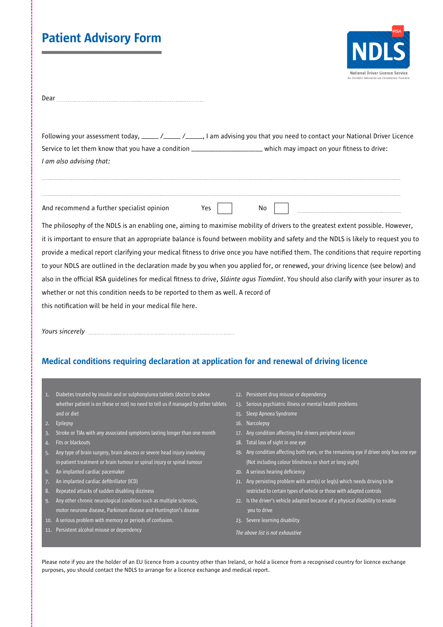# Patient Advisory Form



| Dear |  |
|------|--|
|      |  |

Following your assessment today, \_\_\_\_\_ /\_\_\_\_\_ /\_\_\_\_\_, I am advising you that you need to contact your National Driver Licence Service to let them know that you have a condition \_\_\_\_\_\_\_\_\_\_\_\_\_\_\_\_\_\_\_\_\_\_\_\_\_which may impact on your fitness to drive: *I am also advising that:* 

And recommend a further specialist opinion Yes

|  | <b>COLOR</b> |  |
|--|--------------|--|

The philosophy of the NDLS is an enabling one, aiming to maximise mobility of drivers to the greatest extent possible. However, it is important to ensure that an appropriate balance is found between mobility and safety and the NDLS is likely to request you to provide a medical report clarifying your medical fitness to drive once you have notified them. The conditions that require reporting to your NDLS are outlined in the declaration made by you when you applied for, or renewed, your driving licence (see below) and also in the official RSA guidelines for medical fitness to drive, *Sláinte agus Tiomáint*. You should also clarify with your insurer as to whether or not this condition needs to be reported to them as well. A record of this notification will be held in your medical file here.

*Yours sincerely*

### Medical conditions requiring declaration at application for and renewal of driving licence

- 1. Diabetes treated by insulin and or sulphonylurea tablets (doctor to advise whether patient is on these or not) no need to tell us if managed by other tablets 13. Serious psychiatric illness or mental health problems and or diet
- 2. Epilepsy
- 3. Stroke or TIAs with any associated symptoms lasting longer than one month
- 4. Fits or blackouts
- 5. Any type of brain surgery, brain abscess or severe head injury involving in-patient treatment or brain tumour or spinal injury or spinal tumour
- 6. An implanted cardiac pacemaker
- 7. An implanted cardiac defibrillator (ICD)
- 8. Repeated attacks of sudden disabling dizziness
- 9. Any other chronic neurological condition such as multiple sclerosis, motor neurone disease, Parkinson disease and Huntington's disease
- 10. A serious problem with memory or periods of confusion.
- 11. Persistent alcohol misuse or dependency
- 12. Persistent drug misuse or dependency
- 
- 15. Sleep Apnoea Syndrome
- 16. Narcolepsy
- 17. Any condition affecting the drivers peripheral vision
- 18. Total loss of sight in one eye
- 19. Any condition affecting both eyes, or the remaining eye if driver only has one eye (Not including colour blindness or short or long sight)
- 20. A serious hearing deficiency
- 21. Any persisting problem with arm(s) or leg(s) which needs driving to be restricted to certain types of vehicle or those with adapted controls
- 22. Is the driver's vehicle adapted because of a physical disability to enable you to drive
- 23. Severe learning disability
- *The above list is not exhaustive*

Please note if you are the holder of an EU licence from a country other than Ireland, or hold a licence from a recognised country for licence exchange purposes, you should contact the NDLS to arrange for a licence exchange and medical report.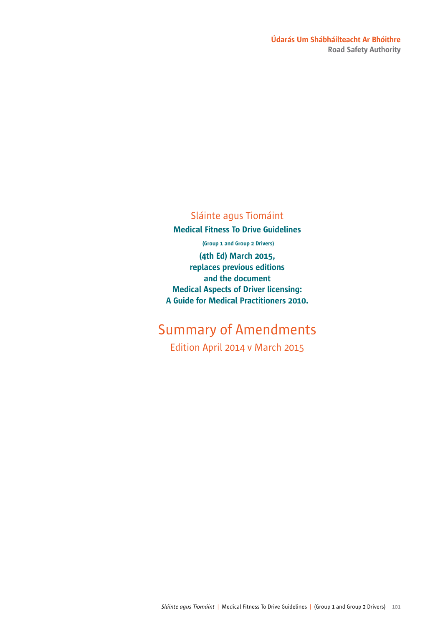#### Údarás Um Shábháilteacht Ar Bhóithre Road Safety Authority

## Sláinte agus Tiomáint

Medical Fitness To Drive Guidelines

(Group 1 and Group 2 Drivers)

(4th Ed) March 2015, replaces previous editions and the document Medical Aspects of Driver licensing: A Guide for Medical Practitioners 2010.

# Summary of Amendments

Edition April 2014 v March 2015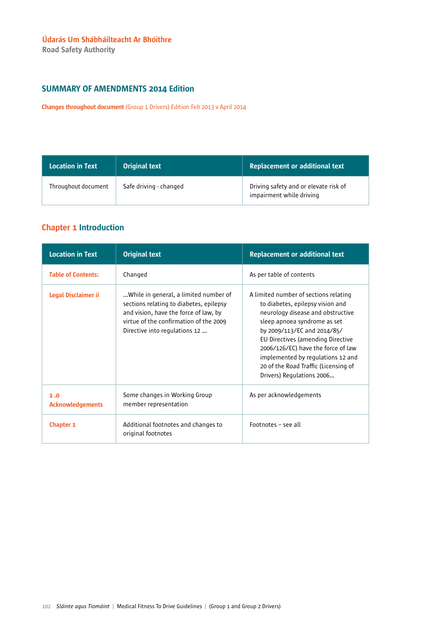Road Safety Authority

#### SUMMARY OF AMENDMENTS 2014 Edition

Changes throughout document (Group 1 Drivers) Edition Feb 2013 v April 2014

| <b>Location in Text</b> | <b>Original text</b>   | <b>Replacement or additional text</b>                             |
|-------------------------|------------------------|-------------------------------------------------------------------|
| Throughout document     | Safe driving - changed | Driving safety and or elevate risk of<br>impairment while driving |

#### Chapter 1 Introduction

| <b>Location in Text</b>        | <b>Original text</b>                                                                                                                                                                                 | <b>Replacement or additional text</b>                                                                                                                                                                                                                                                                                                                              |
|--------------------------------|------------------------------------------------------------------------------------------------------------------------------------------------------------------------------------------------------|--------------------------------------------------------------------------------------------------------------------------------------------------------------------------------------------------------------------------------------------------------------------------------------------------------------------------------------------------------------------|
| <b>Table of Contents:</b>      | Changed                                                                                                                                                                                              | As per table of contents                                                                                                                                                                                                                                                                                                                                           |
| Legal Disclaimer ii            | While in general, a limited number of<br>sections relating to diabetes, epilepsy<br>and vision, have the force of law, by<br>virtue of the confirmation of the 2009<br>Directive into regulations 12 | A limited number of sections relating<br>to diabetes, epilepsy vision and<br>neurology disease and obstructive<br>sleep apnoea syndrome as set<br>by 2009/113/EC and 2014/85/<br>EU Directives (amending Directive<br>2006/126/EC) have the force of law<br>implemented by regulations 12 and<br>20 of the Road Traffic (Licensing of<br>Drivers) Regulations 2006 |
| 1.0<br><b>Acknowledgements</b> | Some changes in Working Group<br>member representation                                                                                                                                               | As per acknowledgements                                                                                                                                                                                                                                                                                                                                            |
| Chapter 1                      | Additional footnotes and changes to<br>original footnotes                                                                                                                                            | Footnotes - see all                                                                                                                                                                                                                                                                                                                                                |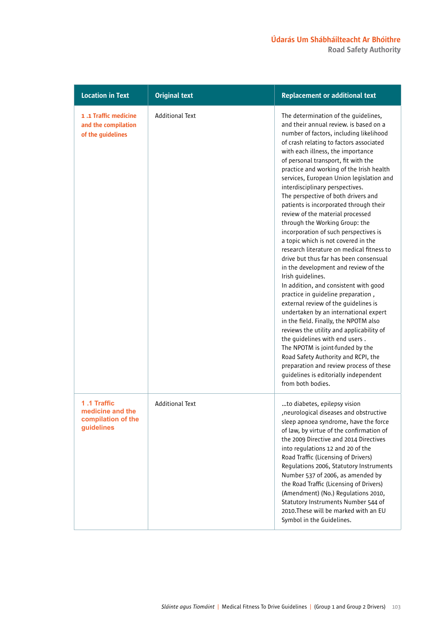| <b>Location in Text</b>                                             | <b>Original text</b>   | <b>Replacement or additional text</b>                                                                                                                                                                                                                                                                                                                                                                                                                                                                                                                                                                                                                                                                                                                                                                                                                                                                                                                                                                                                                                                                                                                                                                                                             |
|---------------------------------------------------------------------|------------------------|---------------------------------------------------------------------------------------------------------------------------------------------------------------------------------------------------------------------------------------------------------------------------------------------------------------------------------------------------------------------------------------------------------------------------------------------------------------------------------------------------------------------------------------------------------------------------------------------------------------------------------------------------------------------------------------------------------------------------------------------------------------------------------------------------------------------------------------------------------------------------------------------------------------------------------------------------------------------------------------------------------------------------------------------------------------------------------------------------------------------------------------------------------------------------------------------------------------------------------------------------|
| 1.1 Traffic medicine<br>and the compilation<br>of the guidelines    | <b>Additional Text</b> | The determination of the guidelines,<br>and their annual review, is based on a<br>number of factors, including likelihood<br>of crash relating to factors associated<br>with each illness, the importance<br>of personal transport, fit with the<br>practice and working of the Irish health<br>services, European Union legislation and<br>interdisciplinary perspectives.<br>The perspective of both drivers and<br>patients is incorporated through their<br>review of the material processed<br>through the Working Group: the<br>incorporation of such perspectives is<br>a topic which is not covered in the<br>research literature on medical fitness to<br>drive but thus far has been consensual<br>in the development and review of the<br>Irish guidelines.<br>In addition, and consistent with good<br>practice in guideline preparation,<br>external review of the guidelines is<br>undertaken by an international expert<br>in the field. Finally, the NPOTM also<br>reviews the utility and applicability of<br>the guidelines with end users.<br>The NPOTM is joint-funded by the<br>Road Safety Authority and RCPI, the<br>preparation and review process of these<br>guidelines is editorially independent<br>from both bodies. |
| 1.1 Traffic<br>medicine and the<br>compilation of the<br>guidelines | <b>Additional Text</b> | to diabetes, epilepsy vision<br>, neurological diseases and obstructive<br>sleep apnoea syndrome, have the force<br>of law, by virtue of the confirmation of<br>the 2009 Directive and 2014 Directives<br>into regulations 12 and 20 of the<br>Road Traffic (Licensing of Drivers)<br>Regulations 2006, Statutory Instruments<br>Number 537 of 2006, as amended by<br>the Road Traffic (Licensing of Drivers)<br>(Amendment) (No.) Regulations 2010,<br>Statutory Instruments Number 544 of<br>2010. These will be marked with an EU<br>Symbol in the Guidelines.                                                                                                                                                                                                                                                                                                                                                                                                                                                                                                                                                                                                                                                                                 |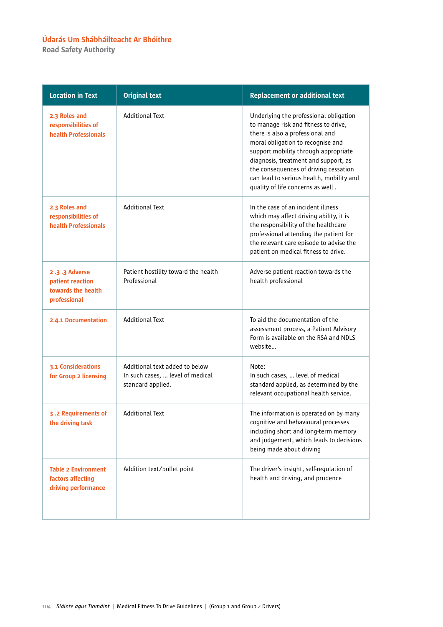Road Safety Authority

| <b>Location in Text</b>                                                 | <b>Original text</b>                                                                    | <b>Replacement or additional text</b>                                                                                                                                                                                                                                                                                                                             |
|-------------------------------------------------------------------------|-----------------------------------------------------------------------------------------|-------------------------------------------------------------------------------------------------------------------------------------------------------------------------------------------------------------------------------------------------------------------------------------------------------------------------------------------------------------------|
| 2.3 Roles and<br>responsibilities of<br>health Professionals            | <b>Additional Text</b>                                                                  | Underlying the professional obligation<br>to manage risk and fitness to drive,<br>there is also a professional and<br>moral obligation to recognise and<br>support mobility through appropriate<br>diagnosis, treatment and support, as<br>the consequences of driving cessation<br>can lead to serious health, mobility and<br>quality of life concerns as well. |
| 2.3 Roles and<br>responsibilities of<br>health Professionals            | <b>Additional Text</b>                                                                  | In the case of an incident illness<br>which may affect driving ability, it is<br>the responsibility of the healthcare<br>professional attending the patient for<br>the relevant care episode to advise the<br>patient on medical fitness to drive.                                                                                                                |
| 2.3.3 Adverse<br>patient reaction<br>towards the health<br>professional | Patient hostility toward the health<br>Professional                                     | Adverse patient reaction towards the<br>health professional                                                                                                                                                                                                                                                                                                       |
| <b>2.4.1 Documentation</b>                                              | <b>Additional Text</b>                                                                  | To aid the documentation of the<br>assessment process, a Patient Advisory<br>Form is available on the RSA and NDLS<br>website                                                                                                                                                                                                                                     |
| <b>3.1 Considerations</b><br>for Group 2 licensing                      | Additional text added to below<br>In such cases,  level of medical<br>standard applied. | Note:<br>In such cases,  level of medical<br>standard applied, as determined by the<br>relevant occupational health service.                                                                                                                                                                                                                                      |
| 3.2 Requirements of<br>the driving task                                 | <b>Additional Text</b>                                                                  | The information is operated on by many<br>cognitive and behavioural processes<br>including short and long-term memory<br>and judgement, which leads to decisions<br>being made about driving                                                                                                                                                                      |
| <b>Table 2 Environment</b><br>factors affecting<br>driving performance  | Addition text/bullet point                                                              | The driver's insight, self-regulation of<br>health and driving, and prudence                                                                                                                                                                                                                                                                                      |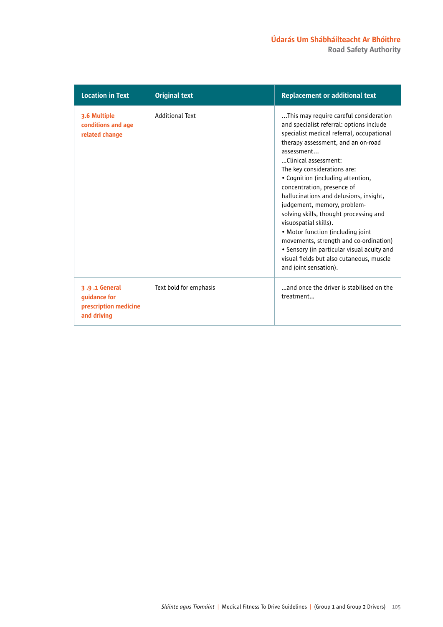Road Safety Authority

| <b>Location in Text</b>                                               | <b>Original text</b>   | <b>Replacement or additional text</b>                                                                                                                                                                                                                                                                                                                                                                                                                                                                                                                                                                                                                        |
|-----------------------------------------------------------------------|------------------------|--------------------------------------------------------------------------------------------------------------------------------------------------------------------------------------------------------------------------------------------------------------------------------------------------------------------------------------------------------------------------------------------------------------------------------------------------------------------------------------------------------------------------------------------------------------------------------------------------------------------------------------------------------------|
| 3.6 Multiple<br>conditions and age<br>related change                  | <b>Additional Text</b> | This may require careful consideration<br>and specialist referral: options include<br>specialist medical referral, occupational<br>therapy assessment, and an on-road<br>assessment<br>Clinical assessment:<br>The key considerations are:<br>• Cognition (including attention,<br>concentration, presence of<br>hallucinations and delusions, insight,<br>judgement, memory, problem-<br>solving skills, thought processing and<br>visuospatial skills).<br>• Motor function (including joint)<br>movements, strength and co-ordination)<br>• Sensory (in particular visual acuity and<br>visual fields but also cutaneous, muscle<br>and joint sensation). |
| 3.9.1 General<br>guidance for<br>prescription medicine<br>and driving | Text bold for emphasis | and once the driver is stabilised on the<br>treatment                                                                                                                                                                                                                                                                                                                                                                                                                                                                                                                                                                                                        |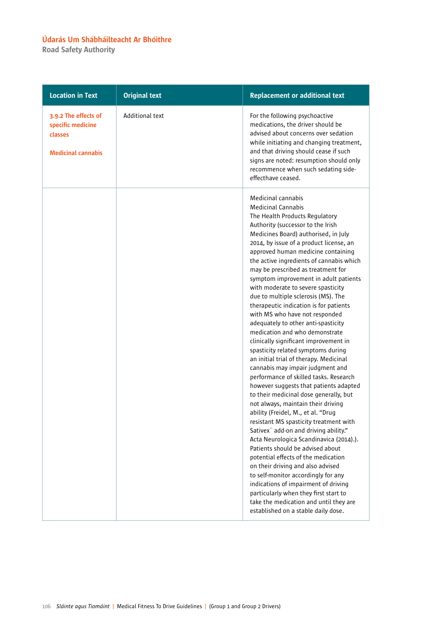Road Safety Authority

| <b>Location in Text</b>                                                           | <b>Original text</b>   | <b>Replacement or additional text</b>                                                                                                                                                                                                                                                                                                                                                                                                                                                                                                                                                                                                                                                                                                                                                                                                                                                                                                                                                                                                                                                                                                                                                                                                                                                                                                                                                                                                      |
|-----------------------------------------------------------------------------------|------------------------|--------------------------------------------------------------------------------------------------------------------------------------------------------------------------------------------------------------------------------------------------------------------------------------------------------------------------------------------------------------------------------------------------------------------------------------------------------------------------------------------------------------------------------------------------------------------------------------------------------------------------------------------------------------------------------------------------------------------------------------------------------------------------------------------------------------------------------------------------------------------------------------------------------------------------------------------------------------------------------------------------------------------------------------------------------------------------------------------------------------------------------------------------------------------------------------------------------------------------------------------------------------------------------------------------------------------------------------------------------------------------------------------------------------------------------------------|
| 3.9.2 The effects of<br>specific medicine<br>classes<br><b>Medicinal cannabis</b> | <b>Additional text</b> | For the following psychoactive<br>medications, the driver should be<br>advised about concerns over sedation<br>while initiating and changing treatment,<br>and that driving should cease if such<br>signs are noted: resumption should only<br>recommence when such sedating side-<br>effecthave ceased.                                                                                                                                                                                                                                                                                                                                                                                                                                                                                                                                                                                                                                                                                                                                                                                                                                                                                                                                                                                                                                                                                                                                   |
|                                                                                   |                        | Medicinal cannabis<br><b>Medicinal Cannabis</b><br>The Health Products Regulatory<br>Authority (successor to the Irish<br>Medicines Board) authorised, in July<br>2014, by issue of a product license, an<br>approved human medicine containing<br>the active ingredients of cannabis which<br>may be prescribed as treatment for<br>symptom improvement in adult patients<br>with moderate to severe spasticity<br>due to multiple sclerosis (MS). The<br>therapeutic indication is for patients<br>with MS who have not responded<br>adequately to other anti-spasticity<br>medication and who demonstrate<br>clinically significant improvement in<br>spasticity related symptoms during<br>an initial trial of therapy. Medicinal<br>cannabis may impair judgment and<br>performance of skilled tasks. Research<br>however suggests that patients adapted<br>to their medicinal dose generally, but<br>not always, maintain their driving<br>ability (Freidel, M., et al. "Drug<br>resistant MS spasticity treatment with<br>Sativex" add-on and driving ability."<br>Acta Neurologica Scandinavica (2014).).<br>Patients should be advised about<br>potential effects of the medication<br>on their driving and also advised<br>to self-monitor accordingly for any<br>indications of impairment of driving<br>particularly when they first start to<br>take the medication and until they are<br>established on a stable daily dose. |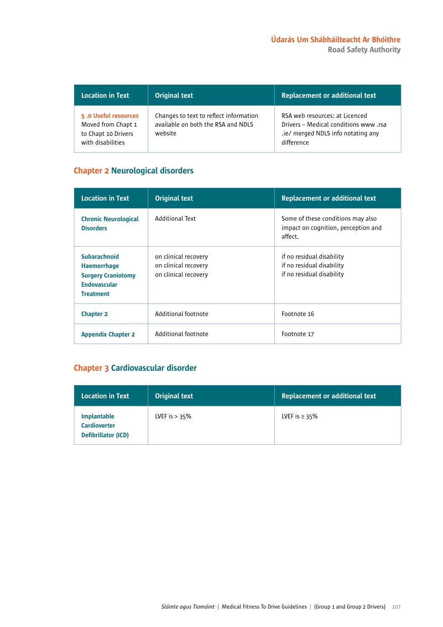| <b>Location in Text</b>                                                                | <b>Original text</b>                                                                    | <b>Replacement or additional text</b>                                                                                      |
|----------------------------------------------------------------------------------------|-----------------------------------------------------------------------------------------|----------------------------------------------------------------------------------------------------------------------------|
| 5.0 Useful resources<br>Moved from Chapt 1<br>to Chapt 10 Drivers<br>with disabilities | Changes to text to reflect information<br>available on both the RSA and NDLS<br>website | RSA web resources: at Licenced<br>Drivers - Medical conditions www.rsa<br>.ie/ merged NDLS info notating any<br>difference |

#### Chapter 2 Neurological disorders

| <b>Location in Text</b>                                                                                           | <b>Original text</b>                                                 | <b>Replacement or additional text</b>                                               |
|-------------------------------------------------------------------------------------------------------------------|----------------------------------------------------------------------|-------------------------------------------------------------------------------------|
| <b>Chronic Neurological</b><br><b>Disorders</b>                                                                   | <b>Additional Text</b>                                               | Some of these conditions may also<br>impact on cognition, perception and<br>affect. |
| <b>Subarachnoid</b><br><b>Haemorrhage</b><br><b>Surgery Craniotomy</b><br><b>Endovascular</b><br><b>Treatment</b> | on clinical recovery<br>on clinical recovery<br>on clinical recovery | if no residual disability<br>if no residual disability<br>if no residual disability |
| <b>Chapter 2</b>                                                                                                  | Additional footnote                                                  | Footnote 16                                                                         |
| <b>Appendix Chapter 2</b>                                                                                         | Additional footnote                                                  | Footnote 17                                                                         |

# Chapter 3 Cardiovascular disorder

| <b>Location in Text</b>                                                 | <b>Original text</b> | <b>Replacement or additional text</b> |
|-------------------------------------------------------------------------|----------------------|---------------------------------------|
| <b>Implantable</b><br><b>Cardioverter</b><br><b>Defibrillator (ICD)</b> | LVEF is $> 35\%$     | LVEF is $\geq$ 35%                    |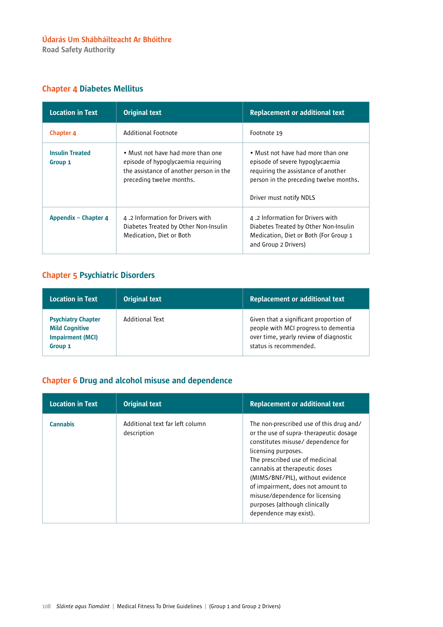Road Safety Authority

#### Chapter 4 Diabetes Mellitus

| <b>Location in Text</b>           | <b>Original text</b>                                                                                                                           | <b>Replacement or additional text</b>                                                                                                                                            |
|-----------------------------------|------------------------------------------------------------------------------------------------------------------------------------------------|----------------------------------------------------------------------------------------------------------------------------------------------------------------------------------|
| <b>Chapter 4</b>                  | Additional Footnote                                                                                                                            | Footnote 19                                                                                                                                                                      |
| <b>Insulin Treated</b><br>Group 1 | • Must not have had more than one<br>episode of hypoglycaemia requiring<br>the assistance of another person in the<br>preceding twelve months. | • Must not have had more than one<br>episode of severe hypoglycaemia<br>requiring the assistance of another<br>person in the preceding twelve months.<br>Driver must notify NDLS |
| Appendix – Chapter 4              | 4.2 Information for Drivers with<br>Diabetes Treated by Other Non-Insulin<br>Medication, Diet or Both                                          | 4.2 Information for Drivers with<br>Diabetes Treated by Other Non-Insulin<br>Medication, Diet or Both (For Group 1<br>and Group 2 Drivers)                                       |

# Chapter 5 Psychiatric Disorders

| Location in Text                                                                         | <b>Original text</b> | <b>Replacement or additional text</b>                                                                                                              |
|------------------------------------------------------------------------------------------|----------------------|----------------------------------------------------------------------------------------------------------------------------------------------------|
| <b>Psychiatry Chapter</b><br><b>Mild Cognitive</b><br><b>Impairment (MCI)</b><br>Group 1 | Additional Text      | Given that a significant proportion of<br>people with MCI progress to dementia<br>over time, yearly review of diagnostic<br>status is recommended. |

### Chapter 6 Drug and alcohol misuse and dependence

| <b>Location in Text</b> | <b>Original text</b>                           | <b>Replacement or additional text</b>                                                                                                                                                                                                                                                                                                                                                      |
|-------------------------|------------------------------------------------|--------------------------------------------------------------------------------------------------------------------------------------------------------------------------------------------------------------------------------------------------------------------------------------------------------------------------------------------------------------------------------------------|
| <b>Cannabis</b>         | Additional text far left column<br>description | The non-prescribed use of this drug and/<br>or the use of supra-therapeutic dosage<br>constitutes misuse/ dependence for<br>licensing purposes.<br>The prescribed use of medicinal<br>cannabis at therapeutic doses<br>(MIMS/BNF/PIL), without evidence<br>of impairment, does not amount to<br>misuse/dependence for licensing<br>purposes (although clinically<br>dependence may exist). |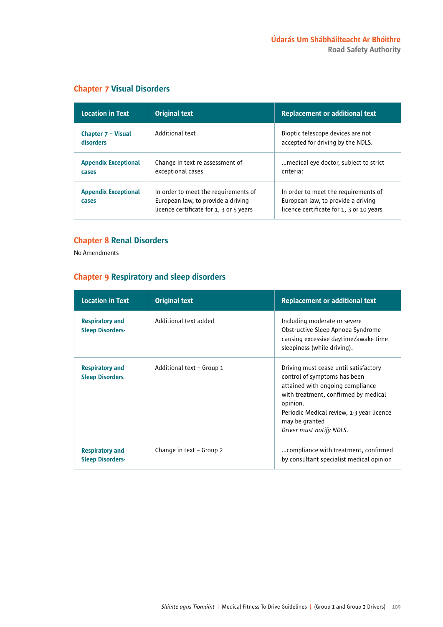| <b>Location in Text</b>              | <b>Original text</b>                                                                                                  | <b>Replacement or additional text</b>                                                                                  |
|--------------------------------------|-----------------------------------------------------------------------------------------------------------------------|------------------------------------------------------------------------------------------------------------------------|
| Chapter 7 - Visual<br>disorders      | Additional text                                                                                                       | Bioptic telescope devices are not<br>accepted for driving by the NDLS.                                                 |
| <b>Appendix Exceptional</b><br>cases | Change in text re assessment of<br>exceptional cases                                                                  | medical eye doctor, subject to strict.<br>criteria:                                                                    |
| <b>Appendix Exceptional</b><br>cases | In order to meet the requirements of<br>European law, to provide a driving<br>licence certificate for 1, 3 or 5 years | In order to meet the requirements of<br>European law, to provide a driving<br>licence certificate for 1, 3 or 10 years |

#### Chapter 7 Visual Disorders

#### Chapter 8 Renal Disorders

No Amendments

#### Chapter 9 Respiratory and sleep disorders

| <b>Location in Text</b>                           | <b>Original text</b>      | <b>Replacement or additional text</b>                                                                                                                                                                                                                    |
|---------------------------------------------------|---------------------------|----------------------------------------------------------------------------------------------------------------------------------------------------------------------------------------------------------------------------------------------------------|
| <b>Respiratory and</b><br><b>Sleep Disorders-</b> | Additional text added     | Including moderate or severe<br>Obstructive Sleep Apnoea Syndrome<br>causing excessive daytime/awake time<br>sleepiness (while driving).                                                                                                                 |
| <b>Respiratory and</b><br><b>Sleep Disorders</b>  | Additional text - Group 1 | Driving must cease until satisfactory<br>control of symptoms has been<br>attained with ongoing compliance<br>with treatment, confirmed by medical<br>opinion.<br>Periodic Medical review, 1-3 year licence<br>may be granted<br>Driver must notify NDLS. |
| <b>Respiratory and</b><br><b>Sleep Disorders-</b> | Change in text – Group 2  | compliance with treatment, confirmed<br>by-consultant specialist medical opinion                                                                                                                                                                         |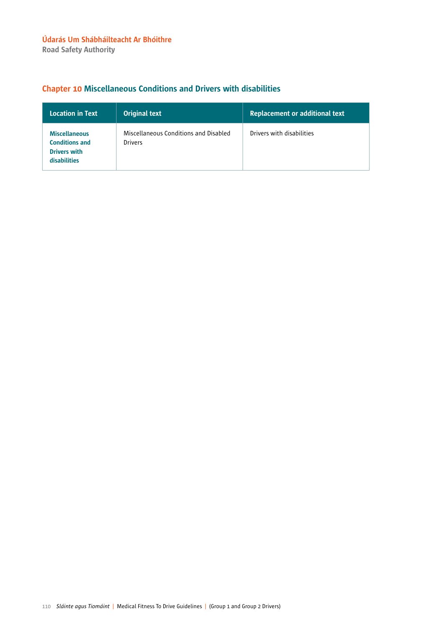# Chapter 10 Miscellaneous Conditions and Drivers with disabilities

| <b>Location in Text</b>                                                                     | <b>Original text</b>                                    | <b>Replacement or additional text</b> |
|---------------------------------------------------------------------------------------------|---------------------------------------------------------|---------------------------------------|
| <b>Miscellaneous</b><br><b>Conditions and</b><br><b>Drivers with</b><br><b>disabilities</b> | Miscellaneous Conditions and Disabled<br><b>Drivers</b> | Drivers with disabilities             |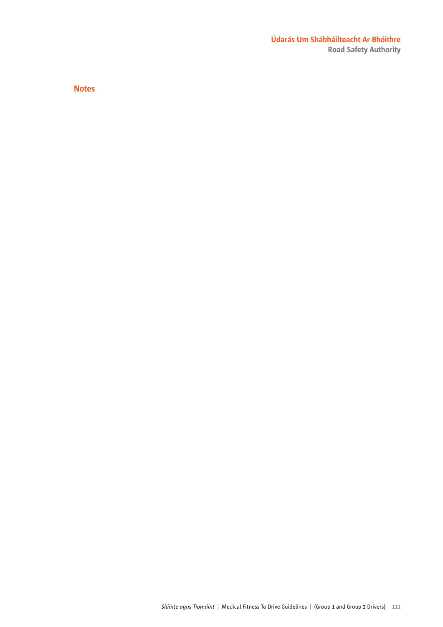#### Údarás Um Shábháilteacht Ar Bhóithre Road Safety Authority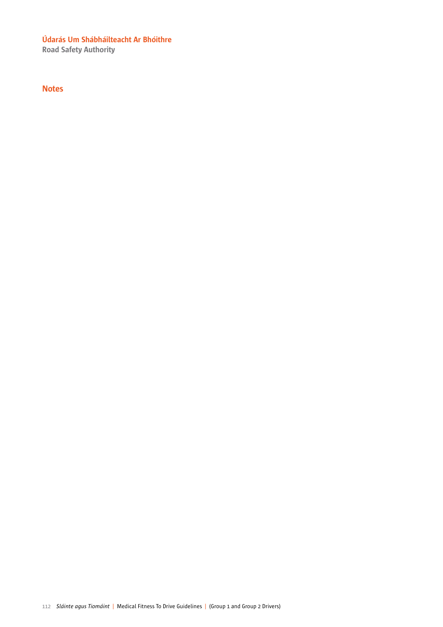Road Safety Authority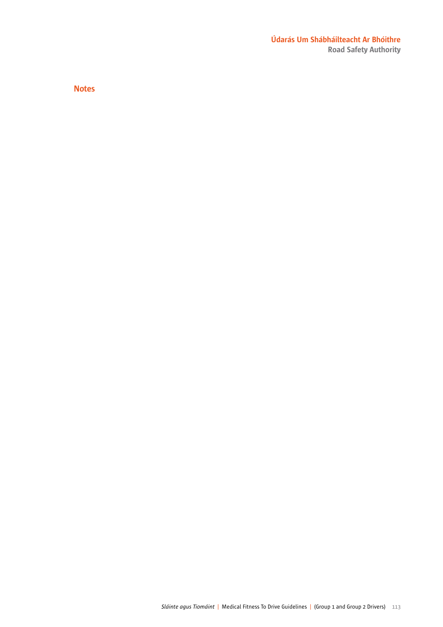#### Údarás Um Shábháilteacht Ar Bhóithre Road Safety Authority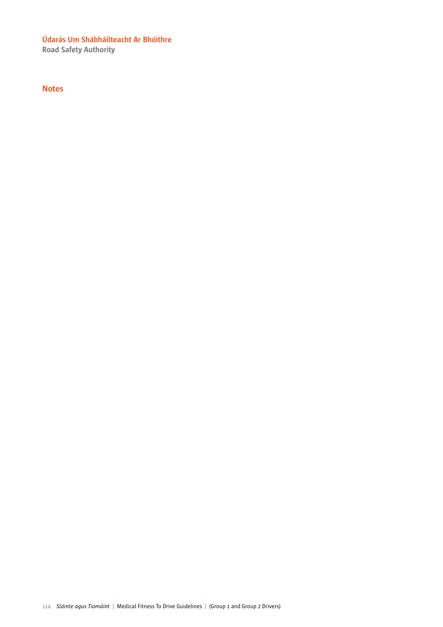Road Safety Authority